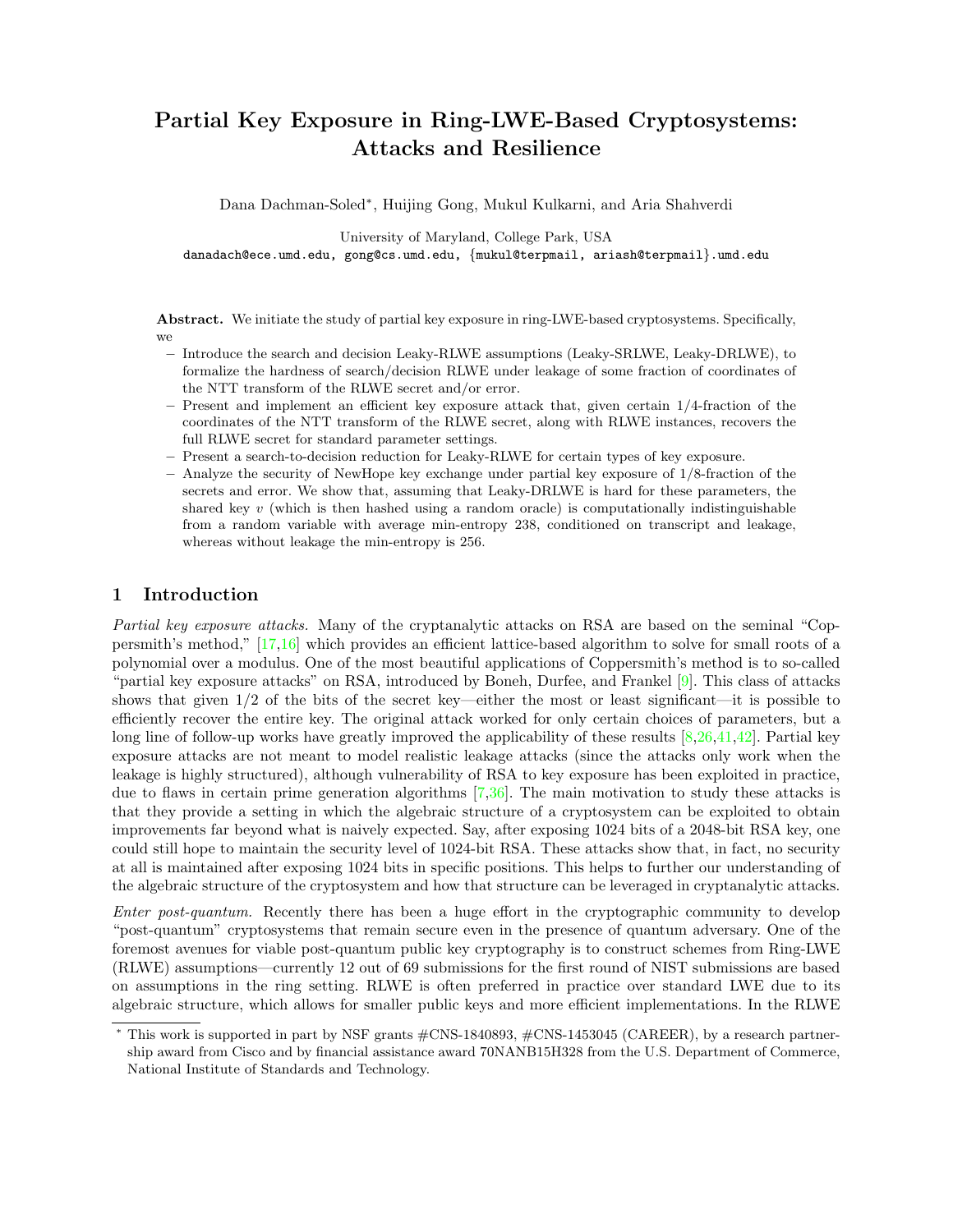# Partial Key Exposure in Ring-LWE-Based Cryptosystems: Attacks and Resilience

Dana Dachman-Soled<sup>∗</sup> , Huijing Gong, Mukul Kulkarni, and Aria Shahverdi

University of Maryland, College Park, USA

danadach@ece.umd.edu, gong@cs.umd.edu, {mukul@terpmail, ariash@terpmail}.umd.edu

Abstract. We initiate the study of partial key exposure in ring-LWE-based cryptosystems. Specifically, we

- Introduce the search and decision Leaky-RLWE assumptions (Leaky-SRLWE, Leaky-DRLWE), to formalize the hardness of search/decision RLWE under leakage of some fraction of coordinates of the NTT transform of the RLWE secret and/or error.
- Present and implement an efficient key exposure attack that, given certain 1/4-fraction of the coordinates of the NTT transform of the RLWE secret, along with RLWE instances, recovers the full RLWE secret for standard parameter settings.
- Present a search-to-decision reduction for Leaky-RLWE for certain types of key exposure.
- Analyze the security of NewHope key exchange under partial key exposure of 1/8-fraction of the secrets and error. We show that, assuming that Leaky-DRLWE is hard for these parameters, the shared key  $v$  (which is then hashed using a random oracle) is computationally indistinguishable from a random variable with average min-entropy 238, conditioned on transcript and leakage, whereas without leakage the min-entropy is 256.

# 1 Introduction

Partial key exposure attacks. Many of the cryptanalytic attacks on RSA are based on the seminal "Coppersmith's method," [\[17,](#page-26-0)[16\]](#page-26-1) which provides an efficient lattice-based algorithm to solve for small roots of a polynomial over a modulus. One of the most beautiful applications of Coppersmith's method is to so-called "partial key exposure attacks" on RSA, introduced by Boneh, Durfee, and Frankel [\[9\]](#page-26-2). This class of attacks shows that given 1/2 of the bits of the secret key—either the most or least significant—it is possible to efficiently recover the entire key. The original attack worked for only certain choices of parameters, but a long line of follow-up works have greatly improved the applicability of these results [\[8,](#page-26-3)[26,](#page-26-4)[41,](#page-27-0)[42\]](#page-27-1). Partial key exposure attacks are not meant to model realistic leakage attacks (since the attacks only work when the leakage is highly structured), although vulnerability of RSA to key exposure has been exploited in practice, due to flaws in certain prime generation algorithms [\[7,](#page-26-5)[36\]](#page-27-2). The main motivation to study these attacks is that they provide a setting in which the algebraic structure of a cryptosystem can be exploited to obtain improvements far beyond what is naively expected. Say, after exposing 1024 bits of a 2048-bit RSA key, one could still hope to maintain the security level of 1024-bit RSA. These attacks show that, in fact, no security at all is maintained after exposing 1024 bits in specific positions. This helps to further our understanding of the algebraic structure of the cryptosystem and how that structure can be leveraged in cryptanalytic attacks.

Enter post-quantum. Recently there has been a huge effort in the cryptographic community to develop "post-quantum" cryptosystems that remain secure even in the presence of quantum adversary. One of the foremost avenues for viable post-quantum public key cryptography is to construct schemes from Ring-LWE (RLWE) assumptions—currently 12 out of 69 submissions for the first round of NIST submissions are based on assumptions in the ring setting. RLWE is often preferred in practice over standard LWE due to its algebraic structure, which allows for smaller public keys and more efficient implementations. In the RLWE

<sup>∗</sup> This work is supported in part by NSF grants #CNS-1840893, #CNS-1453045 (CAREER), by a research partnership award from Cisco and by financial assistance award 70NANB15H328 from the U.S. Department of Commerce, National Institute of Standards and Technology.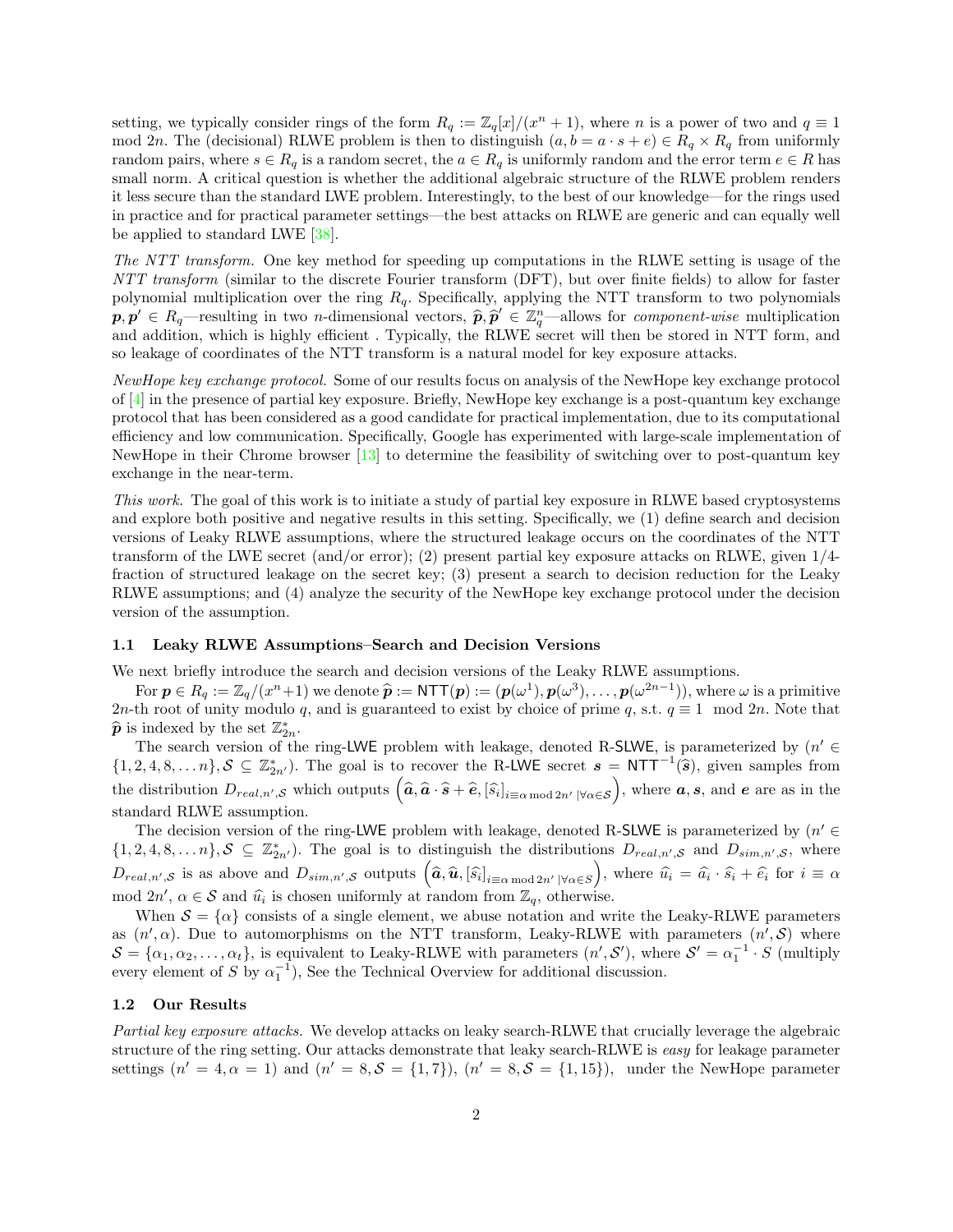setting, we typically consider rings of the form  $R_q := \mathbb{Z}_q[x]/(x^n + 1)$ , where n is a power of two and  $q \equiv 1$ mod 2n. The (decisional) RLWE problem is then to distinguish  $(a, b = a \cdot s + e) \in R_q \times R_q$  from uniformly random pairs, where  $s \in R_q$  is a random secret, the  $a \in R_q$  is uniformly random and the error term  $e \in R$  has small norm. A critical question is whether the additional algebraic structure of the RLWE problem renders it less secure than the standard LWE problem. Interestingly, to the best of our knowledge—for the rings used in practice and for practical parameter settings—the best attacks on RLWE are generic and can equally well be applied to standard LWE [\[38\]](#page-27-3).

The NTT transform. One key method for speeding up computations in the RLWE setting is usage of the NTT transform (similar to the discrete Fourier transform (DFT), but over finite fields) to allow for faster polynomial multiplication over the ring  $R_q$ . Specifically, applying the NTT transform to two polynomials  $\hat{\boldsymbol{p}}, \hat{\boldsymbol{p}}' \in R_q$ —resulting in two *n*-dimensional vectors,  $\hat{\boldsymbol{p}}, \hat{\boldsymbol{p}}' \in \mathbb{Z}_q^n$ —allows for *component-wise* multiplication<br>and addition, which is highly efficient. Tuniselly, the BLWF secret will then be s and addition, which is highly efficient . Typically, the RLWE secret will then be stored in NTT form, and so leakage of coordinates of the NTT transform is a natural model for key exposure attacks.

NewHope key exchange protocol. Some of our results focus on analysis of the NewHope key exchange protocol of [\[4\]](#page-25-0) in the presence of partial key exposure. Briefly, NewHope key exchange is a post-quantum key exchange protocol that has been considered as a good candidate for practical implementation, due to its computational efficiency and low communication. Specifically, Google has experimented with large-scale implementation of NewHope in their Chrome browser [\[13\]](#page-26-6) to determine the feasibility of switching over to post-quantum key exchange in the near-term.

This work. The goal of this work is to initiate a study of partial key exposure in RLWE based cryptosystems and explore both positive and negative results in this setting. Specifically, we (1) define search and decision versions of Leaky RLWE assumptions, where the structured leakage occurs on the coordinates of the NTT transform of the LWE secret (and/or error); (2) present partial key exposure attacks on RLWE, given 1/4 fraction of structured leakage on the secret key; (3) present a search to decision reduction for the Leaky RLWE assumptions; and (4) analyze the security of the NewHope key exchange protocol under the decision version of the assumption.

## 1.1 Leaky RLWE Assumptions–Search and Decision Versions

We next briefly introduce the search and decision versions of the Leaky RLWE assumptions.

For  $p \in R_q := \mathbb{Z}_q/(x^n+1)$  we denote  $\hat{p} := \text{NTT}(p) := (p(\omega^1), p(\omega^3), \dots, p(\omega^{2n-1}))$ , where  $\omega$  is a primitive<br>the root of unity module g and is guaranteed to exist by choice of prime g a s t  $q = 1$  and  $2n$ . Note that 2n-th root of unity modulo q, and is guaranteed to exist by choice of prime q, s.t.  $q \equiv 1 \mod 2n$ . Note that  $\hat{\boldsymbol{p}}$  is indexed by the set  $\mathbb{Z}_{2n}^*$ .<br>The search version of the

The search version of the ring-LWE problem with leakage, denoted R-SLWE, is parameterized by  $(n' \in$  $\{1, 2, 4, 8, \ldots n\}, \mathcal{S} \subseteq \mathbb{Z}_{2n'}^*$ . The goal is to recover the R-LWE secret  $s = \text{NTT}^{-1}(\widehat{s})$ , given samples from the distribution  $D_{real,n',S}$  which outputs  $(\widehat{a}, \widehat{a} \cdot \widehat{s} + \widehat{e}, [\widehat{s_i}]_{i \equiv \alpha \bmod 2n'} | \forall \alpha \in S)$ , where  $a, s$ , and  $e$  are as in the standard RLWE assumption.

The decision version of the ring-LWE problem with leakage, denoted R-SLWE is parameterized by  $(n' \in$  $\{1,2,4,8,\ldots n\}, \mathcal{S} \subseteq \mathbb{Z}_{2n'}^*$ . The goal is to distinguish the distributions  $D_{real,n',\mathcal{S}}$  and  $D_{sim,n',\mathcal{S}}$ , where  $D_{real,n',S}$  is as above and  $D_{sim,n',S}$  outputs  $(\hat{a}, \hat{u}, [\hat{s_i}]_{i \equiv \alpha \mod 2n' \mid \forall \alpha \in S})$ , where  $\hat{u_i} = \hat{a_i} \cdot \hat{s_i} + \hat{e_i}$  for  $i \equiv \alpha$ mod  $2n'$ ,  $\alpha \in \mathcal{S}$  and  $\hat{u}_i$  is chosen uniformly at random from  $\mathbb{Z}_q$ , otherwise.

When  $S = \{\alpha\}$  consists of a single element, we abuse notation and write the Leaky-RLWE parameters as  $(n', \alpha)$ . Due to automorphisms on the NTT transform, Leaky-RLWE with parameters  $(n', \mathcal{S})$  where  $S = {\alpha_1, \alpha_2, ..., \alpha_t}$ , is equivalent to Leaky-RLWE with parameters  $(n', S')$ , where  $S' = \alpha_1^{-1} \cdot S$  (multiply every element of S by  $\alpha_1^{-1}$ ), See the Technical Overview for additional discussion.

#### 1.2 Our Results

Partial key exposure attacks. We develop attacks on leaky search-RLWE that crucially leverage the algebraic structure of the ring setting. Our attacks demonstrate that leaky search-RLWE is easy for leakage parameter settings  $(n' = 4, \alpha = 1)$  and  $(n' = 8, \mathcal{S} = \{1, 7\}), (n' = 8, \mathcal{S} = \{1, 15\}),$  under the NewHope parameter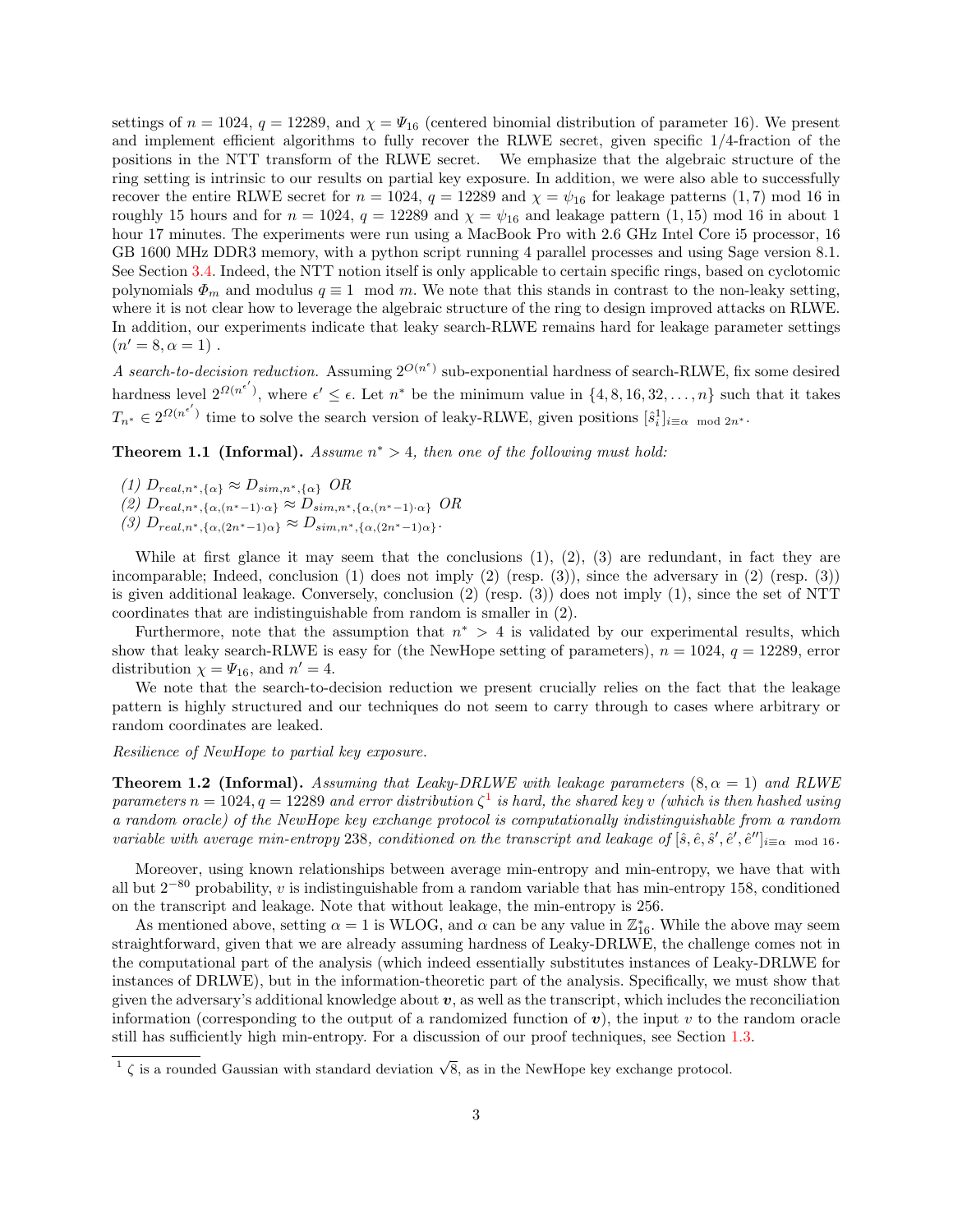settings of  $n = 1024$ ,  $q = 12289$ , and  $\chi = \Psi_{16}$  (centered binomial distribution of parameter 16). We present and implement efficient algorithms to fully recover the RLWE secret, given specific 1/4-fraction of the positions in the NTT transform of the RLWE secret. We emphasize that the algebraic structure of the ring setting is intrinsic to our results on partial key exposure. In addition, we were also able to successfully recover the entire RLWE secret for  $n = 1024$ ,  $q = 12289$  and  $\chi = \psi_{16}$  for leakage patterns (1,7) mod 16 in roughly 15 hours and for  $n = 1024$ ,  $q = 12289$  and  $\chi = \psi_{16}$  and leakage pattern (1, 15) mod 16 in about 1 hour 17 minutes. The experiments were run using a MacBook Pro with 2.6 GHz Intel Core i5 processor, 16 GB 1600 MHz DDR3 memory, with a python script running 4 parallel processes and using Sage version 8.1. See Section [3.4.](#page-12-0) Indeed, the NTT notion itself is only applicable to certain specific rings, based on cyclotomic polynomials  $\Phi_m$  and modulus  $q \equiv 1 \mod m$ . We note that this stands in contrast to the non-leaky setting, where it is not clear how to leverage the algebraic structure of the ring to design improved attacks on RLWE. In addition, our experiments indicate that leaky search-RLWE remains hard for leakage parameter settings  $(n' = 8, \alpha = 1)$ .

A search-to-decision reduction. Assuming  $2^{O(n^{\epsilon})}$  sub-exponential hardness of search-RLWE, fix some desired hardness level  $2^{\Omega(n^{\epsilon'})}$ , where  $\epsilon' \leq \epsilon$ . Let  $n^*$  be the minimum value in  $\{4, 8, 16, 32, \ldots, n\}$  such that it takes  $T_{n^*} \in 2^{\Omega(n^{\epsilon'})}$  time to solve the search version of leaky-RLWE, given positions  $[\hat{s}_i^1]_{i \equiv \alpha \mod 2n^*}$ .

**Theorem 1.1 (Informal).** Assume  $n^* > 4$ , then one of the following must hold:

- (1)  $D_{real,n^*,\{\alpha\}} \approx D_{sim,n^*,\{\alpha\}}$  OR (2)  $D_{real,n^*,\{\alpha,(n^*-1)\cdot\alpha\}} \approx D_{sim,n^*,\{\alpha,(n^*-1)\cdot\alpha\}}$  OR
- (3)  $D_{real,n^*,\{\alpha,(2n^*-1)\alpha\}} \approx D_{sim,n^*,\{\alpha,(2n^*-1)\alpha\}}.$

While at first glance it may seem that the conclusions  $(1)$ ,  $(2)$ ,  $(3)$  are redundant, in fact they are incomparable; Indeed, conclusion  $(1)$  does not imply  $(2)$  (resp.  $(3)$ ), since the adversary in  $(2)$  (resp.  $(3)$ ) is given additional leakage. Conversely, conclusion (2) (resp. (3)) does not imply (1), since the set of NTT coordinates that are indistinguishable from random is smaller in (2).

Furthermore, note that the assumption that  $n^* > 4$  is validated by our experimental results, which show that leaky search-RLWE is easy for (the NewHope setting of parameters),  $n = 1024$ ,  $q = 12289$ , error distribution  $\chi = \Psi_{16}$ , and  $n' = 4$ .

We note that the search-to-decision reduction we present crucially relies on the fact that the leakage pattern is highly structured and our techniques do not seem to carry through to cases where arbitrary or random coordinates are leaked.

## <span id="page-2-1"></span>Resilience of NewHope to partial key exposure.

**Theorem 1.2 (Informal).** Assuming that Leaky-DRLWE with leakage parameters  $(8, \alpha = 1)$  and RLWE parameters  $n = 1024, q = 12289$  $n = 1024, q = 12289$  $n = 1024, q = 12289$  and error distribution  $\zeta^1$  is hard, the shared key v (which is then hashed using a random oracle) of the NewHope key exchange protocol is computationally indistinguishable from a random variable with average min-entropy 238, conditioned on the transcript and leakage of  $[\hat{s}, \hat{e}, \hat{s}', \hat{e}', \hat{e}'']_{i \equiv \alpha \mod 16}$ .

Moreover, using known relationships between average min-entropy and min-entropy, we have that with all but  $2^{-80}$  probability, v is indistinguishable from a random variable that has min-entropy 158, conditioned on the transcript and leakage. Note that without leakage, the min-entropy is 256.

As mentioned above, setting  $\alpha = 1$  is WLOG, and  $\alpha$  can be any value in  $\mathbb{Z}_{16}^*$ . While the above may seem straightforward, given that we are already assuming hardness of Leaky-DRLWE, the challenge comes not in the computational part of the analysis (which indeed essentially substitutes instances of Leaky-DRLWE for instances of DRLWE), but in the information-theoretic part of the analysis. Specifically, we must show that given the adversary's additional knowledge about  $v$ , as well as the transcript, which includes the reconciliation information (corresponding to the output of a randomized function of  $v$ ), the input v to the random oracle still has sufficiently high min-entropy. For a discussion of our proof techniques, see Section [1.3.](#page-3-0)

<span id="page-2-0"></span> $\frac{1}{\sqrt{2}}$  is a rounded Gaussian with standard deviation  $\sqrt{8}$ , as in the NewHope key exchange protocol.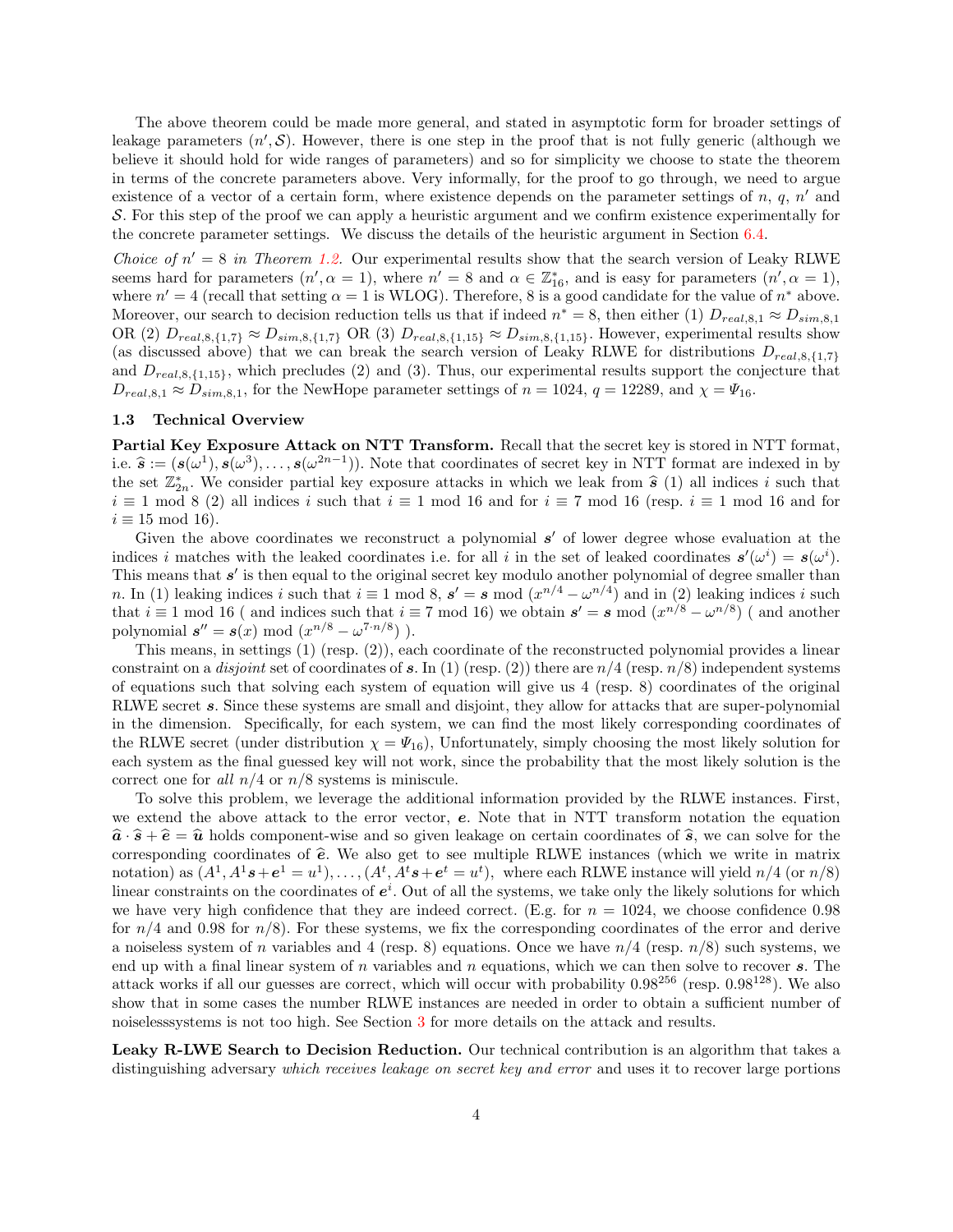The above theorem could be made more general, and stated in asymptotic form for broader settings of leakage parameters  $(n',\mathcal{S})$ . However, there is one step in the proof that is not fully generic (although we believe it should hold for wide ranges of parameters) and so for simplicity we choose to state the theorem in terms of the concrete parameters above. Very informally, for the proof to go through, we need to argue existence of a vector of a certain form, where existence depends on the parameter settings of  $n, q, n'$  and S. For this step of the proof we can apply a heuristic argument and we confirm existence experimentally for the concrete parameter settings. We discuss the details of the heuristic argument in Section [6.4.](#page-25-1)

Choice of  $n' = 8$  in Theorem [1.2.](#page-2-1) Our experimental results show that the search version of Leaky RLWE seems hard for parameters  $(n', \alpha = 1)$ , where  $n' = 8$  and  $\alpha \in \mathbb{Z}_{16}^*$ , and is easy for parameters  $(n', \alpha = 1)$ , where  $n' = 4$  (recall that setting  $\alpha = 1$  is WLOG). Therefore, 8 is a good candidate for the value of  $n^*$  above. Moreover, our search to decision reduction tells us that if indeed  $n^* = 8$ , then either (1)  $D_{real,8,1} \approx D_{sim,8,1}$ OR (2)  $D_{real,8,\{1,7\}} \approx D_{sim,8,\{1,7\}}$  OR (3)  $D_{real,8,\{1,15\}} \approx D_{sim,8,\{1,15\}}$ . However, experimental results show (as discussed above) that we can break the search version of Leaky RLWE for distributions  $D_{real,8,\{1,7\}}$ and  $D_{real,8,\{1,15\}}$ , which precludes (2) and (3). Thus, our experimental results support the conjecture that  $D_{real,8,1} \approx D_{sim,8,1}$ , for the NewHope parameter settings of  $n = 1024$ ,  $q = 12289$ , and  $\chi = \Psi_{16}$ .

## <span id="page-3-0"></span>1.3 Technical Overview

Partial Key Exposure Attack on NTT Transform. Recall that the secret key is stored in NTT format, i.e.  $\hat{\mathbf{s}} := (\mathbf{s}(\omega^1), \mathbf{s}(\omega^3), \dots, \mathbf{s}(\omega^{2n-1}))$ . Note that coordinates of secret key in NTT format are indexed in by the set  $\mathbb{Z}^*$ . We consider partial low expecting attacks in which we leak from  $\hat{\mathbf{s}}$  (1) al the set  $\mathbb{Z}_{2n}^*$ . We consider partial key exposure attacks in which we leak from  $\hat{s}$  (1) all indices i such that  $i = 1 \mod 8$  (2) all indices i such that  $i = 1 \mod 16$  and for  $i = 7 \mod 16$  (resp.  $i = 1 \mod 16$  and for  $i \equiv 1 \mod 8$  (2) all indices i such that  $i \equiv 1 \mod 16$  and for  $i \equiv 7 \mod 16$  (resp.  $i \equiv 1 \mod 16$  and for  $i \equiv 15 \mod 16$ .

Given the above coordinates we reconstruct a polynomial  $s'$  of lower degree whose evaluation at the indices i matches with the leaked coordinates i.e. for all i in the set of leaked coordinates  $s'(\omega^i) = s(\omega^i)$ . This means that  $s'$  is then equal to the original secret key modulo another polynomial of degree smaller than n. In (1) leaking indices i such that  $i \equiv 1 \mod 8$ ,  $s' = s \mod (x^{n/4} - \omega^{n/4})$  and in (2) leaking indices i such that  $i \equiv 1 \mod 16$  (and indices such that  $i \equiv 7 \mod 16$ ) we obtain  $s' = s \mod (x^{n/8} - \omega^{n/8})$  (and another polynomial  $s'' = s(x) \mod (x^{n/8} - \omega^{7 \cdot n/8})$ .

This means, in settings (1) (resp. (2)), each coordinate of the reconstructed polynomial provides a linear constraint on a *disjoint* set of coordinates of s. In (1) (resp. (2)) there are  $n/4$  (resp.  $n/8$ ) independent systems of equations such that solving each system of equation will give us 4 (resp. 8) coordinates of the original RLWE secret s. Since these systems are small and disjoint, they allow for attacks that are super-polynomial in the dimension. Specifically, for each system, we can find the most likely corresponding coordinates of the RLWE secret (under distribution  $\chi = \Psi_{16}$ ), Unfortunately, simply choosing the most likely solution for each system as the final guessed key will not work, since the probability that the most likely solution is the correct one for all  $n/4$  or  $n/8$  systems is miniscule.

To solve this problem, we leverage the additional information provided by the RLWE instances. First, we extend the above attack to the error vector, e. Note that in NTT transform notation the equation  $\hat{a} \cdot \hat{s} + \hat{e} = \hat{u}$  holds component-wise and so given leakage on certain coordinates of  $\hat{s}$ , we can solve for the corresponding coordinates of  $\hat{e}$ . We also get to see multiple RLWE instances (which we write in matrix notation) as  $(A^1, A^1s + e^1 = u^1), \ldots, (A^t, A^t s + e^t = u^t)$ , where each RLWE instance will yield  $n/4$  (or  $n/8$ ) linear constraints on the coordinates of  $e^i$ . Out of all the systems, we take only the likely solutions for which we have very high confidence that they are indeed correct. (E.g. for  $n = 1024$ , we choose confidence 0.98 for  $n/4$  and 0.98 for  $n/8$ ). For these systems, we fix the corresponding coordinates of the error and derive a noiseless system of n variables and 4 (resp. 8) equations. Once we have  $n/4$  (resp.  $n/8$ ) such systems, we end up with a final linear system of  $n$  variables and  $n$  equations, which we can then solve to recover  $s$ . The attack works if all our guesses are correct, which will occur with probability  $0.98^{256}$  (resp.  $0.98^{128}$ ). We also show that in some cases the number RLWE instances are needed in order to obtain a sufficient number of noiselesssystems is not too high. See Section [3](#page-9-0) for more details on the attack and results.

Leaky R-LWE Search to Decision Reduction. Our technical contribution is an algorithm that takes a distinguishing adversary which receives leakage on secret key and error and uses it to recover large portions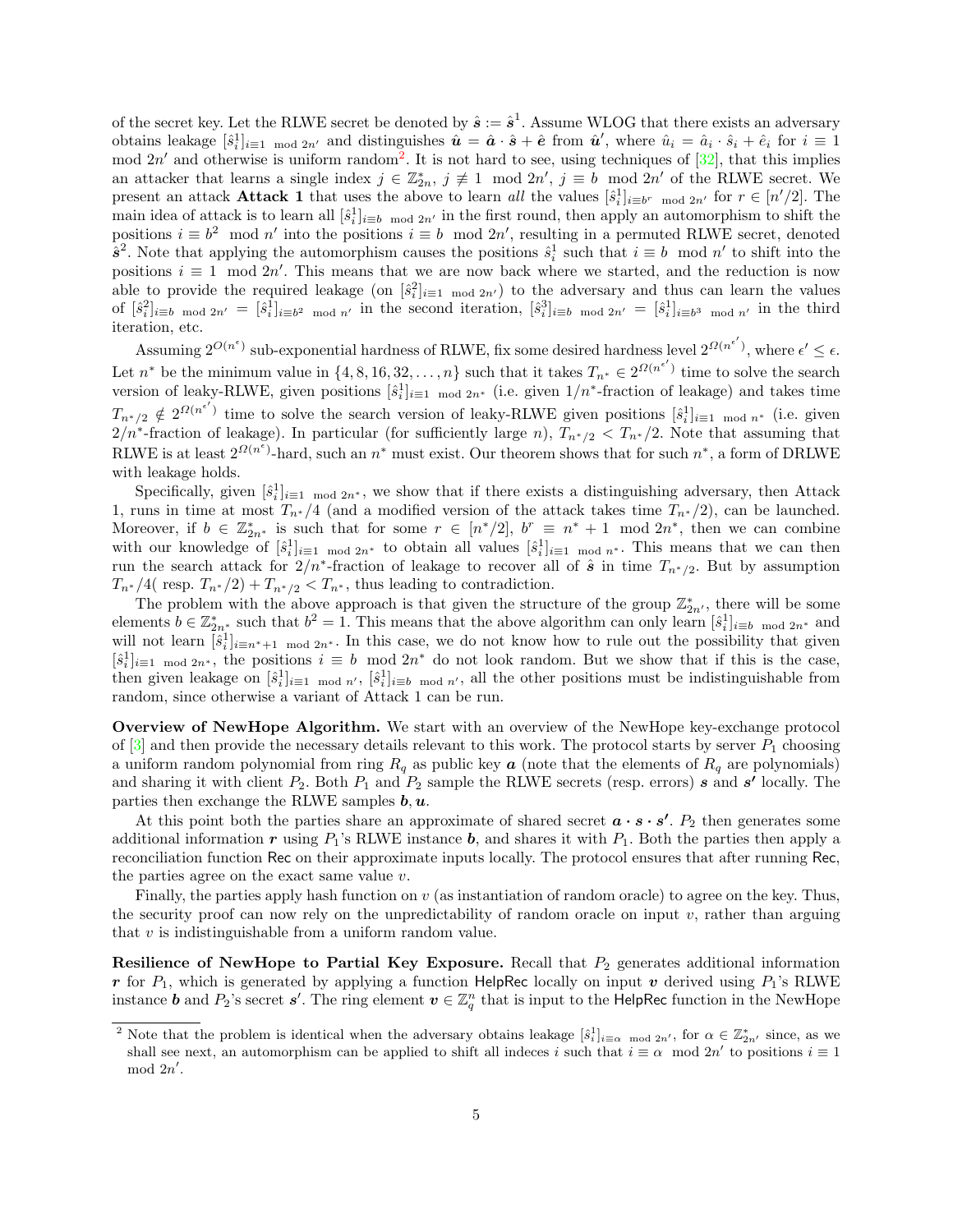of the secret key. Let the RLWE secret be denoted by  $\hat{s} := \hat{s}^1$ . Assume WLOG that there exists an adversary obtains leakage  $[\hat{s}_i^1]_{i=1 \mod 2n'}$  and distinguishes  $\hat{u} = \hat{a} \cdot \hat{s} + \hat{e}$  from  $\hat{u}'$ , where  $\hat{u}_i = \hat{a}_i \cdot \hat{s}_i + \hat{e}_i$  for  $i \equiv 1$ mod  $2n'$  $2n'$  and otherwise is uniform random<sup>2</sup>. It is not hard to see, using techniques of  $[32]$ , that this implies an attacker that learns a single index  $j \in \mathbb{Z}_{2n}^*$ ,  $j \not\equiv 1 \mod 2n'$ ,  $j \equiv b \mod 2n'$  of the RLWE secret. We present an attack **Attack 1** that uses the above to learn all the values  $[\hat{s}_i^1]_{i \equiv b^r \mod 2n'}$  for  $r \in [n'/2]$ . The main idea of attack is to learn all  $[\hat{s}_i]_{i \equiv b \mod 2n'}$  in the first round, then apply an automorphism to shift the positions  $i \equiv b^2 \mod n'$  into the positions  $i \equiv b \mod 2n'$ , resulting in a permuted RLWE secret, denoted  $\hat{s}^2$ . Note that applying the automorphism causes the positions  $\hat{s}^1_i$  such that  $i \equiv b \mod n'$  to shift into the positions  $i \equiv 1 \mod 2n'$ . This means that we are now back where we started, and the reduction is now able to provide the required leakage (on  $[\hat{s}_i^2]_{i=1 \mod 2n'}$ ) to the adversary and thus can learn the values of  $[\hat{s}_i^2]_{i\equiv b \mod 2n'} = [\hat{s}_i^1]_{i\equiv b^2 \mod n'}$  in the second iteration,  $[\hat{s}_i^3]_{i\equiv b \mod 2n'} = [\hat{s}_i^1]_{i\equiv b^3 \mod n'}$  in the third iteration, etc.

Assuming  $2^{O(n^{\epsilon})}$  sub-exponential hardness of RLWE, fix some desired hardness level  $2^{O(n^{\epsilon'})}$ , where  $\epsilon' \leq \epsilon$ . Let  $n^*$  be the minimum value in  $\{4, 8, 16, 32, \ldots, n\}$  such that it takes  $T_{n^*} \in 2^{\Omega(n^{\epsilon'})}$  time to solve the search version of leaky-RLWE, given positions  $[\hat{s}_i^1]_{i=1 \mod 2n^*}$  (i.e. given  $1/n^*$ -fraction of leakage) and takes time  $T_{n^*/2} \notin 2^{\Omega(n^{\epsilon'})}$  time to solve the search version of leaky-RLWE given positions  $[\hat{s}_i^1]_{i=1 \mod n^*}$  (i.e. given  $2/n^*$ -fraction of leakage). In particular (for sufficiently large n),  $T_{n^*/2} < T_{n^*/2}$ . Note that assuming that RLWE is at least  $2^{\Omega(n^{\epsilon})}$ -hard, such an  $n^*$  must exist. Our theorem shows that for such  $n^*$ , a form of DRLWE with leakage holds.

Specifically, given  $[\hat{s}_i^1]_{i=1 \mod 2n^*}$ , we show that if there exists a distinguishing adversary, then Attack 1, runs in time at most  $T_{n^*}/4$  (and a modified version of the attack takes time  $T_{n^*}/2$ ), can be launched. Moreover, if  $b \in \mathbb{Z}_{2n^*}^*$  is such that for some  $r \in [n^*/2]$ ,  $b^r \equiv n^* + 1 \mod 2n^*$ , then we can combine with our knowledge of  $[\hat{s}_i^1]_{i=1 \mod 2n^*}$  to obtain all values  $[\hat{s}_i^1]_{i=1 \mod n^*}$ . This means that we can then run the search attack for  $2/n^*$ -fraction of leakage to recover all of  $\hat{s}$  in time  $T_{n^*/2}$ . But by assumption  $T_{n^*}/4$  resp.  $T_{n^*}/2$  +  $T_{n^*/2}$  <  $T_{n^*}$ , thus leading to contradiction.

The problem with the above approach is that given the structure of the group  $\mathbb{Z}_{2n'}^*$ , there will be some elements  $b \in \mathbb{Z}_{2n^*}^*$  such that  $b^2 = 1$ . This means that the above algorithm can only learn  $[\hat{s}_i^1]_{i \equiv b \mod 2n^*}$  and will not learn  $[\hat{s}_i^1]_{i\equiv n^*+1 \mod 2n^*}$ . In this case, we do not know how to rule out the possibility that given  $[\hat{s}_i^1]_{i=1 \mod 2n^*}$ , the positions  $i \equiv b \mod 2n^*$  do not look random. But we show that if this is the case, then given leakage on  $[\hat{s}_i^1]_{i=1 \mod n'}$ ,  $[\hat{s}_i^1]_{i\equiv b \mod n'}$ , all the other positions must be indistinguishable from random, since otherwise a variant of Attack 1 can be run.

Overview of NewHope Algorithm. We start with an overview of the NewHope key-exchange protocol of  $[3]$  and then provide the necessary details relevant to this work. The protocol starts by server  $P_1$  choosing a uniform random polynomial from ring  $R_q$  as public key  $\boldsymbol{a}$  (note that the elements of  $R_q$  are polynomials) and sharing it with client  $P_2$ . Both  $P_1$  and  $P_2$  sample the RLWE secrets (resp. errors) s and s' locally. The parties then exchange the RLWE samples  $\mathbf{b}, \mathbf{u}$ .

At this point both the parties share an approximate of shared secret  $\boldsymbol{a} \cdot \boldsymbol{s} \cdot \boldsymbol{s}'$ .  $P_2$  then generates some additional information r using  $P_1$ 's RLWE instance b, and shares it with  $P_1$ . Both the parties then apply a reconciliation function Rec on their approximate inputs locally. The protocol ensures that after running Rec, the parties agree on the exact same value  $v$ .

Finally, the parties apply hash function on  $v$  (as instantiation of random oracle) to agree on the key. Thus, the security proof can now rely on the unpredictability of random oracle on input  $v$ , rather than arguing that  $v$  is indistinguishable from a uniform random value.

**Resilience of NewHope to Partial Key Exposure.** Recall that  $P_2$  generates additional information r for  $P_1$ , which is generated by applying a function HelpRec locally on input v derived using  $P_1$ 's RLWE instance **b** and  $P_2$ 's secret **s'**. The ring element  $v \in \mathbb{Z}_q^n$  that is input to the HelpRec function in the NewHope

<span id="page-4-0"></span><sup>&</sup>lt;sup>2</sup> Note that the problem is identical when the adversary obtains leakage  $[\hat{s}_i^1]_{i \equiv \alpha \mod 2n'}$ , for  $\alpha \in \mathbb{Z}_{2n'}^*$  since, as we shall see next, an automorphism can be applied to shift all indeces i such that  $i \equiv \alpha \mod 2n'$  to positions  $i \equiv 1$  $mod 2n'$ .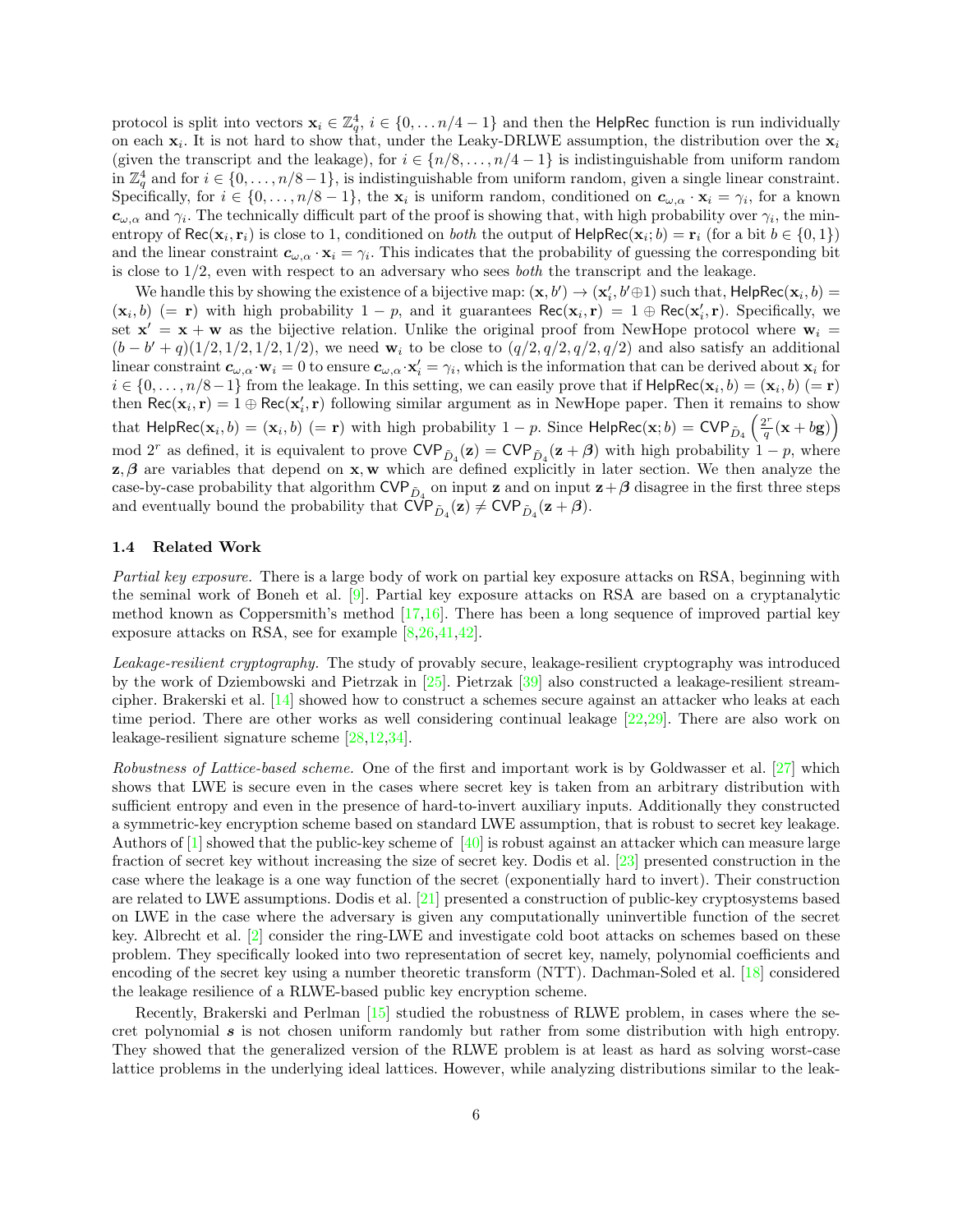protocol is split into vectors  $\mathbf{x}_i \in \mathbb{Z}_q^4$ ,  $i \in \{0, ..., n/4 - 1\}$  and then the HelpRec function is run individually on each  $x_i$ . It is not hard to show that, under the Leaky-DRLWE assumption, the distribution over the  $x_i$ (given the transcript and the leakage), for  $i \in \{n/8, \ldots, n/4-1\}$  is indistinguishable from uniform random in  $\mathbb{Z}_q^4$  and for  $i \in \{0, \ldots, n/8-1\}$ , is indistinguishable from uniform random, given a single linear constraint. Specifically, for  $i \in \{0, \ldots, n/8-1\}$ , the  $\mathbf{x}_i$  is uniform random, conditioned on  $c_{\omega,\alpha} \cdot \mathbf{x}_i = \gamma_i$ , for a known  $c_{\omega,\alpha}$  and  $\gamma_i$ . The technically difficult part of the proof is showing that, with high probability over  $\gamma_i$ , the minentropy of  $\text{Rec}(\mathbf{x}_i, \mathbf{r}_i)$  is close to 1, conditioned on *both* the output of  $\text{HelpRec}(\mathbf{x}_i; b) = \mathbf{r}_i$  (for a bit  $b \in \{0, 1\}$ ) and the linear constraint  $c_{\omega,\alpha} \cdot x_i = \gamma_i$ . This indicates that the probability of guessing the corresponding bit is close to  $1/2$ , even with respect to an adversary who sees *both* the transcript and the leakage.

We handle this by showing the existence of a bijective map:  $(\mathbf{x}, b') \to (\mathbf{x}'_i, b' \oplus 1)$  such that,  $\mathsf{HelpRec}(\mathbf{x}_i, b) =$  $(\mathbf{x}_i, b)$  (= **r**) with high probability  $1 - p$ , and it guarantees  $\text{Rec}(\mathbf{x}_i, \mathbf{r}) = 1 \oplus \text{Rec}(\mathbf{x}'_i, \mathbf{r})$ . Specifically, we set  $\mathbf{x}' = \mathbf{x} + \mathbf{w}$  as the bijective relation. Unlike the original proof from NewHope protocol where  $\mathbf{w}_i =$  $(b - b' + q)(1/2, 1/2, 1/2, 1/2)$ , we need w<sub>i</sub> to be close to  $(q/2, q/2, q/2, q/2)$  and also satisfy an additional linear constraint  $c_{\omega,\alpha} \cdot \mathbf{w}_i = 0$  to ensure  $c_{\omega,\alpha} \cdot \mathbf{x}'_i = \gamma_i$ , which is the information that can be derived about  $\mathbf{x}_i$  for  $i \in \{0,\ldots,n/8-1\}$  from the leakage. In this setting, we can easily prove that if  $\mathsf{HelpRec}(\mathbf{x}_i,b) = (\mathbf{x}_i,b)$   $(= \mathbf{r})$ then  $\text{Rec}(x_i, r) = 1 \oplus \text{Rec}(x'_i, r)$  following similar argument as in NewHope paper. Then it remains to show that HelpRec( $\mathbf{x}_i, b$ ) =  $(\mathbf{x}_i, b)$  (= r) with high probability 1 – p. Since HelpRec( $\mathbf{x}; b$ ) = CVP<sub>D<sub>4</sub></sub> ( $\frac{2^r}{q}$ )  $\frac{2^r}{q}(\mathbf{x} + b\mathbf{g})\right)$ mod 2<sup>r</sup> as defined, it is equivalent to prove  $\text{CVP}_{\tilde{D}_4}(\mathbf{z}) = \text{CVP}_{\tilde{D}_4}(\mathbf{z}+\boldsymbol{\beta})$  with high probability  $1-p$ , where  $z, \beta$  are variables that depend on x, w which are defined explicitly in later section. We then analyze the case-by-case probability that algorithm  $\text{CVP}_{\tilde{D}_4}$  on input z and on input  $\mathbf{z}+\boldsymbol{\beta}$  disagree in the first three steps and eventually bound the probability that  $\text{CVP}_{\tilde{D}_4}(\mathbf{z}) \neq \text{CVP}_{\tilde{D}_4}(\mathbf{z} + \beta)$ .

## 1.4 Related Work

Partial key exposure. There is a large body of work on partial key exposure attacks on RSA, beginning with the seminal work of Boneh et al. [\[9\]](#page-26-2). Partial key exposure attacks on RSA are based on a cryptanalytic method known as Coppersmith's method  $[17,16]$  $[17,16]$ . There has been a long sequence of improved partial key exposure attacks on RSA, see for example [\[8](#page-26-3)[,26,](#page-26-4)[41,](#page-27-0)[42\]](#page-27-1).

Leakage-resilient cryptography. The study of provably secure, leakage-resilient cryptography was introduced by the work of Dziembowski and Pietrzak in [\[25\]](#page-26-7). Pietrzak [\[39\]](#page-27-5) also constructed a leakage-resilient streamcipher. Brakerski et al. [\[14\]](#page-26-8) showed how to construct a schemes secure against an attacker who leaks at each time period. There are other works as well considering continual leakage [\[22](#page-26-9)[,29\]](#page-26-10). There are also work on leakage-resilient signature scheme [\[28,](#page-26-11)[12,](#page-26-12)[34\]](#page-27-6).

Robustness of Lattice-based scheme. One of the first and important work is by Goldwasser et al. [\[27\]](#page-26-13) which shows that LWE is secure even in the cases where secret key is taken from an arbitrary distribution with sufficient entropy and even in the presence of hard-to-invert auxiliary inputs. Additionally they constructed a symmetric-key encryption scheme based on standard LWE assumption, that is robust to secret key leakage. Authors of [\[1\]](#page-25-3) showed that the public-key scheme of [\[40\]](#page-27-7) is robust against an attacker which can measure large fraction of secret key without increasing the size of secret key. Dodis et al. [\[23\]](#page-26-14) presented construction in the case where the leakage is a one way function of the secret (exponentially hard to invert). Their construction are related to LWE assumptions. Dodis et al. [\[21\]](#page-26-15) presented a construction of public-key cryptosystems based on LWE in the case where the adversary is given any computationally uninvertible function of the secret key. Albrecht et al. [\[2\]](#page-25-4) consider the ring-LWE and investigate cold boot attacks on schemes based on these problem. They specifically looked into two representation of secret key, namely, polynomial coefficients and encoding of the secret key using a number theoretic transform (NTT). Dachman-Soled et al. [\[18\]](#page-26-16) considered the leakage resilience of a RLWE-based public key encryption scheme.

Recently, Brakerski and Perlman [\[15\]](#page-26-17) studied the robustness of RLWE problem, in cases where the secret polynomial  $s$  is not chosen uniform randomly but rather from some distribution with high entropy. They showed that the generalized version of the RLWE problem is at least as hard as solving worst-case lattice problems in the underlying ideal lattices. However, while analyzing distributions similar to the leak-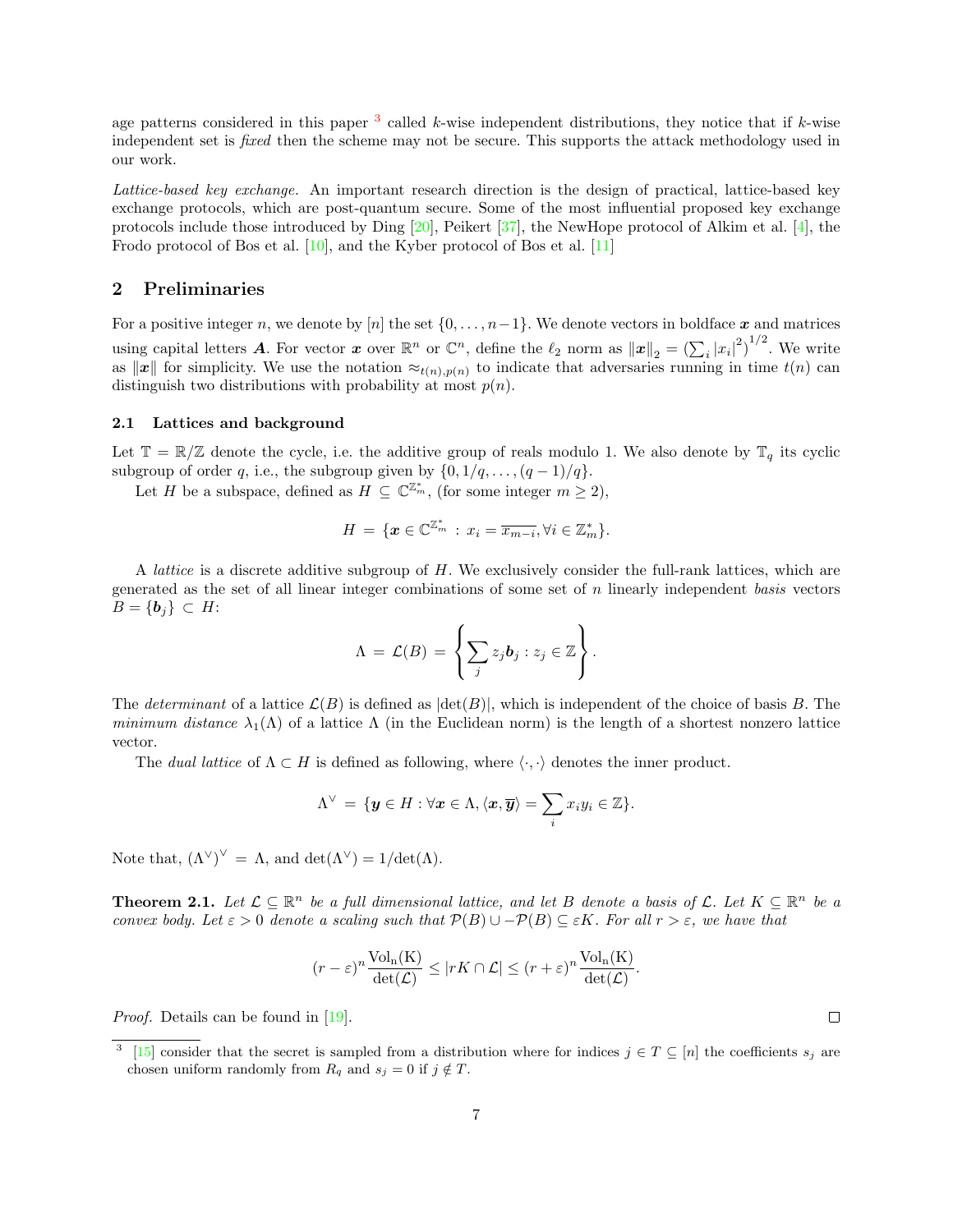age patterns considered in this paper  $3$  called k-wise independent distributions, they notice that if k-wise independent set is *fixed* then the scheme may not be secure. This supports the attack methodology used in our work.

Lattice-based key exchange. An important research direction is the design of practical, lattice-based key exchange protocols, which are post-quantum secure. Some of the most influential proposed key exchange protocols include those introduced by Ding [\[20\]](#page-26-18), Peikert [\[37\]](#page-27-8), the NewHope protocol of Alkim et al. [\[4\]](#page-25-0), the Frodo protocol of Bos et al. [\[10\]](#page-26-19), and the Kyber protocol of Bos et al. [\[11\]](#page-26-20)

## 2 Preliminaries

For a positive integer n, we denote by [n] the set  $\{0, \ldots, n-1\}$ . We denote vectors in boldface x and matrices using capital letters **A**. For vector **x** over  $\mathbb{R}^n$  or  $\mathbb{C}^n$ , define the  $\ell_2$  norm as  $\|\mathbf{x}\|_2 = \left(\sum_i |x_i|^2\right)^{1/2}$ . We write as  $\|\boldsymbol{x}\|$  for simplicity. We use the notation  $\approx_{t(n),p(n)}$  to indicate that adversaries running in time  $t(n)$  can distinguish two distributions with probability at most  $p(n)$ .

### 2.1 Lattices and background

Let  $\mathbb{T} = \mathbb{R}/\mathbb{Z}$  denote the cycle, i.e. the additive group of reals modulo 1. We also denote by  $\mathbb{T}_q$  its cyclic subgroup of order q, i.e., the subgroup given by  $\{0, 1/q, ..., (q-1)/q\}.$ 

Let H be a subspace, defined as  $H \subseteq \mathbb{C}^{\mathbb{Z}_m}$ , (for some integer  $m \geq 2$ ),

$$
H = \{ \boldsymbol{x} \in \mathbb{C}^{\mathbb{Z}_m^*} : x_i = \overline{x_{m-i}}, \forall i \in \mathbb{Z}_m^* \}.
$$

A lattice is a discrete additive subgroup of H. We exclusively consider the full-rank lattices, which are generated as the set of all linear integer combinations of some set of n linearly independent basis vectors  $B = \{b_j\} \subset H$ :

$$
\Lambda = \mathcal{L}(B) = \left\{ \sum_j z_j \mathbf{b}_j : z_j \in \mathbb{Z} \right\}.
$$

The determinant of a lattice  $\mathcal{L}(B)$  is defined as  $|\text{det}(B)|$ , which is independent of the choice of basis B. The minimum distance  $\lambda_1(\Lambda)$  of a lattice  $\Lambda$  (in the Euclidean norm) is the length of a shortest nonzero lattice vector.

The dual lattice of  $\Lambda \subset H$  is defined as following, where  $\langle \cdot, \cdot \rangle$  denotes the inner product.

$$
\Lambda^\vee\,=\,\{\bm{y}\in H:\forall \bm{x}\in \Lambda, \langle\bm{x},\overline{\bm{y}}\rangle=\sum_i x_i y_i\in\mathbb{Z}\}.
$$

<span id="page-6-1"></span>Note that,  $({\Lambda}^{\vee})^{\vee} = \Lambda$ , and  $\det({\Lambda}^{\vee}) = 1/\det(\Lambda)$ .

**Theorem 2.1.** Let  $\mathcal{L} \subseteq \mathbb{R}^n$  be a full dimensional lattice, and let B denote a basis of L. Let  $K \subseteq \mathbb{R}^n$  be a convex body. Let  $\varepsilon > 0$  denote a scaling such that  $\mathcal{P}(B) \cup \mathcal{P}(B) \subset \varepsilon K$ . For all  $r > \varepsilon$ , we have that

$$
(r - \varepsilon)^n \frac{\text{Vol}_n(\mathbf{K})}{\det(\mathcal{L})} \le |rK \cap \mathcal{L}| \le (r + \varepsilon)^n \frac{\text{Vol}_n(\mathbf{K})}{\det(\mathcal{L})}
$$

.

Proof. Details can be found in [\[19\]](#page-26-21).

 $\Box$ 

<span id="page-6-0"></span><sup>3</sup> [\[15\]](#page-26-17) consider that the secret is sampled from a distribution where for indices  $j \in T \subseteq [n]$  the coefficients  $s_j$  are chosen uniform randomly from  $R_q$  and  $s_j = 0$  if  $j \notin T$ .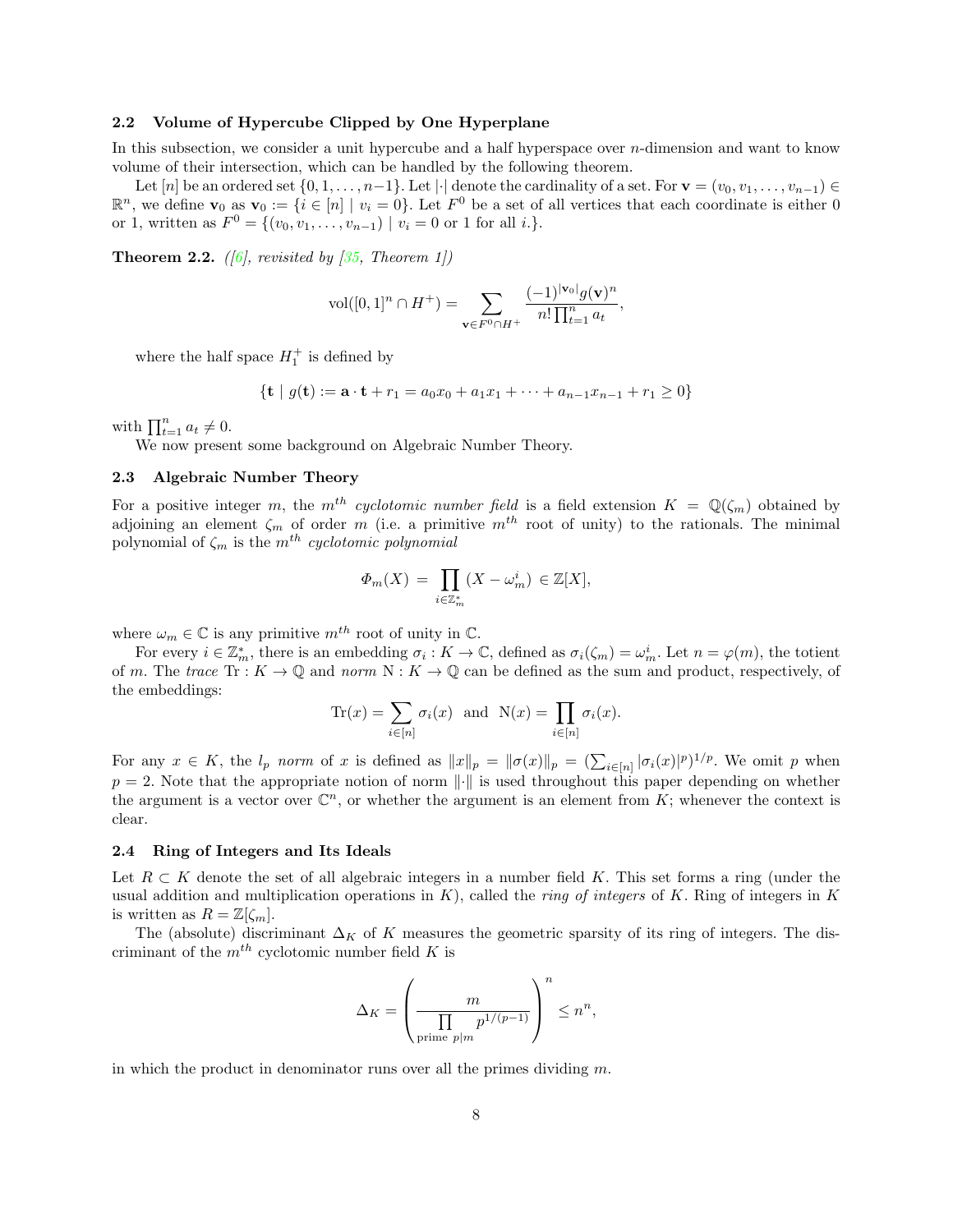## 2.2 Volume of Hypercube Clipped by One Hyperplane

In this subsection, we consider a unit hypercube and a half hyperspace over  $n$ -dimension and want to know volume of their intersection, which can be handled by the following theorem.

Let  $[n]$  be an ordered set  $\{0, 1, \ldots, n-1\}$ . Let  $|\cdot|$  denote the cardinality of a set. For  $\mathbf{v} = (v_0, v_1, \ldots, v_{n-1}) \in$  $\mathbb{R}^n$ , we define  $\mathbf{v}_0$  as  $\mathbf{v}_0 := \{i \in [n] \mid v_i = 0\}$ . Let  $F^0$  be a set of all vertices that each coordinate is either 0 or 1, written as  $F^0 = \{(v_0, v_1, \ldots, v_{n-1}) \mid v_i = 0 \text{ or } 1 \text{ for all } i.\}.$ 

<span id="page-7-0"></span>**Theorem 2.2.** ([\[6\]](#page-26-22), revisited by [\[35,](#page-27-9) Theorem 1])

$$
\text{vol}([0,1]^n \cap H^+) = \sum_{\mathbf{v} \in F^0 \cap H^+} \frac{(-1)^{|\mathbf{v}_0|} g(\mathbf{v})^n}{n! \prod_{t=1}^n a_t},
$$

where the half space  $H_1^+$  is defined by

$$
\{\mathbf{t} \mid g(\mathbf{t}) := \mathbf{a} \cdot \mathbf{t} + r_1 = a_0 x_0 + a_1 x_1 + \dots + a_{n-1} x_{n-1} + r_1 \ge 0\}
$$

with  $\prod_{t=1}^{n} a_t \neq 0$ .

We now present some background on Algebraic Number Theory.

## 2.3 Algebraic Number Theory

For a positive integer m, the m<sup>th</sup> cyclotomic number field is a field extension  $K = \mathbb{Q}(\zeta_m)$  obtained by adjoining an element  $\zeta_m$  of order m (i.e. a primitive  $m^{th}$  root of unity) to the rationals. The minimal polynomial of  $\zeta_m$  is the  $m^{th}$  cyclotomic polynomial

$$
\Phi_m(X) = \prod_{i \in \mathbb{Z}_m^*} (X - \omega_m^i) \in \mathbb{Z}[X],
$$

where  $\omega_m \in \mathbb{C}$  is any primitive  $m^{th}$  root of unity in  $\mathbb{C}$ .

For every  $i \in \mathbb{Z}_m^*$ , there is an embedding  $\sigma_i : K \to \mathbb{C}$ , defined as  $\sigma_i(\zeta_m) = \omega_m^i$ . Let  $n = \varphi(m)$ , the totient of m. The trace  $\text{Tr}: K \to \mathbb{Q}$  and norm  $N: K \to \mathbb{Q}$  can be defined as the sum and product, respectively, of the embeddings:

$$
\operatorname{Tr}(x) = \sum_{i \in [n]} \sigma_i(x) \text{ and } \operatorname{N}(x) = \prod_{i \in [n]} \sigma_i(x).
$$

For any  $x \in K$ , the  $l_p$  norm of x is defined as  $||x||_p = ||\sigma(x)||_p = (\sum_{i \in [n]} |\sigma_i(x)|^p)^{1/p}$ . We omit p when  $p = 2$ . Note that the appropriate notion of norm  $\|\cdot\|$  is used throughout this paper depending on whether the argument is a vector over  $\mathbb{C}^n$ , or whether the argument is an element from K; whenever the context is clear.

#### 2.4 Ring of Integers and Its Ideals

Let  $R \subset K$  denote the set of all algebraic integers in a number field K. This set forms a ring (under the usual addition and multiplication operations in  $K$ ), called the *ring of integers* of K. Ring of integers in K is written as  $R = \mathbb{Z}[\zeta_m].$ 

The (absolute) discriminant  $\Delta_K$  of K measures the geometric sparsity of its ring of integers. The discriminant of the  $m^{th}$  cyclotomic number field K is

$$
\Delta_K = \left(\frac{m}{\prod_{\text{prime }p|m} p^{1/(p-1)}}\right)^n \le n^n,
$$

in which the product in denominator runs over all the primes dividing  $m$ .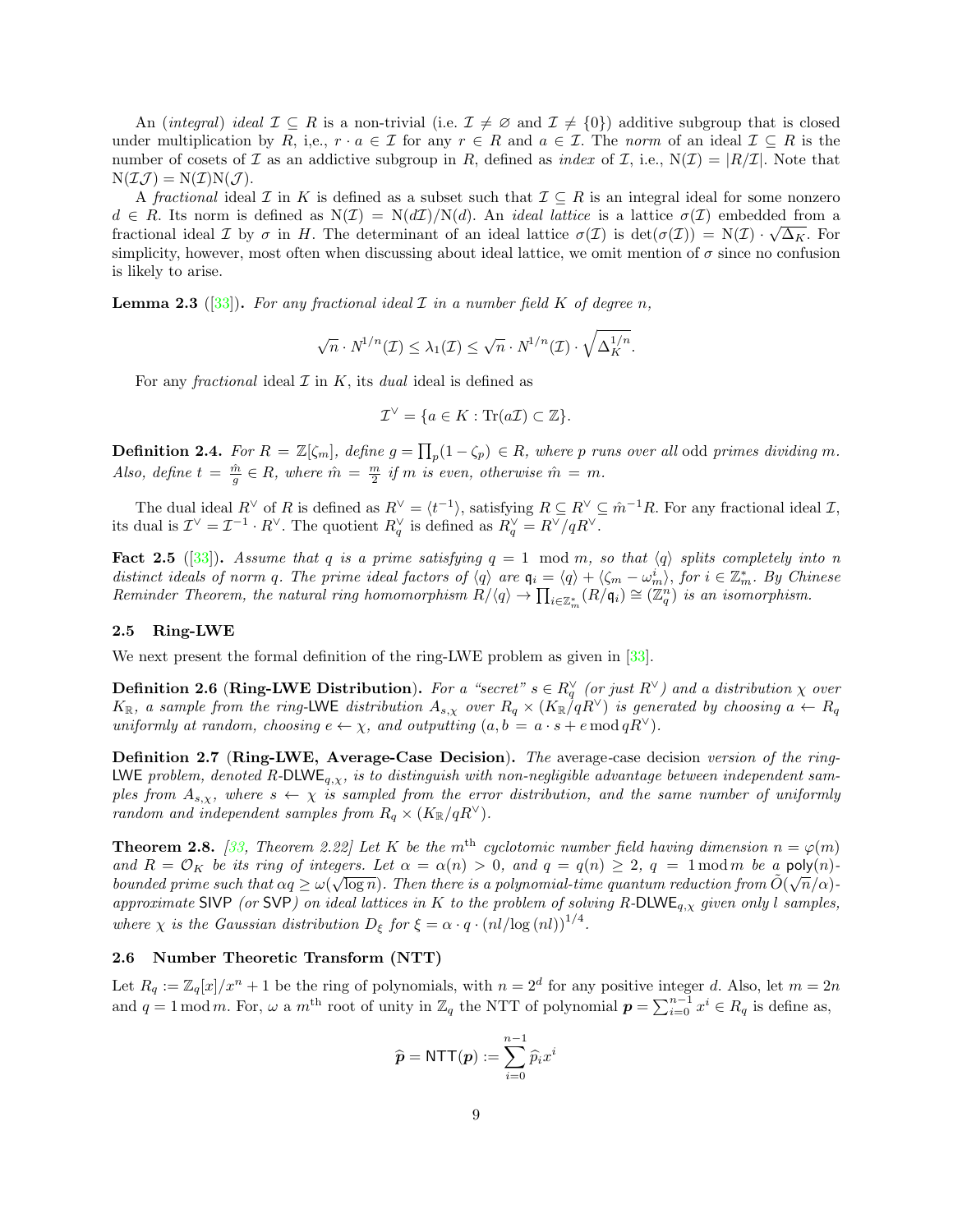An (integral) ideal  $\mathcal{I} \subseteq R$  is a non-trivial (i.e.  $\mathcal{I} \neq \emptyset$  and  $\mathcal{I} \neq \{0\}$ ) additive subgroup that is closed under multiplication by R, i,e.,  $r \cdot a \in \mathcal{I}$  for any  $r \in R$  and  $a \in \mathcal{I}$ . The norm of an ideal  $\mathcal{I} \subseteq R$  is the number of cosets of  $\mathcal I$  as an addictive subgroup in R, defined as *index* of  $\mathcal I$ , i.e.,  $N(\mathcal I) = |R/\mathcal I|$ . Note that  $N(\mathcal{I}\mathcal{J}) = N(\mathcal{I})N(\mathcal{J}).$ 

A fractional ideal  $\mathcal I$  in K is defined as a subset such that  $\mathcal I \subseteq R$  is an integral ideal for some nonzero  $d \in R$ . Its norm is defined as  $N(\mathcal{I}) = N(d\mathcal{I})/N(d)$ . An *ideal lattice* is a lattice  $\sigma(\mathcal{I})$  embedded from a fractional ideal  $\mathcal I$  by  $\sigma$  in H. The determinant of an ideal lattice  $\sigma(\mathcal I)$  is  $\det(\sigma(\mathcal I)) = N(\mathcal I) \cdot \sqrt{\Delta_K}$ . For simplicity, however, most often when discussing about ideal lattice, we omit mention of  $\sigma$  since no confusion is likely to arise.

**Lemma 2.3** ([\[33\]](#page-27-10)). For any fractional ideal  $\mathcal I$  in a number field  $K$  of degree n,

$$
\sqrt{n} \cdot N^{1/n}(\mathcal{I}) \le \lambda_1(\mathcal{I}) \le \sqrt{n} \cdot N^{1/n}(\mathcal{I}) \cdot \sqrt{\Delta_K^{1/n}}.
$$

For any *fractional* ideal  $\mathcal I$  in K, its *dual* ideal is defined as

$$
\mathcal{I}^{\vee} = \{ a \in K : \text{Tr}(a\mathcal{I}) \subset \mathbb{Z} \}.
$$

**Definition 2.4.** For  $R = \mathbb{Z}[\zeta_m]$ , define  $g = \prod_p (1 - \zeta_p) \in R$ , where p runs over all odd primes dividing m. Also, define  $t = \frac{\hat{m}}{g} \in R$ , where  $\hat{m} = \frac{m}{2}$  if m is even, otherwise  $\hat{m} = m$ .

The dual ideal  $R^{\vee}$  of R is defined as  $R^{\vee} = \langle t^{-1} \rangle$ , satisfying  $R \subseteq R^{\vee} \subseteq \hat{m}^{-1}R$ . For any fractional ideal  $\mathcal{I}$ , its dual is  $\mathcal{I}^{\vee} = \mathcal{I}^{-1} \cdot R^{\vee}$ . The quotient  $R_q^{\vee}$  is defined as  $R_q^{\vee} = R^{\vee}/qR^{\vee}$ .

**Fact 2.5** ([\[33\]](#page-27-10)). Assume that q is a prime satisfying  $q = 1 \mod m$ , so that  $\langle q \rangle$  splits completely into n distinct ideals of norm q. The prime ideal factors of  $\langle q \rangle$  are  $q_i = \langle q \rangle + \langle \zeta_m - \omega_m^i \rangle$ , for  $i \in \mathbb{Z}_m^*$ . By Chinese Reminder Theorem, the natural ring homomorphism  $R/\langle q \rangle \to \prod_{i \in \mathbb{Z}_m^*} (R/\mathfrak{q}_i) \cong (\mathbb{Z}_q^n)$  is an isomorphism.

#### 2.5 Ring-LWE

We next present the formal definition of the ring-LWE problem as given in [\[33\]](#page-27-10).

<span id="page-8-1"></span>**Definition 2.6 (Ring-LWE Distribution).** For a "secret"  $s \in R_q^{\vee}$  (or just  $R^{\vee}$ ) and a distribution  $\chi$  over  $K_{\mathbb{R}}$ , a sample from the ring-LWE distribution  $A_{s,\chi}$  over  $R_q \times (K_{\mathbb{R}}/qR^{\vee})$  is generated by choosing  $a \leftarrow R_q$ uniformly at random, choosing  $e \leftarrow \chi$ , and outputting  $(a, b = a \cdot s + e \mod qR^{\vee})$ .

<span id="page-8-0"></span>Definition 2.7 (Ring-LWE, Average-Case Decision). The average-case decision version of the ring-LWE problem, denoted R-DLWE<sub>q, $x$ </sub>, is to distinguish with non-negligible advantage between independent samples from  $A_{s,x}$ , where  $s \leftarrow \chi$  is sampled from the error distribution, and the same number of uniformly random and independent samples from  $R_q \times (K_{\mathbb{R}}/qR^{\vee}).$ 

**Theorem 2.8.** [\[33,](#page-27-10) Theorem 2.22] Let K be the m<sup>th</sup> cyclotomic number field having dimension  $n = \varphi(m)$ and  $R = \mathcal{O}_K$  be its ring of integers. Let  $\alpha = \alpha(n) > 0$ , and  $q = q(n) \geq 2$ ,  $q = 1 \mod m$  be a poly $(n)$ bounded prime such that  $\alpha q \ge \omega(\sqrt{\log n})$ . Then there is a polynomial-time quantum reduction from  $\tilde{O}(\sqrt{n}/\alpha)$ approximate SIVP (or SVP) on ideal lattices in K to the problem of solving R-DLWE<sub>q, $\chi$ </sub> given only l samples, where  $\chi$  is the Gaussian distribution  $D_{\xi}$  for  $\xi = \alpha \cdot q \cdot (nl/\log (nl))^{1/4}$ .

## 2.6 Number Theoretic Transform (NTT)

Let  $R_q := \mathbb{Z}_q[x]/x^n + 1$  be the ring of polynomials, with  $n = 2^d$  for any positive integer d. Also, let  $m = 2n$ and  $q = 1 \mod m$ . For,  $\omega$  a  $m^{\text{th}}$  root of unity in  $\mathbb{Z}_q$  the NTT of polynomial  $p = \sum_{i=0}^{n-1} x^i \in R_q$  is define as,

$$
\widehat{\boldsymbol{p}} = \mathsf{NTT}(\boldsymbol{p}) := \sum_{i=0}^{n-1} \widehat{p}_i x^i
$$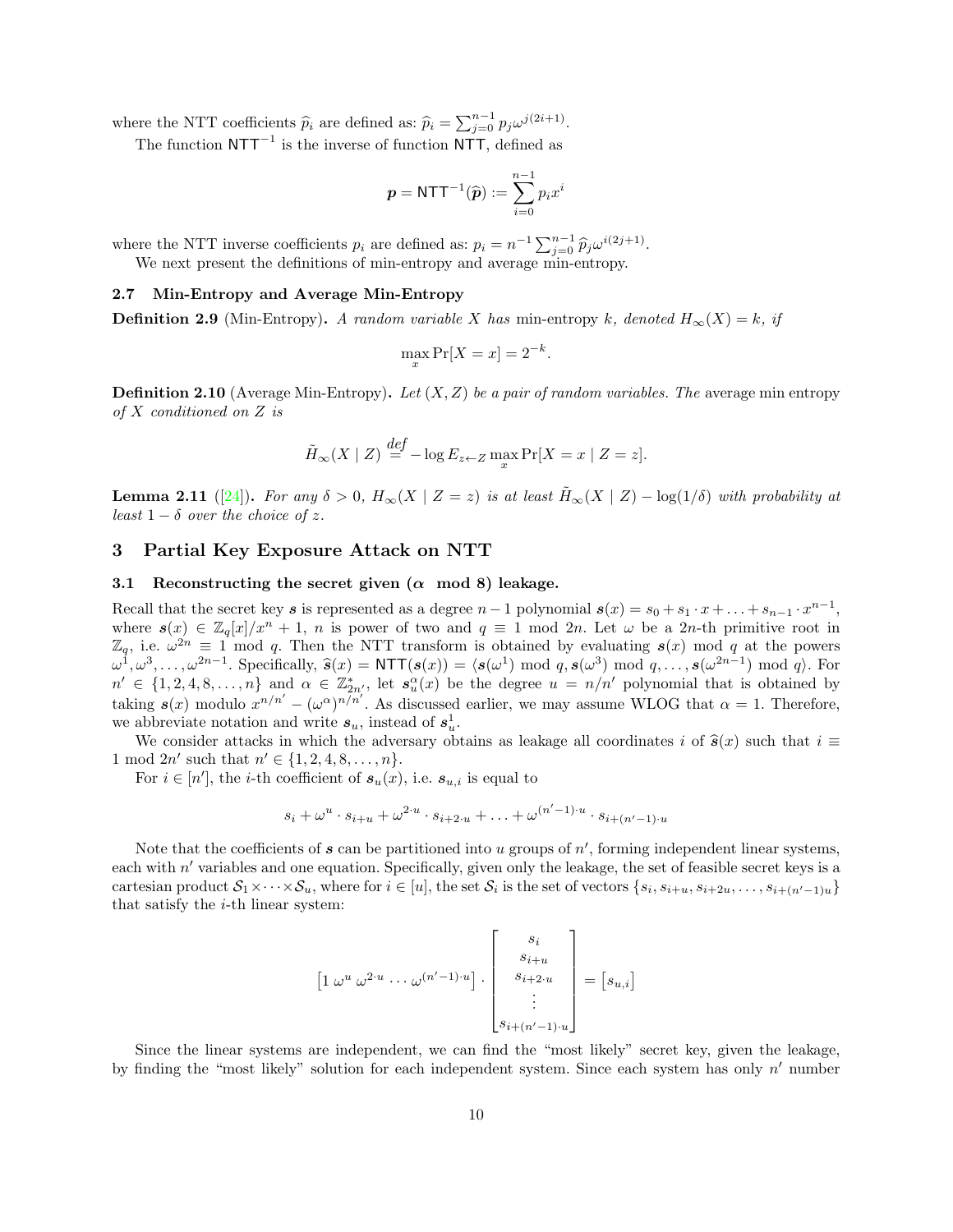where the NTT coefficients  $\hat{p}_i$  are defined as:  $\hat{p}_i = \sum_{j=0}^{n-1} p_j \omega^{j(2i+1)}$ .

The function  $NTT^{-1}$  is the inverse of function NTT, defined as

$$
\boldsymbol{p} = \textsf{NTT}^{-1}(\widehat{\boldsymbol{p}}) := \sum_{i=0}^{n-1} p_i x^i
$$

where the NTT inverse coefficients  $p_i$  are defined as:  $p_i = n^{-1} \sum_{j=0}^{n-1} \hat{p}_j \omega^{i(2j+1)}$ .<br>We now present the definitions of min entropy and average min entropy.

We next present the definitions of min-entropy and average min-entropy.

#### 2.7 Min-Entropy and Average Min-Entropy

**Definition 2.9** (Min-Entropy). A random variable X has min-entropy k, denoted  $H_{\infty}(X) = k$ , if

$$
\max_x \Pr[X = x] = 2^{-k}.
$$

**Definition 2.10** (Average Min-Entropy). Let  $(X, Z)$  be a pair of random variables. The average min entropy of X conditioned on Z is

$$
\tilde{H}_{\infty}(X \mid Z) \stackrel{def}{=} -\log E_{z \leftarrow Z} \max_{x} \Pr[X = x \mid Z = z].
$$

**Lemma 2.11** ([\[24\]](#page-26-23)). For any  $\delta > 0$ ,  $H_{\infty}(X | Z = z)$  is at least  $\tilde{H}_{\infty}(X | Z) - \log(1/\delta)$  with probability at least  $1 - \delta$  over the choice of z.

## <span id="page-9-0"></span>3 Partial Key Exposure Attack on NTT

## 3.1 Reconstructing the secret given  $(\alpha \mod 8)$  leakage.

Recall that the secret key s is represented as a degree  $n-1$  polynomial  $s(x) = s_0 + s_1 \cdot x + \ldots + s_{n-1} \cdot x^{n-1}$ , where  $s(x) \in \mathbb{Z}_q[x]/x^n + 1$ , n is power of two and  $q \equiv 1 \mod 2n$ . Let  $\omega$  be a 2n-th primitive root in  $\mathbb{Z}_q$ , i.e.  $\omega^{2n} \equiv 1 \mod q$ . Then the NTT transform is obtained by evaluating  $s(x) \mod q$  at the powers  $\omega^1, \omega^3, \ldots, \omega^{2n-1}$ . Specifically,  $\hat{s}(x) = \text{NTT}(s(x)) = \langle s(\omega^1) \bmod q, s(\omega^3) \bmod q, \ldots, s(\omega^{2n-1}) \bmod q \rangle$ . For  $n' \in \{1, 2, 4, 8, \ldots, n\}$  and  $\alpha \in \mathbb{Z}_{2n'}^*$ , let  $s_u^{\alpha}(x)$  be the degree  $u = n/n'$  polynomial that is obtained by taking  $s(x)$  modulo  $x^{n/n'} - (\omega^{\alpha})^{n/n'}$ . As discussed earlier, we may assume WLOG that  $\alpha = 1$ . Therefore, we abbreviate notation and write  $s_u$ , instead of  $s_u^1$ .

We consider attacks in which the adversary obtains as leakage all coordinates i of  $\hat{\mathbf{s}}(x)$  such that  $i \equiv$ 1 mod  $2n'$  such that  $n' \in \{1, 2, 4, 8, \ldots, n\}.$ 

For  $i \in [n']$ , the *i*-th coefficient of  $s_u(x)$ , i.e.  $s_{u,i}$  is equal to

$$
s_i + \omega^u \cdot s_{i+u} + \omega^{2 \cdot u} \cdot s_{i+2 \cdot u} + \ldots + \omega^{(n'-1) \cdot u} \cdot s_{i+(n'-1) \cdot u}
$$

Note that the coefficients of  $s$  can be partitioned into  $u$  groups of  $n'$ , forming independent linear systems, each with  $n'$  variables and one equation. Specifically, given only the leakage, the set of feasible secret keys is a cartesian product  $S_1 \times \cdots \times S_u$ , where for  $i \in [u]$ , the set  $S_i$  is the set of vectors  $\{s_i, s_{i+u}, s_{i+2u}, \ldots, s_{i+(n'-1)u}\}$ that satisfy the  $i$ -th linear system:

$$
\[1 \omega^u \omega^{2 \cdot u} \cdots \omega^{(n'-1) \cdot u}\] \cdot \begin{bmatrix} s_i \\ s_{i+u} \\ s_{i+2 \cdot u} \\ \vdots \\ s_{i+(n'-1) \cdot u} \end{bmatrix} = [s_{u,i}]
$$

Since the linear systems are independent, we can find the "most likely" secret key, given the leakage, by finding the "most likely" solution for each independent system. Since each system has only  $n'$  number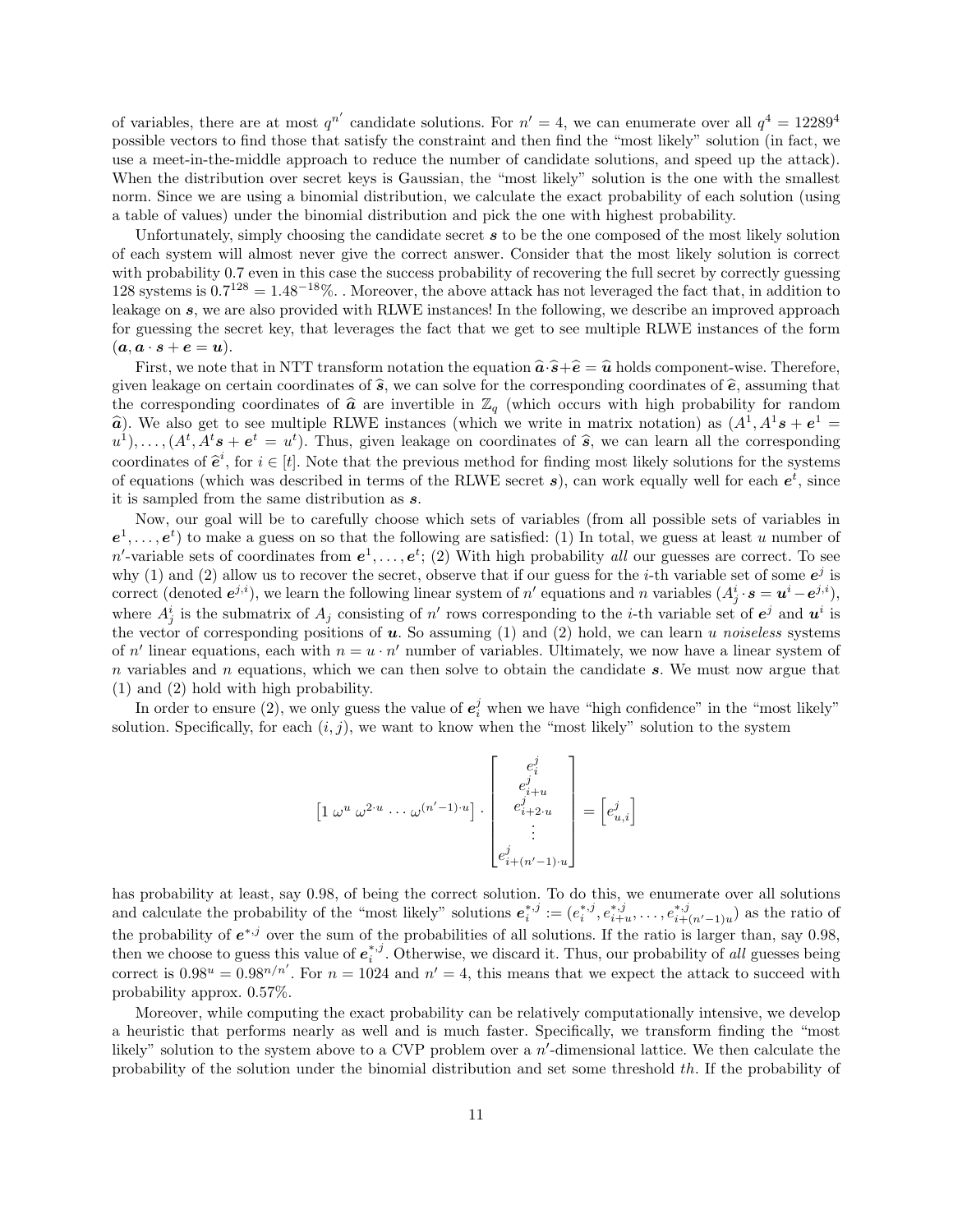of variables, there are at most  $q^{n'}$  candidate solutions. For  $n' = 4$ , we can enumerate over all  $q^4 = 12289^4$ possible vectors to find those that satisfy the constraint and then find the "most likely" solution (in fact, we use a meet-in-the-middle approach to reduce the number of candidate solutions, and speed up the attack). When the distribution over secret keys is Gaussian, the "most likely" solution is the one with the smallest norm. Since we are using a binomial distribution, we calculate the exact probability of each solution (using a table of values) under the binomial distribution and pick the one with highest probability.

Unfortunately, simply choosing the candidate secret  $s$  to be the one composed of the most likely solution of each system will almost never give the correct answer. Consider that the most likely solution is correct with probability 0.7 even in this case the success probability of recovering the full secret by correctly guessing 128 systems is  $0.7^{128} = 1.48^{-18}\%$ . Moreover, the above attack has not leveraged the fact that, in addition to leakage on s, we are also provided with RLWE instances! In the following, we describe an improved approach for guessing the secret key, that leverages the fact that we get to see multiple RLWE instances of the form  $(a, a \cdot s + e = u).$ 

First, we note that in NTT transform notation the equation  $\hat{a} \cdot \hat{s} + \hat{e} = \hat{u}$  holds component-wise. Therefore, given leakage on certain coordinates of  $\hat{s}$ , we can solve for the corresponding coordinates of  $\hat{e}$ , assuming that the corresponding coordinates of  $\hat{a}$  are invertible in  $\mathbb{Z}_q$  (which occurs with high probability for random  $\hat{a}$ ). We also get to see multiple RLWE instances (which we write in matrix notation) as  $(A^1, A^1 s + e^1 = a^1)$ <br> $(A^t, A^t s + e^t - a^t)$ . Thus, given lookage on coordinates of  $\hat{a}$ , we can learn all the corresponding  $u^1$ , ...,  $(A^t, A^t s + e^t = u^t)$ . Thus, given leakage on coordinates of  $\hat{s}$ , we can learn all the corresponding<br>coordinates of  $\hat{s}^i$ , for  $i \in [t]$ . Note that the previews mathed for finding mest likely solutions for coordinates of  $\hat{\mathbf{e}}^i$ , for  $i \in [t]$ . Note that the previous method for finding most likely solutions for the systems of counting (which was described in terms of the BLWE second a), son work equally well for each  $\$ of equations (which was described in terms of the RLWE secret  $s$ ), can work equally well for each  $e^t$ , since it is sampled from the same distribution as s.

Now, our goal will be to carefully choose which sets of variables (from all possible sets of variables in  $e^1, \ldots, e^t$  to make a guess on so that the following are satisfied: (1) In total, we guess at least u number of n'-variable sets of coordinates from  $e^1, \ldots, e^t$ ; (2) With high probability all our guesses are correct. To see why (1) and (2) allow us to recover the secret, observe that if our guess for the *i*-th variable set of some  $e^{j}$  is correct (denoted  $e^{j,i}$ ), we learn the following linear system of n' equations and n variables  $(A_j^i \cdot s = u^i - e^{j,i})$ , where  $A_j^i$  is the submatrix of  $A_j$  consisting of n' rows corresponding to the *i*-th variable set of  $e^j$  and  $u^i$  is the vector of corresponding positions of  $u$ . So assuming (1) and (2) hold, we can learn u noiseless systems of n' linear equations, each with  $n = u \cdot n'$  number of variables. Ultimately, we now have a linear system of n variables and n equations, which we can then solve to obtain the candidate  $s$ . We must now argue that (1) and (2) hold with high probability.

In order to ensure (2), we only guess the value of  $e_i^j$  when we have "high confidence" in the "most likely" solution. Specifically, for each  $(i, j)$ , we want to know when the "most likely" solution to the system

$$
\begin{bmatrix} 1 \omega^u \omega^{2 \cdot u} \cdots \omega^{(n'-1) \cdot u} \end{bmatrix} \cdot \begin{bmatrix} e_i^j \\ e_{i+u}^j \\ e_{i+2 \cdot u}^j \\ \vdots \\ e_{i+(n'-1) \cdot u}^j \end{bmatrix} = \begin{bmatrix} e_{u,i}^j \end{bmatrix}
$$

has probability at least, say 0.98, of being the correct solution. To do this, we enumerate over all solutions and calculate the probability of the "most likely" solutions  $e_i^{*,j} := (e_i^{*,j}, e_{i+u}^{*,j}, \ldots, e_{i+(n'-1)u}^{*,j})$  as the ratio of the probability of  $e^{*,j}$  over the sum of the probabilities of all solutions. If the ratio is larger than, say 0.98, then we choose to guess this value of  $e_i^{*,j}$ . Otherwise, we discard it. Thus, our probability of all guesses being correct is  $0.98^u = 0.98^{n/n'}$ . For  $n = 1024$  and  $n' = 4$ , this means that we expect the attack to succeed with probability approx. 0.57%.

Moreover, while computing the exact probability can be relatively computationally intensive, we develop a heuristic that performs nearly as well and is much faster. Specifically, we transform finding the "most likely" solution to the system above to a CVP problem over a  $n'$ -dimensional lattice. We then calculate the probability of the solution under the binomial distribution and set some threshold th. If the probability of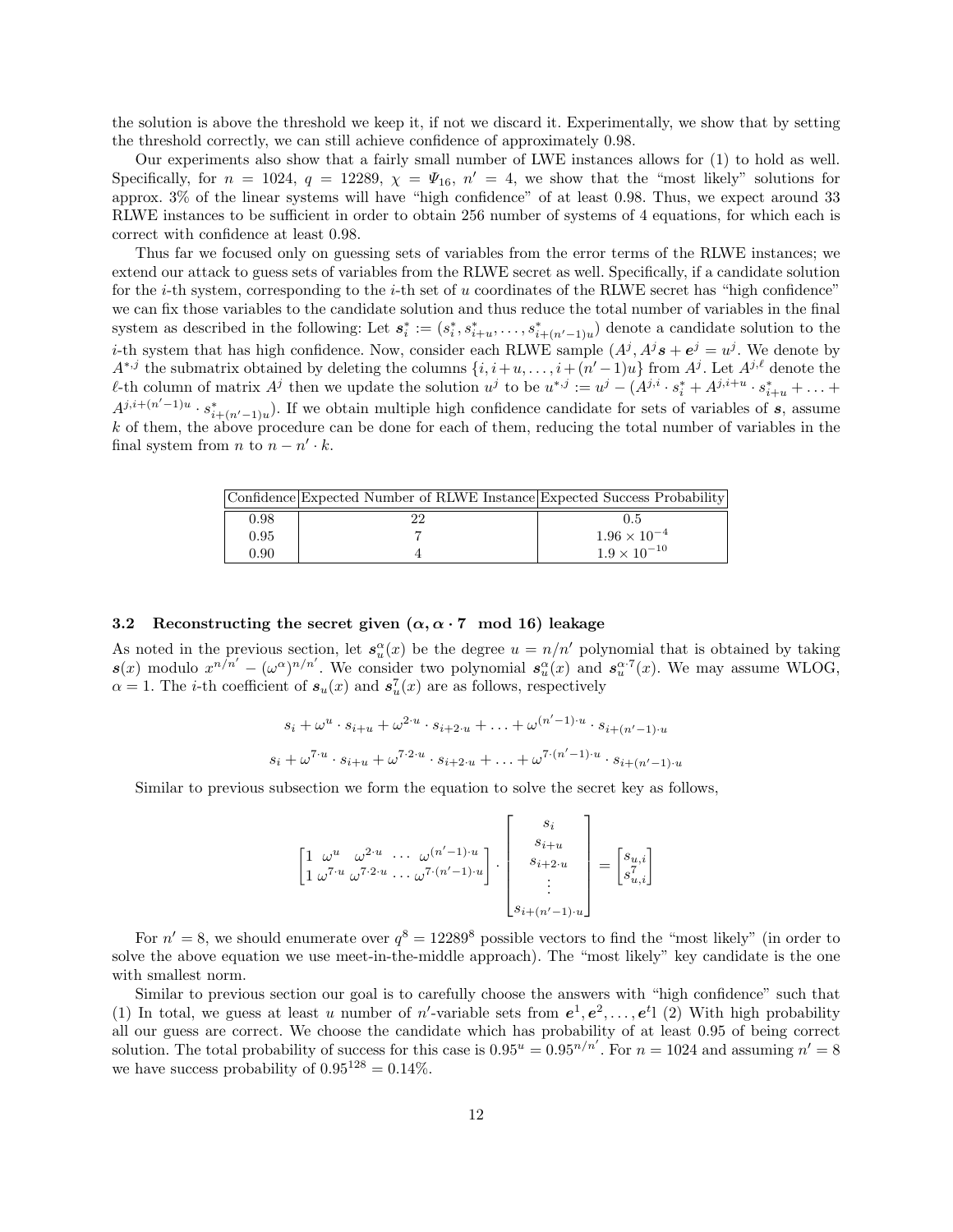the solution is above the threshold we keep it, if not we discard it. Experimentally, we show that by setting the threshold correctly, we can still achieve confidence of approximately 0.98.

Our experiments also show that a fairly small number of LWE instances allows for (1) to hold as well. Specifically, for  $n = 1024$ ,  $q = 12289$ ,  $\chi = \Psi_{16}$ ,  $n' = 4$ , we show that the "most likely" solutions for approx. 3% of the linear systems will have "high confidence" of at least 0.98. Thus, we expect around 33 RLWE instances to be sufficient in order to obtain 256 number of systems of 4 equations, for which each is correct with confidence at least 0.98.

Thus far we focused only on guessing sets of variables from the error terms of the RLWE instances; we extend our attack to guess sets of variables from the RLWE secret as well. Specifically, if a candidate solution for the *i*-th system, corresponding to the *i*-th set of u coordinates of the RLWE secret has "high confidence" we can fix those variables to the candidate solution and thus reduce the total number of variables in the final system as described in the following: Let  $s_i^* := (s_i^*, s_{i+u}^*, \ldots, s_{i+(n'-1)u}^*)$  denote a candidate solution to the *i*-th system that has high confidence. Now, consider each RLWE sample  $(A^{j}, A^{j} s + e^{j} = u^{j}$ . We denote by  $A^{*,j}$  the submatrix obtained by deleting the columns  $\{i, i+u, \ldots, i+(n'-1)u\}$  from  $A^j$ . Let  $A^{j,\ell}$  denote the  $\ell$ -th column of matrix  $A^j$  then we update the solution  $u^j$  to be  $u^{*,j} := u^j - (A^{j,i} \cdot s_i^* + A^{j,i+u} \cdot s_{i+u}^* + \ldots + A^{j+1} \cdot s_i^*)$  $A^{j,i+(n'-1)u} \cdot s_{i+(n'-1)u}^*$ ). If we obtain multiple high confidence candidate for sets of variables of s, assume  $k$  of them, the above procedure can be done for each of them, reducing the total number of variables in the final system from *n* to  $n - n' \cdot k$ .

|      | Confidence Expected Number of RLWE Instance Expected Success Probability |                       |
|------|--------------------------------------------------------------------------|-----------------------|
| 0.98 |                                                                          | 0.5                   |
| 0.95 |                                                                          | $1.96 \times 10^{-4}$ |
| 0.90 |                                                                          | $1.9 \times 10^{-10}$ |

## 3.2 Reconstructing the secret given  $(\alpha, \alpha \cdot 7 \mod 16)$  leakage

As noted in the previous section, let  $s_u^{\alpha}(x)$  be the degree  $u = n/n'$  polynomial that is obtained by taking  $s(x)$  modulo  $x^{n/n'} - (\omega^{\alpha})^{n/n'}$ . We consider two polynomial  $s_u^{\alpha}(x)$  and  $s_u^{\alpha.7}(x)$ . We may assume WLOG,  $\alpha = 1$ . The *i*-th coefficient of  $s_u(x)$  and  $s_u^7(x)$  are as follows, respectively

$$
s_i + \omega^u \cdot s_{i+u} + \omega^{2 \cdot u} \cdot s_{i+2 \cdot u} + \dots + \omega^{(n'-1) \cdot u} \cdot s_{i+(n'-1) \cdot u}
$$
  

$$
s_i + \omega^{7 \cdot u} \cdot s_{i+u} + \omega^{7 \cdot 2 \cdot u} \cdot s_{i+2 \cdot u} + \dots + \omega^{7 \cdot (n'-1) \cdot u} \cdot s_{i+(n'-1) \cdot u}
$$

Similar to previous subsection we form the equation to solve the secret key as follows,

$$
\begin{bmatrix} 1 & \omega^u & \omega^{2\cdot u} & \cdots & \omega^{(n'-1)\cdot u} \\ 1 & \omega^{7\cdot u} & \omega^{7\cdot 2\cdot u} & \cdots & \omega^{7\cdot (n'-1)\cdot u} \end{bmatrix} \cdot \begin{bmatrix} s_i \\ s_{i+u} \\ s_{i+2\cdot u} \\ \vdots \\ s_{i+(n'-1)\cdot u} \end{bmatrix} = \begin{bmatrix} s_{u,i} \\ s_{u,i} \\ \vdots \end{bmatrix}
$$

For  $n' = 8$ , we should enumerate over  $q^8 = 12289^8$  possible vectors to find the "most likely" (in order to solve the above equation we use meet-in-the-middle approach). The "most likely" key candidate is the one with smallest norm.

Similar to previous section our goal is to carefully choose the answers with "high confidence" such that (1) In total, we guess at least u number of n'-variable sets from  $e^1, e^2, \ldots, e^{t_1}$  (2) With high probability all our guess are correct. We choose the candidate which has probability of at least 0.95 of being correct solution. The total probability of success for this case is  $0.95^u = 0.95^{n/n'}$ . For  $n = 1024$  and assuming  $n' = 8$ we have success probability of  $0.95^{128} = 0.14\%.$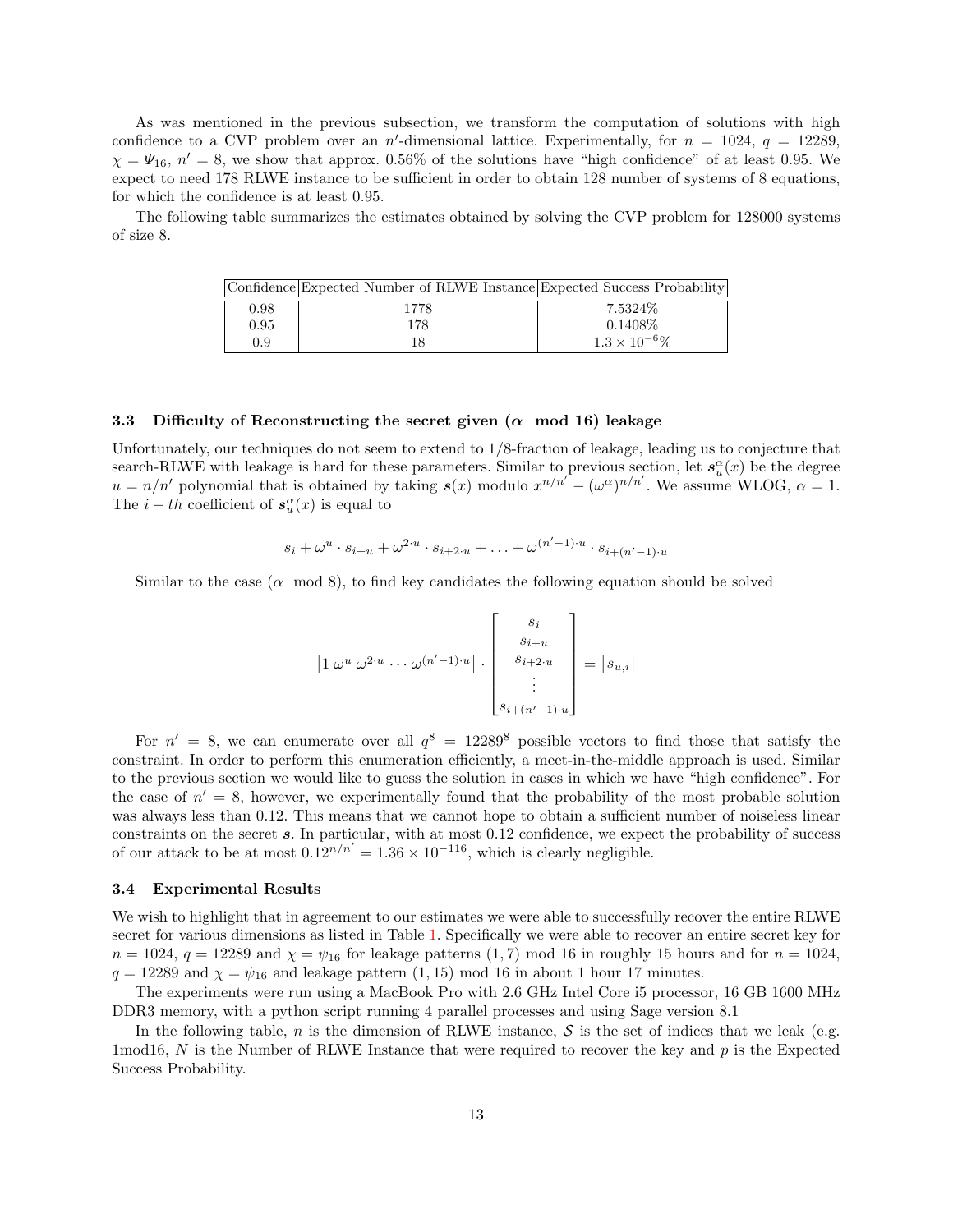As was mentioned in the previous subsection, we transform the computation of solutions with high confidence to a CVP problem over an n'-dimensional lattice. Experimentally, for  $n = 1024$ ,  $q = 12289$ ,  $\chi = \Psi_{16}$ ,  $n' = 8$ , we show that approx. 0.56% of the solutions have "high confidence" of at least 0.95. We expect to need 178 RLWE instance to be sufficient in order to obtain 128 number of systems of 8 equations, for which the confidence is at least 0.95.

The following table summarizes the estimates obtained by solving the CVP problem for 128000 systems of size 8.

|      | Confidence Expected Number of RLWE Instance Expected Success Probability |                        |
|------|--------------------------------------------------------------------------|------------------------|
| 0.98 | 1778                                                                     | 7.5324\%               |
| 0.95 | 178                                                                      | 0.1408\%               |
| 0.9  | 18                                                                       | $1.3 \times 10^{-6}\%$ |

#### 3.3 Difficulty of Reconstructing the secret given  $(\alpha \mod 16)$  leakage

Unfortunately, our techniques do not seem to extend to 1/8-fraction of leakage, leading us to conjecture that search-RLWE with leakage is hard for these parameters. Similar to previous section, let  $s_u^{\alpha}(x)$  be the degree  $u = n/n'$  polynomial that is obtained by taking  $s(x)$  modulo  $x^{n/n'} - (\omega^{\alpha})^{n/n'}$ . We assume WLOG,  $\alpha = 1$ . The  $i - th$  coefficient of  $s_u^{\alpha}(x)$  is equal to

$$
s_i + \omega^u \cdot s_{i+u} + \omega^{2\cdot u} \cdot s_{i+2\cdot u} + \ldots + \omega^{(n'-1)\cdot u} \cdot s_{i+(n'-1)\cdot u}
$$

Similar to the case  $(\alpha \mod 8)$ , to find key candidates the following equation should be solved

$$
\[1 \omega^u \omega^{2\cdot u} \cdots \omega^{(n'-1)\cdot u}\] \cdot \begin{bmatrix} s_i \\ s_{i+u} \\ s_{i+2\cdot u} \\ \vdots \\ s_{i+(n'-1)\cdot u} \end{bmatrix} = [s_{u,i}]
$$

For  $n' = 8$ , we can enumerate over all  $q^8 = 12289^8$  possible vectors to find those that satisfy the constraint. In order to perform this enumeration efficiently, a meet-in-the-middle approach is used. Similar to the previous section we would like to guess the solution in cases in which we have "high confidence". For the case of  $n' = 8$ , however, we experimentally found that the probability of the most probable solution was always less than 0.12. This means that we cannot hope to obtain a sufficient number of noiseless linear constraints on the secret s. In particular, with at most 0.12 confidence, we expect the probability of success of our attack to be at most  $0.12^{n/n'} = 1.36 \times 10^{-116}$ , which is clearly negligible.

## <span id="page-12-0"></span>3.4 Experimental Results

We wish to highlight that in agreement to our estimates we were able to successfully recover the entire RLWE secret for various dimensions as listed in Table [1.](#page-13-0) Specifically we were able to recover an entire secret key for  $n = 1024$ ,  $q = 12289$  and  $\chi = \psi_{16}$  for leakage patterns (1,7) mod 16 in roughly 15 hours and for  $n = 1024$ ,  $q = 12289$  and  $\chi = \psi_{16}$  and leakage pattern (1, 15) mod 16 in about 1 hour 17 minutes.

The experiments were run using a MacBook Pro with 2.6 GHz Intel Core i5 processor, 16 GB 1600 MHz DDR3 memory, with a python script running 4 parallel processes and using Sage version 8.1

<span id="page-12-1"></span>In the following table, n is the dimension of RLWE instance,  $S$  is the set of indices that we leak (e.g. 1mod16, N is the Number of RLWE Instance that were required to recover the key and  $p$  is the Expected Success Probability.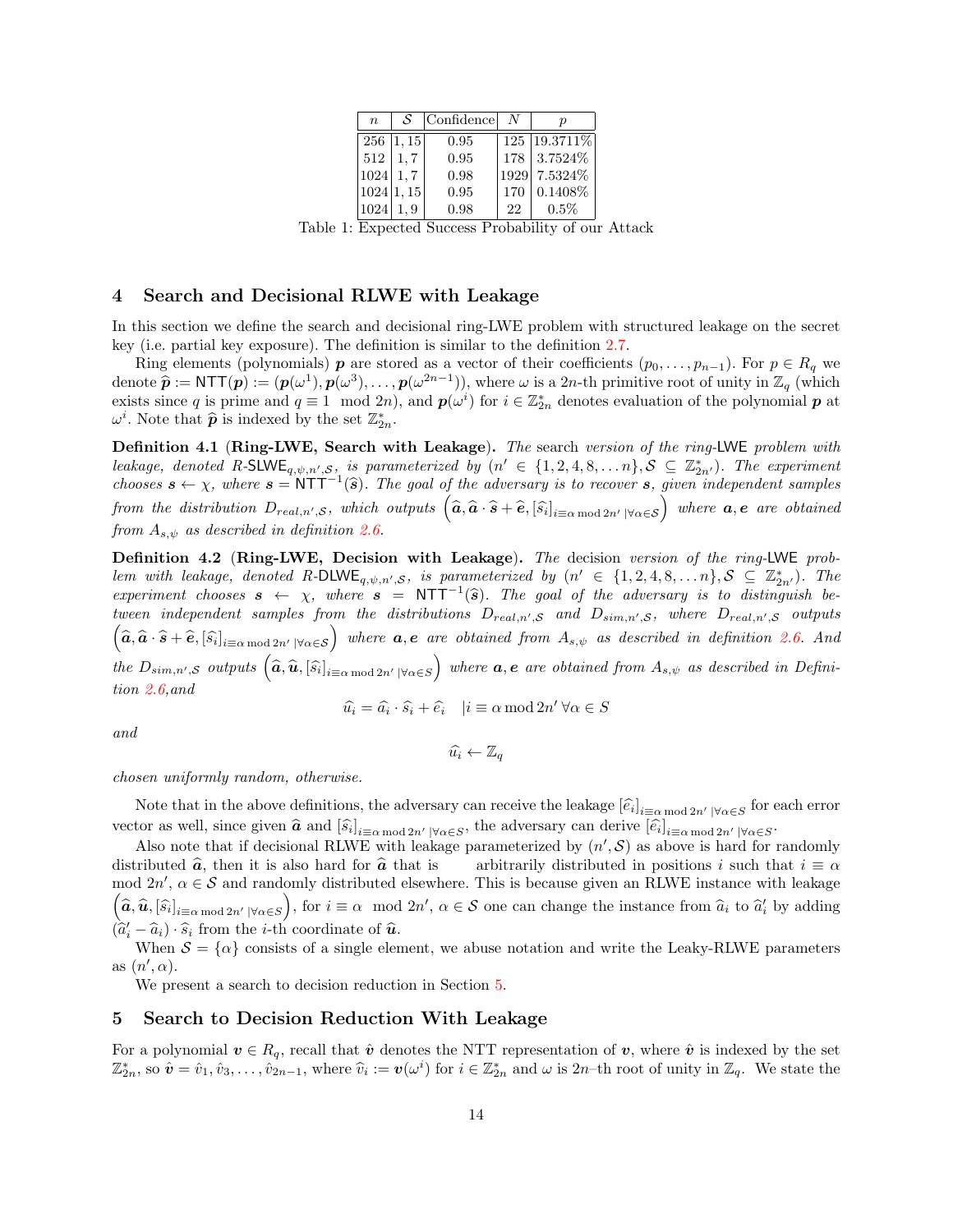| $\boldsymbol{n}$ | S             | Confidence |     |                 |
|------------------|---------------|------------|-----|-----------------|
|                  | $256$   1, 15 | 0.95       |     | 125   19.3711\% |
| 512              | 1.7           | 0.95       |     | 178 3.7524\%    |
| $1024 \mid 1,7$  |               | 0.98       |     | 1929 7.5324\%   |
|                  | 1024 1,15     | 0.95       | 170 | 0.1408%         |
| 1024             | 1.9           | 0.98       | 22  | 0.5%            |

Table 1: Expected Success Probability of our Attack

# <span id="page-13-0"></span>4 Search and Decisional RLWE with Leakage

In this section we define the search and decisional ring-LWE problem with structured leakage on the secret key (i.e. partial key exposure). The definition is similar to the definition [2.7.](#page-8-0)

Ring elements (polynomials) **p** are stored as a vector of their coefficients  $(p_0, \ldots, p_{n-1})$ . For  $p \in R_q$  we denote  $\hat{\mathbf{p}} := \text{NTT}(\mathbf{p}) := (\mathbf{p}(\omega^1), \mathbf{p}(\omega^3), \dots, \mathbf{p}(\omega^{2n-1}))$ , where  $\omega$  is a 2n-th primitive root of unity in  $\mathbb{Z}_q$  (which exists since q is prime and  $q \equiv 1 \mod 2n$ , and  $p(\omega^i)$  for  $i \in \mathbb{Z}_{2n}^*$  denotes evaluation of the polynomial p at  $\omega^i$ . Note that  $\widehat{p}$  is indexed by the set  $\mathbb{Z}_{2n}^*$ .

Definition 4.1 (Ring-LWE, Search with Leakage). The search version of the ring-LWE problem with leakage, denoted R-SLWE<sub>q, $\psi$ , $n',S$ , is parameterized by  $(n' \in \{1,2,4,8,\ldots n\}, \mathcal{S} \subseteq \mathbb{Z}_{2n'}^*)$ . The experiment</sub> chooses  $s \leftarrow \chi$ , where  $s = \text{NTT}^{-1}(\hat{s})$ . The goal of the adversary is to recover s, given independent samples from the distribution  $D_{real,n',\mathcal{S}}$ , which outputs  $(\widehat{a}, \widehat{a} \cdot \widehat{s} + \widehat{e}, [\widehat{s_i}]_{i \equiv \alpha \bmod 2n'} | \forall \alpha \in \mathcal{S})$  where  $a, e$  are obtained from  $A_{s,\psi}$  as described in definition [2.6.](#page-8-1)

Definition 4.2 (Ring-LWE, Decision with Leakage). The decision version of the ring-LWE problem with leakage, denoted R-DLWE<sub>q, $\psi$ , $n',S$ , is parameterized by  $(n' \in \{1,2,4,8,...n\}, \mathcal{S} \subseteq \mathbb{Z}_{2n'}^*)$ . The</sub> experiment chooses  $s \leftarrow \chi$ , where  $s = \text{NTT}^{-1}(\hat{s})$ . The goal of the adversary is to distinguish be-<br>typen independent complex from the distributions  $D$ , we can  $D$ , we where  $D$  is a culturate tween independent samples from the distributions  $D_{real,n',S}$  and  $D_{sim,n',S}$ , where  $D_{real,n',S}$  outputs  $\left(\widehat{a}, \widehat{a} \cdot \widehat{s} + \widehat{e}, [\widehat{s}_i]_{i \equiv \alpha \bmod 2n'} | \forall \alpha \in \mathcal{S} \right)$  where  $a, e$  are obtained from  $A_{s,\psi}$  as described in definition [2.6.](#page-8-1) And the  $D_{sim,n',\mathcal{S}}$  outputs  $(\widehat{a}, \widehat{u}, [\widehat{s}_i]_{i \equiv \alpha \bmod 2n'} | \forall \alpha \in \mathcal{S})$  where  $a, e$  are obtained from  $A_{s,\psi}$  as described in Definition [2.6,](#page-8-1)and

$$
\widehat{u_i} = \widehat{a_i} \cdot \widehat{s_i} + \widehat{e_i} \quad |i \equiv \alpha \mod{2n'} \,\forall \alpha \in S
$$

and

$$
\widehat{u_i} \leftarrow \mathbb{Z}_q
$$

chosen uniformly random, otherwise.

Note that in the above definitions, the adversary can receive the leakage  $[\hat{e}_i]_{i \equiv \alpha \mod 2n'}$   $|\forall \alpha \in S$  for each error vector as well, since given  $\hat{a}$  and  $[\hat{s}_i]_{i=\alpha \bmod 2n'|\forall \alpha \in S}$ , the adversary can derive  $[\hat{e}_i]_{i=\alpha \bmod 2n'|\forall \alpha \in S}$ .

Also note that if decisional RLWE with leakage parameterized by  $(n', \mathcal{S})$  as above is hard for randomly distributed  $\hat{a}$ , then it is also hard for  $\hat{a}$  that is arbitrarily distributed in positions i such that  $i \equiv \alpha$  mod  $2n'$ ,  $\alpha \in \mathcal{S}$  and randomly distributed elsewhere. This is because given an RLWE instance wit  $(\hat{a}, \hat{u}, [\hat{s}_i]_{i \equiv \alpha \mod 2n' \mid \forall \alpha \in S})$ , for  $i \equiv \alpha \mod 2n'$ ,  $\alpha \in S$  one can change the instance from  $\hat{a}_i$  to  $\hat{a}'_i$  by adding  $(\hat{a}'_i - \hat{a}_i) \cdot \hat{s}_i$  from the *i*-th coordinate of  $\hat{a}$ .<br>When  $S = \{ \alpha \}$  consists of a single elements

When  $S = {\alpha}$  consists of a single element, we abuse notation and write the Leaky-RLWE parameters as  $(n', \alpha)$ .

We present a search to decision reduction in Section [5.](#page-13-1)

## <span id="page-13-1"></span>5 Search to Decision Reduction With Leakage

For a polynomial  $v \in R_q$ , recall that  $\hat{v}$  denotes the NTT representation of v, where  $\hat{v}$  is indexed by the set  $\mathbb{Z}_{2n}^*$ , so  $\hat{\mathbf{v}} = \hat{v}_1, \hat{v}_3, \dots, \hat{v}_{2n-1}$ , where  $\hat{v}_i := \mathbf{v}(\omega^i)$  for  $i \in \mathbb{Z}_{2n}^*$  and  $\omega$  is  $2n$ -th root of unity in  $\mathbb{Z}_q$ . We state the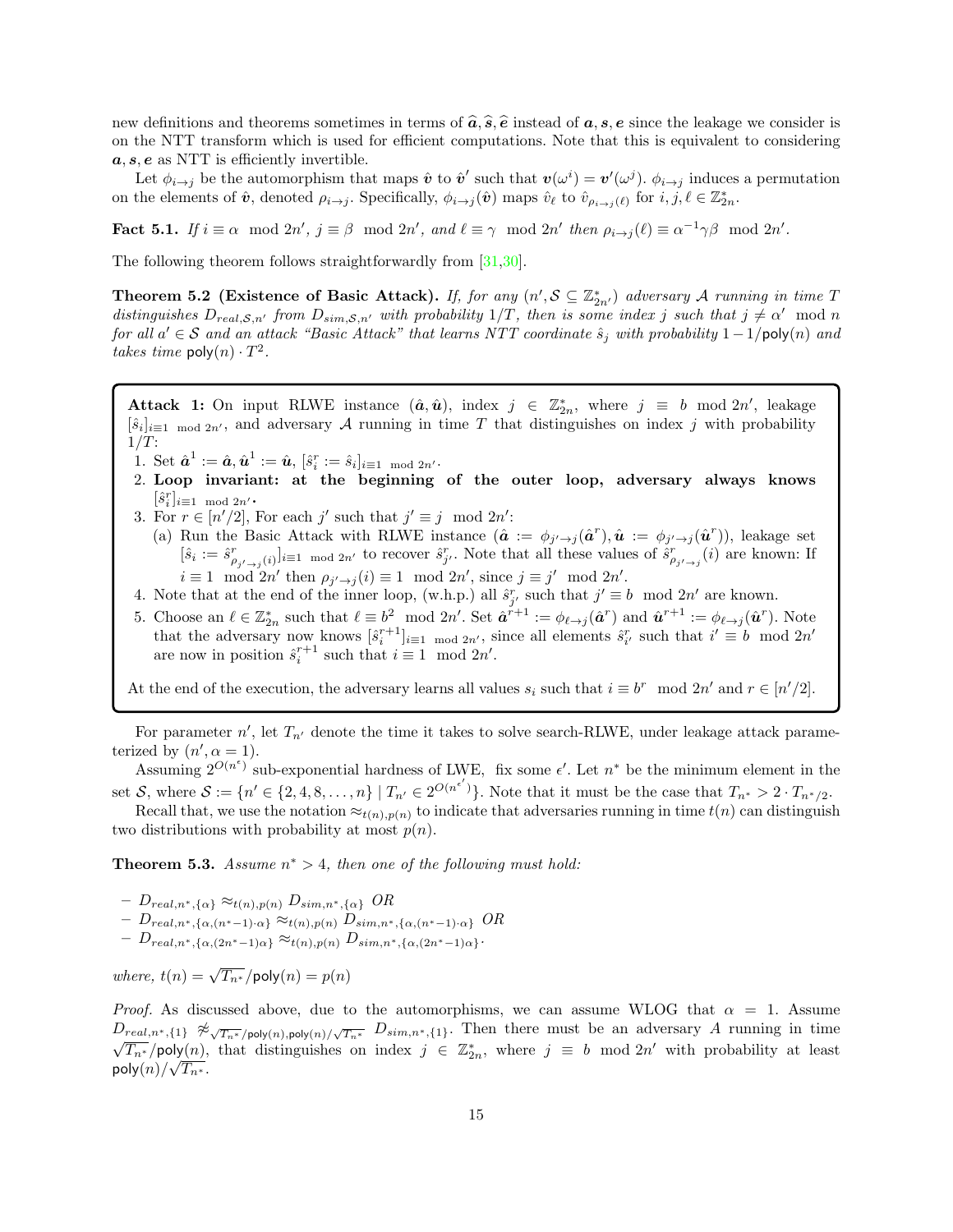new definitions and theorems sometimes in terms of  $\hat{a}, \hat{s}, \hat{e}$  instead of  $a, s, e$  since the leakage we consider is on the NTT transform which is used for efficient computations. Note that this is equivalent to considering  $a, s, e$  as NTT is efficiently invertible.

Let  $\phi_{i\to j}$  be the automorphism that maps  $\hat{\boldsymbol{v}}$  to  $\hat{\boldsymbol{v}}'$  such that  $\boldsymbol{v}(\omega^i) = \boldsymbol{v}'(\omega^j)$ .  $\phi_{i\to j}$  induces a permutation on the elements of  $\hat{v}$ , denoted  $\rho_{i\to j}$ . Specifically,  $\phi_{i\to j}(\hat{v})$  maps  $\hat{v}_{\ell}$  to  $\hat{v}_{\rho_{i\to j}(\ell)}$  for  $i, j, \ell \in \mathbb{Z}_{2n}^*$ .

**Fact 5.1.** If  $i \equiv \alpha \mod 2n'$ ,  $j \equiv \beta \mod 2n'$ , and  $\ell \equiv \gamma \mod 2n'$  then  $\rho_{i \to j}(\ell) \equiv \alpha^{-1} \gamma \beta \mod 2n'$ .

The following theorem follows straightforwardly from [\[31](#page-26-24)[,30\]](#page-26-25).

Theorem 5.2 (Existence of Basic Attack). If, for any  $(n', S \subseteq \mathbb{Z}_{2n'}^*)$  adversary A running in time T distinguishes  $D_{real,S,n'}$  from  $D_{sim,S,n'}$  with probability  $1/T$ , then is some index j such that  $j \neq \alpha' \mod n$ for all  $a' \in S$  and an attack "Basic Attack" that learns NTT coordinate  $\hat{s}_j$  with probability  $1-1/\text{poly}(n)$  and takes time  $\mathsf{poly}(n) \cdot T^2$ .

Attack 1: On input RLWE instance  $(\hat{a}, \hat{u})$ , index  $j \in \mathbb{Z}_{2n}^*$ , where  $j \equiv b \mod 2n'$ , leakage  $[\hat{s}_i]_{i\equiv 1 \mod 2n'}$ , and adversary A running in time T that distinguishes on index j with probability  $1/T$ :

- 1. Set  $\hat{\boldsymbol{a}}^1:=\hat{\boldsymbol{a}}, \hat{\boldsymbol{u}}^1:=\hat{\boldsymbol{u}}, \, [\hat{s}^r_i:=\hat{s}_i]_{i\equiv 1 \mod 2n^\prime}.$
- 2. Loop invariant: at the beginning of the outer loop, adversary always knows  $[\hat{s}_i^r]_{i\equiv 1 \mod 2n'}$  .
- 3. For  $r \in [n'/2]$ , For each j' such that  $j' \equiv j \mod 2n'$ : (a) Run the Basic Attack with RLWE instance  $(\hat{a} := \phi_{j' \to j}(\hat{a}^r), \hat{u} := \phi_{j' \to j}(\hat{u}^r))$ , leakage set  $[\hat{s}_i := \hat{s}_{\rho_{j' \to j}(i)}^r]_{i \equiv 1 \mod 2n'}$  to recover  $\hat{s}_{j'}^r$ . Note that all these values of  $\hat{s}_{\rho_{j' \to j}}^r(i)$  are known: If  $i \equiv 1 \mod 2n'$  then  $\rho_{j' \to j}(i) \equiv 1 \mod 2n'$ , since  $j \equiv j' \mod 2n'$ .
- 4. Note that at the end of the inner loop, (w.h.p.) all  $\hat{s}_{j'}^r$  such that  $j' \equiv b \mod 2n'$  are known.
- 5. Choose an  $\ell \in \mathbb{Z}_{2n}^*$  such that  $\ell \equiv b^2 \mod 2n'$ . Set  $\hat{\boldsymbol{a}}^{r+1} := \phi_{\ell \to j}(\hat{\boldsymbol{a}}^r)$  and  $\hat{\boldsymbol{u}}^{r+1} := \phi_{\ell \to j}(\hat{\boldsymbol{u}}^r)$ . Note that the adversary now knows  $[\hat{s}_i^{r+1}]_{i\equiv 1 \mod 2n'}$ , since all elements  $\hat{s}_{i'}^r$  such that  $i' \equiv b \mod 2n'$ are now in position  $\hat{s}_i^{r+1}$  such that  $i \equiv 1 \mod 2n'$ .

At the end of the execution, the adversary learns all values  $s_i$  such that  $i \equiv b^r \mod 2n'$  and  $r \in [n'/2]$ .

For parameter  $n'$ , let  $T_{n'}$  denote the time it takes to solve search-RLWE, under leakage attack parameterized by  $(n', \alpha = 1)$ .

Assuming  $2^{O(n^{\epsilon})}$  sub-exponential hardness of LWE, fix some  $\epsilon'$ . Let  $n^*$  be the minimum element in the set S, where  $S := \{n' \in \{2, 4, 8, \ldots, n\} \mid T_{n'} \in 2^{O(n^{\epsilon'})}\}\.$  Note that it must be the case that  $T_{n^*} > 2 \cdot T_{n^*/2}$ .

Recall that, we use the notation  $\approx_{t(n),p(n)}$  to indicate that adversaries running in time  $t(n)$  can distinguish two distributions with probability at most  $p(n)$ .

**Theorem 5.3.** Assume  $n^* > 4$ , then one of the following must hold:

 $-D_{real,n^*,\{\alpha\}} \approx_{t(n),p(n)} D_{sim,n^*,\{\alpha\}} O R$ 

- Dreal,n∗,{α,(n∗−1)·α} ≈t(n),p(n) Dsim,n∗,{α,(n∗−1)·α} OR
- $D_{real,n^*,\{\alpha,(2n^*-1)\alpha\}} \approx_{t(n),p(n)} D_{sim,n^*,\{\alpha,(2n^*-1)\alpha\}}.$

where,  $t(n) = \sqrt{T_{n^*}}$ /poly $(n) = p(n)$ 

*Proof.* As discussed above, due to the automorphisms, we can assume WLOG that  $\alpha = 1$ . Assume  $D_{real,n^*,\{1\}} \not\approx \sqrt{T_{n^*}}$ /poly $(n)$ ,poly $(n)/\sqrt{T_{n^*}} D_{sim,n^*,\{1\}}$ . Then there must be an adversary A running in time  $\overline{T_{n^*}}$ /poly $(n)$ , that distinguishes on index  $j \in \mathbb{Z}_{2n}^*$ , where  $j \equiv b \mod 2n'$  with probability at least poly $(n)/\sqrt{T_{n^*}}.$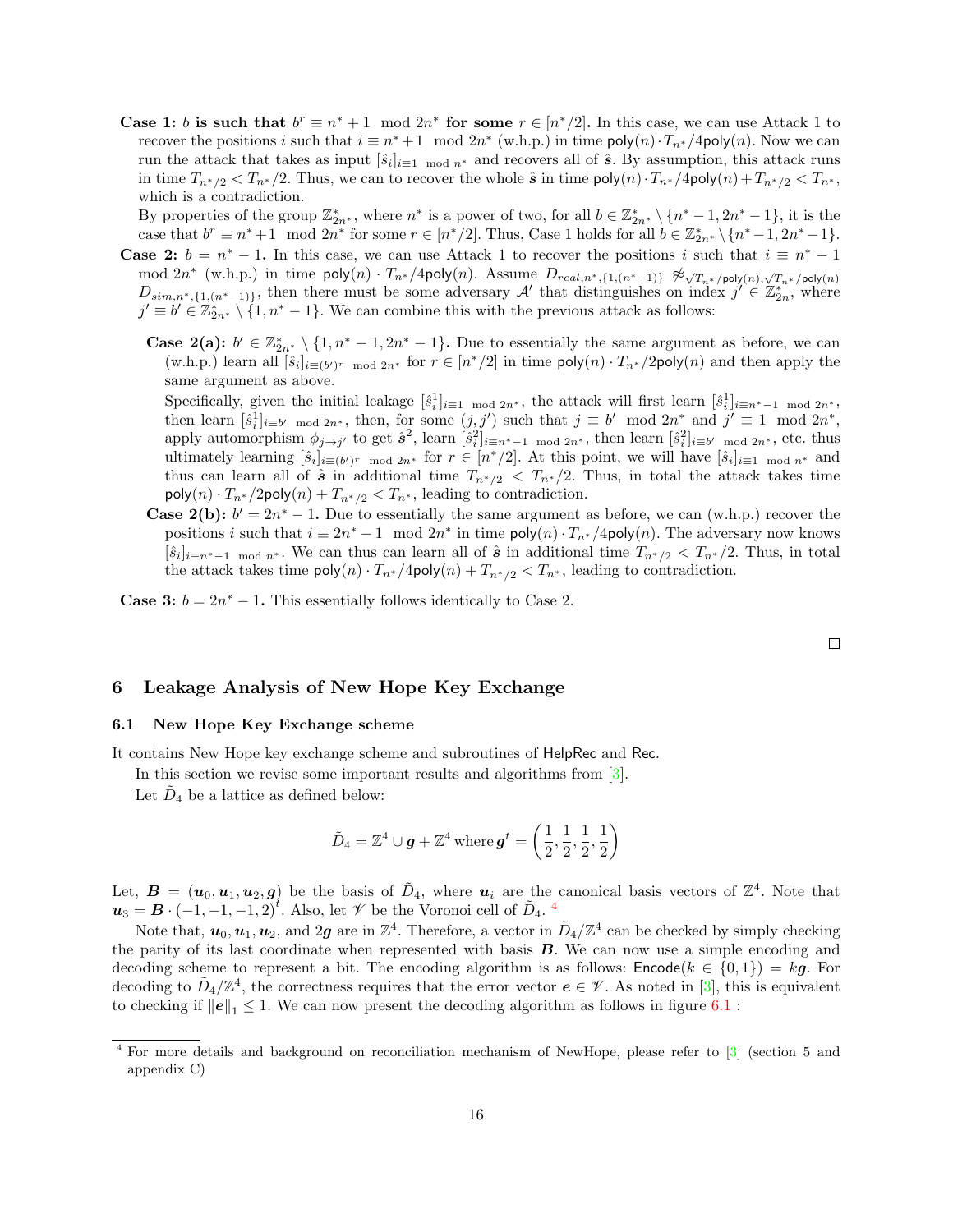Case 1: b is such that  $b^r \equiv n^* + 1 \mod 2n^*$  for some  $r \in [n^*/2]$ . In this case, we can use Attack 1 to recover the positions i such that  $i \equiv n^* + 1 \mod 2n^*$  (w.h.p.) in time  $\mathsf{poly}(n) \cdot T_{n^*}/4\mathsf{poly}(n)$ . Now we can run the attack that takes as input  $[\hat{s}_i]_{i=1 \mod n^*}$  and recovers all of  $\hat{s}$ . By assumption, this attack runs in time  $T_{n^*/2} < T_{n^*/2}$ . Thus, we can to recover the whole  $\hat{s}$  in time  $\text{poly}(n) \cdot T_{n^*/2}$   $\text{poly}(n) + T_{n^*/2} < T_{n^*/2}$ which is a contradiction.

By properties of the group  $\mathbb{Z}_{2n^*}^*$ , where  $n^*$  is a power of two, for all  $b \in \mathbb{Z}_{2n^*}^* \setminus \{n^* - 1, 2n^* - 1\}$ , it is the case that  $b^r \equiv n^*+1 \mod 2n^*$  for some  $r \in [n^*/2]$ . Thus, Case 1 holds for all  $b \in \mathbb{Z}_{2n^*}^* \setminus \{n^*-1, 2n^*-1\}$ .

- **Case 2:**  $b = n^* 1$ . In this case, we can use Attack 1 to recover the positions i such that  $i \equiv n^* 1$ mod  $2n^*$  (w.h.p.) in time  $\mathsf{poly}(n) \cdot T_{n^*}/4 \mathsf{poly}(n)$ . Assume  $D_{real,n^*,\{1,(n^*-1)\}} \not\approx_{\sqrt{T_{n^*}}/\mathsf{poly}(n),\sqrt{T_{n^*}}/\mathsf{poly}(n)}$ <br>  $D_{sim,n^*,\{1,(n^*-1)\}}$ , then there must be some adversary  $\mathcal{A}'$  that distinguishes on index  $j' \in \mathbb{$  $j' \equiv b' \in \mathbb{Z}_{2n^*}^* \setminus \{1, n^* - 1\}.$  We can combine this with the previous attack as follows:
	- **Case 2(a):**  $b' \in \mathbb{Z}_{2n^*}^* \setminus \{1, n^* 1, 2n^* 1\}$ . Due to essentially the same argument as before, we can (w.h.p.) learn all  $[\hat{s}_i]_{i \equiv (b')^r \mod 2n^*}$  for  $r \in [n^*/2]$  in time  $\mathsf{poly}(n) \cdot T_{n^*}/2\mathsf{poly}(n)$  and then apply the same argument as above.

Specifically, given the initial leakage  $[\hat{s}_i^1]_{i=1 \mod 2n^*}$ , the attack will first learn  $[\hat{s}_i^1]_{i=n^*-1 \mod 2n^*}$ , then learn  $[\hat{s}_i^1]_{i \equiv b' \mod 2n^*}$ , then, for some  $(j, j')$  such that  $j \equiv b' \mod 2n^*$  and  $j' \equiv 1 \mod 2n^*$ , apply automorphism  $\phi_{j\to j'}$  to get  $\hat{s}^2$ , learn  $[\hat{s}_i^2]_{i\equiv n^*-1 \mod 2n^*}$ , then learn  $[\hat{s}_i^2]_{i\equiv b' \mod 2n^*}$ , etc. thus ultimately learning  $[\hat{s}_i]_{i \equiv (b')^r \mod 2n^*}$  for  $r \in [n^*/2]$ . At this point, we will have  $[\hat{s}_i]_{i \equiv 1 \mod n^*}$  and thus can learn all of  $\hat{s}$  in additional time  $T_{n^*/2} < T_{n^*/2}$ . Thus, in total the attack takes time  $\mathsf{poly}(n) \cdot T_{n^*}/2\mathsf{poly}(n) + T_{n^*/2} < T_{n^*}$ , leading to contradiction.

**Case 2(b):**  $b' = 2n^* - 1$ . Due to essentially the same argument as before, we can (w.h.p.) recover the positions i such that  $i \equiv 2n^* - 1 \mod 2n^*$  in time  $\mathsf{poly}(n) \cdot T_{n^*}/4\mathsf{poly}(n)$ . The adversary now knows  $[\hat{s}_i]_{i\equiv n^*-1 \mod n^*}$ . We can thus can learn all of  $\hat{s}$  in additional time  $T_{n^*/2} < T_{n^*/2}$ . Thus, in total the attack takes time  $\text{poly}(n) \cdot T_{n^*}/4\text{poly}(n) + T_{n^*/2} < T_{n^*}$ , leading to contradiction.

**Case 3:**  $b = 2n^* - 1$ . This essentially follows identically to Case 2.

 $\Box$ 

## 6 Leakage Analysis of New Hope Key Exchange

## 6.1 New Hope Key Exchange scheme

It contains New Hope key exchange scheme and subroutines of HelpRec and Rec.

In this section we revise some important results and algorithms from  $[3]$ .

Let  $\tilde{D}_4$  be a lattice as defined below:

$$
\tilde{D}_4 = \mathbb{Z}^4 \cup \boldsymbol{g} + \mathbb{Z}^4 \, \text{where} \, \boldsymbol{g}^t = \left(\frac{1}{2}, \frac{1}{2}, \frac{1}{2}, \frac{1}{2}\right)
$$

Let,  $B = (u_0, u_1, u_2, g)$  be the basis of  $D_4$ , where  $u_i$  are the canonical basis vectors of  $\mathbb{Z}^4$ . Note that  $u_3 = B \cdot (-1, -1, -1, 2)^t$ . Also, let  $\mathscr V$  be the Voronoi cell of  $\tilde{D}_4$  $\tilde{D}_4$ .

Note that,  $u_0, u_1, u_2$ , and 2g are in  $\mathbb{Z}^4$ . Therefore, a vector in  $\tilde{D}_4/\mathbb{Z}^4$  can be checked by simply checking the parity of its last coordinate when represented with basis B. We can now use a simple encoding and decoding scheme to represent a bit. The encoding algorithm is as follows:  $\text{Encode}(k \in \{0,1\}) = kg$ . For decoding to  $\tilde{D}_4/\mathbb{Z}^4$ , the correctness requires that the error vector  $e \in \mathscr{V}$ . As noted in [\[3\]](#page-25-2), this is equivalent to checking if  $||e||_1 \leq 1$ . We can now present the decoding algorithm as follows in figure [6.1](#page-16-0) :

<span id="page-15-0"></span><sup>4</sup> For more details and background on reconciliation mechanism of NewHope, please refer to [\[3\]](#page-25-2) (section 5 and appendix C)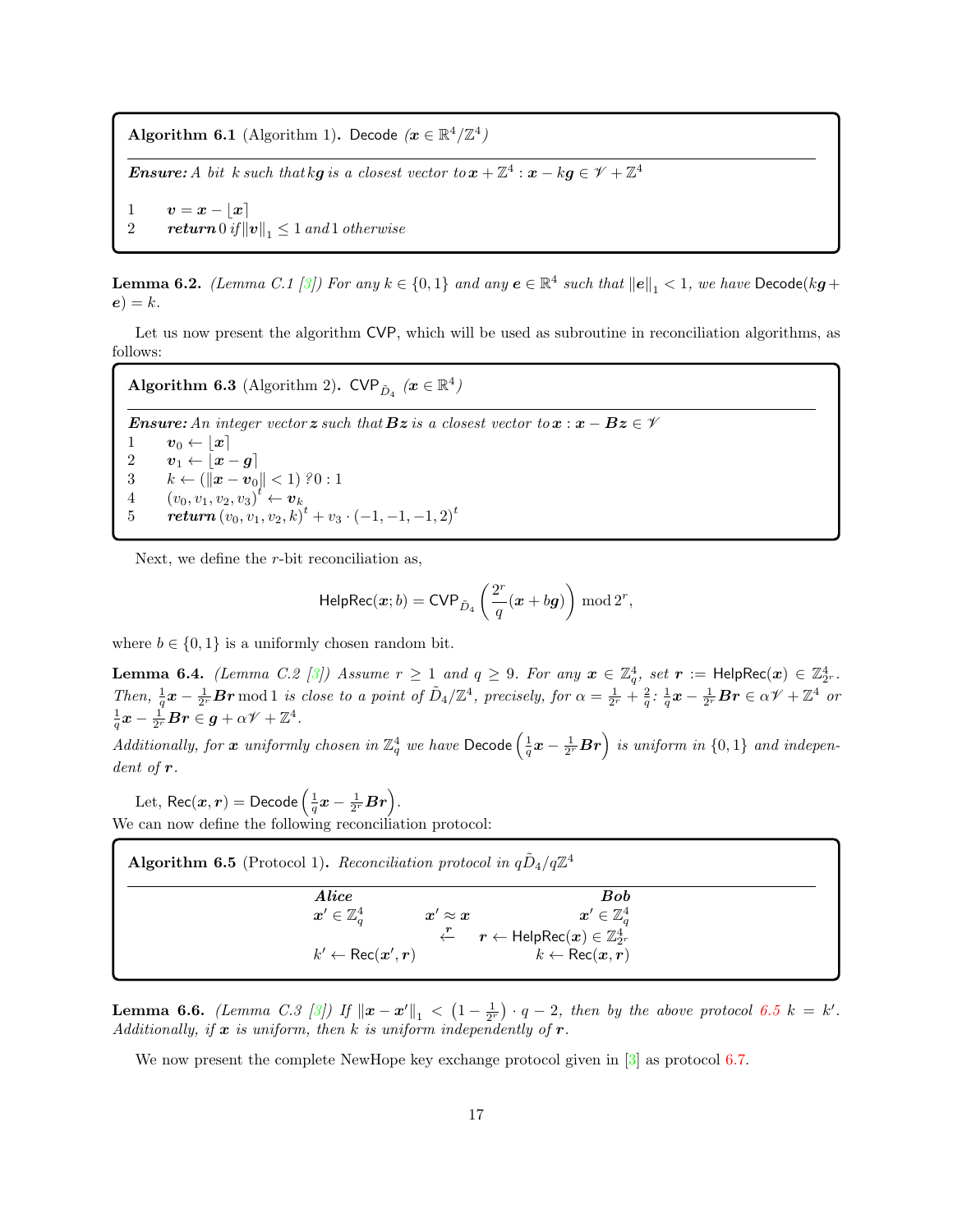<span id="page-16-0"></span>Algorithm 6.1 (Algorithm 1). Decode  $(x \in \mathbb{R}^4/\mathbb{Z}^4)$ 

**Ensure:** A bit k such that kg is a closest vector to  $x + \mathbb{Z}^4$  :  $x - kg \in \mathscr{V} + \mathbb{Z}^4$ 

1  $v = x - |x|$ 2 return  $0$  if  $||v||_1 \leq 1$  and 1 otherwise

**Lemma 6.2.** (Lemma C.1 [\[3\]](#page-25-2)) For any  $k \in \{0,1\}$  and any  $e \in \mathbb{R}^4$  such that  $||e||_1 < 1$ , we have  $\mathsf{Decode}(k\mathbf{g} + \mathbf{g})$  $e) = k.$ 

Let us now present the algorithm CVP, which will be used as subroutine in reconciliation algorithms, as follows:

<span id="page-16-2"></span>Algorithm 6.3 (Algorithm 2).  $\text{CVP}_{\tilde{D}_4}$   $(x \in \mathbb{R}^4)$ 

**Ensure:** An integer vector z such that  $\mathbf{B}z$  is a closest vector to  $x : x - Bz \in \mathcal{V}$  $\begin{array}{cc} 1 & v_0 \leftarrow \lfloor x \rceil \ 2 & v_1 \leftarrow \lceil x \rceil \end{array}$  $2 \qquad v_1 \leftarrow \lfloor x - g \rceil$  $3 \qquad k \leftarrow (\left\| \boldsymbol{x} - \boldsymbol{v}_0 \right\| < 1) \; ?0:1$ 4  $(v_0, v_1, v_2, v_3)^t \leftarrow v_k$  $5 \qquad \bm{return}\left(v_0, v_1, v_2, k\right)^t + v_3 \cdot \left(-1, -1, -1, 2\right)^t$ 

Next, we define the r-bit reconciliation as,

$$
\mathsf{HelpRec}(x;b) = \mathsf{CVP}_{\tilde{D}_4}\left(\frac{2^r}{q}(\boldsymbol{x}+b\boldsymbol{g})\right) \bmod 2^r,
$$

where  $b \in \{0, 1\}$  is a uniformly chosen random bit.

**Lemma 6.4.** *(Lemma C.2 [\[3\]](#page-25-2))* Assume  $r \ge 1$  and  $q \ge 9$ . For any  $x \in \mathbb{Z}_q^4$ , set  $r := \text{HelpRec}(x) \in \mathbb{Z}_2^4$ . Then,  $\frac{1}{q}x - \frac{1}{2r}Br \mod 1$  is close to a point of  $\tilde{D}_4/\mathbb{Z}^4$ , precisely, for  $\alpha = \frac{1}{2r} + \frac{2}{q}$ :  $\frac{1}{q}x - \frac{1}{2r}Br \in \alpha \mathcal{V} + \mathbb{Z}^4$  or  $\frac{1}{q} \boldsymbol{x} - \frac{1}{2^r} \boldsymbol{B} \boldsymbol{r} \in \boldsymbol{g} + \alpha \mathscr{V} + \mathbb{Z}^4.$ 

Additionally, for x uniformly chosen in  $\mathbb{Z}_q^4$  we have Decode  $\left(\frac{1}{q}x-\frac{1}{2^r}\bm{Br}\right)$  is uniform in  $\{0,1\}$  and independent of r.

Let,  $\mathsf{Rec}(\bm{x}, \bm{r}) = \mathsf{Decode}\left(\frac{1}{q}\bm{x} - \frac{1}{2^r}\bm{Br}\right)$ . We can now define the following reconciliation protocol:

<span id="page-16-1"></span>

| <b>Algorithm 6.5</b> (Protocol 1). Reconciliation protocol in $qD_4/q\mathbb{Z}^4$ |                                                                                    |
|------------------------------------------------------------------------------------|------------------------------------------------------------------------------------|
| Alice<br>$\boldsymbol{x}'\in\mathbb{Z}_{a}^{4}$                                    | <b>Bob</b><br>$\boldsymbol{x}'\in\mathbb{Z}_{a}^{4}$                               |
| $x' \approx x$                                                                     | $\overline{\mathcal{F}}$ $r \leftarrow \mathsf{HelpRec}(x) \in \mathbb{Z}_{2^r}^4$ |
| $k' \leftarrow \text{Rec}(\boldsymbol{x}', \boldsymbol{r})$                        | $k \leftarrow \text{Rec}(\boldsymbol{x}, \boldsymbol{r})$                          |

**Lemma 6.6.** (Lemma C.3 [\[3\]](#page-25-2)) If  $\|\boldsymbol{x} - \boldsymbol{x}'\|_1 < (1 - \frac{1}{2^r}) \cdot q - 2$ , then by the above protocol [6.5](#page-16-1)  $k = k'$ . Additionally, if  $x$  is uniform, then k is uniform independently of  $r$ .

We now present the complete NewHope key exchange protocol given in  $\lceil 3 \rceil$  as protocol [6.7.](#page-17-0)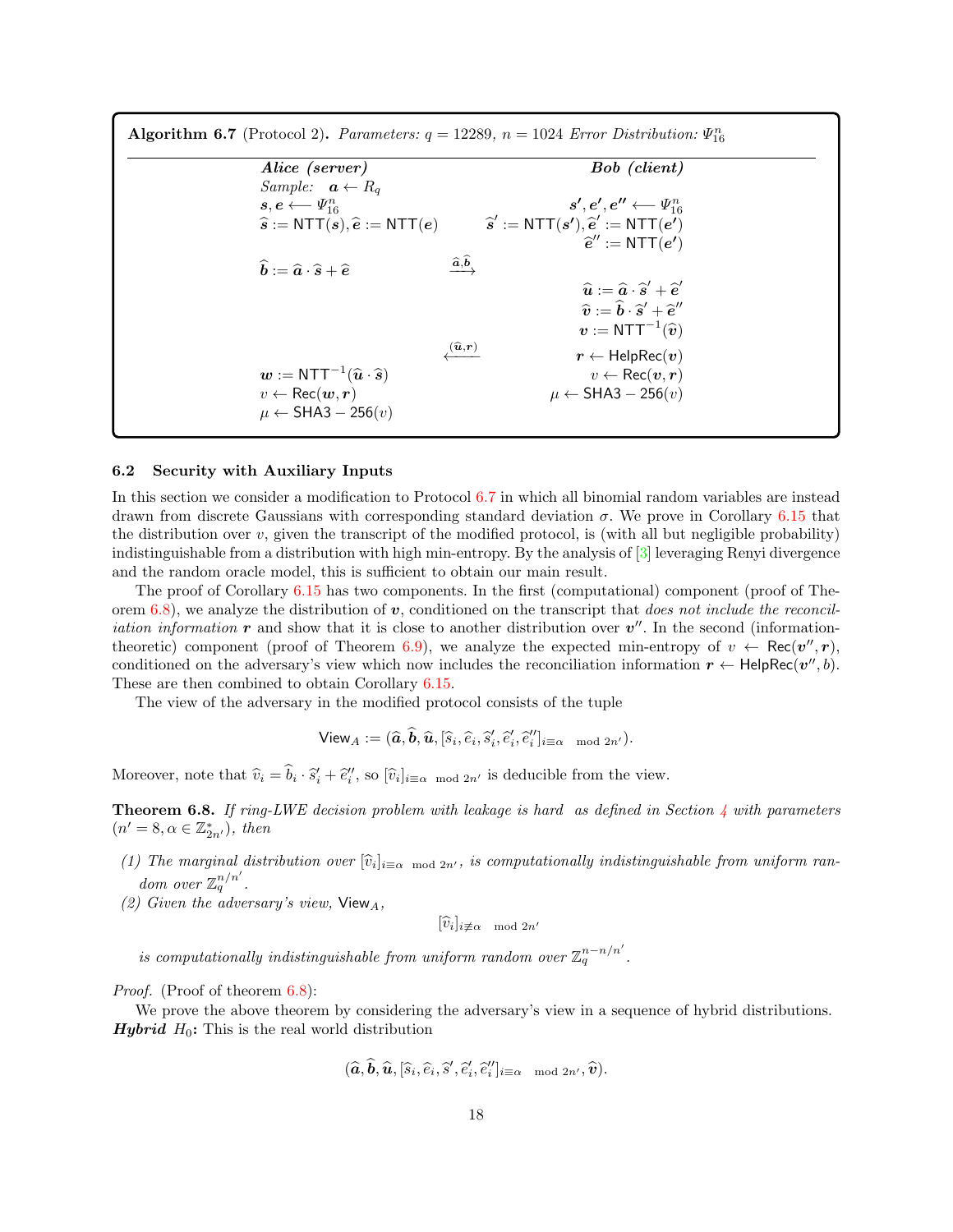<span id="page-17-0"></span>

|                                                                         | Bob (client)                                                                                                 |
|-------------------------------------------------------------------------|--------------------------------------------------------------------------------------------------------------|
| <i>Sample:</i> $\boldsymbol{a} \leftarrow R_a$                          |                                                                                                              |
| $s,e \longleftarrow \varPsi_{16}^n$                                     | $s',e',e'' \longleftarrow \varPsi_{16}^n$                                                                    |
| $\widehat{s}$ := NTT $(s)$ , $\widehat{e}$ := NTT $(e)$                 | $\hat{s}' := \text{NTT}(s'), \hat{e}' := \text{NTT}(e')$                                                     |
|                                                                         | $\hat{e}$ " := NTT $(e')$                                                                                    |
| $\hat{b} := \hat{a} \cdot \hat{s} + \hat{e}$                            | $\widehat{a}, \widehat{b}$                                                                                   |
|                                                                         | $\widehat{\boldsymbol{u}}:=\widehat{\boldsymbol{a}}\cdot\widehat{\boldsymbol{s}}'+\widehat{\boldsymbol{e}}'$ |
|                                                                         | $\hat{v} := \hat{b} \cdot \hat{s}' + \hat{e}''$                                                              |
|                                                                         | $\bm{v}:=\mathsf{NTT}^{-1}(\widehat{\bm{v}})$                                                                |
|                                                                         | $\lambda^{(\widehat{\bm u},\bm r)}$<br>$r \leftarrow \mathsf{HelpRec}(v)$                                    |
| $w := \text{NTT}^{-1}(\widehat{\mathbf{u}} \cdot \widehat{\mathbf{s}})$ | $v \leftarrow \text{Rec}(v, r)$                                                                              |
| $v \leftarrow \text{Rec}(\boldsymbol{w}, \boldsymbol{r})$               | $\mu \leftarrow$ SHA3 – 256 $(v)$                                                                            |

### 6.2 Security with Auxiliary Inputs

In this section we consider a modification to Protocol [6.7](#page-17-0) in which all binomial random variables are instead drawn from discrete Gaussians with corresponding standard deviation  $\sigma$ . We prove in Corollary [6.15](#page-25-5) that the distribution over  $v$ , given the transcript of the modified protocol, is (with all but negligible probability) indistinguishable from a distribution with high min-entropy. By the analysis of [\[3\]](#page-25-2) leveraging Renyi divergence and the random oracle model, this is sufficient to obtain our main result.

The proof of Corollary [6.15](#page-25-5) has two components. In the first (computational) component (proof of The-orem [6.8\)](#page-17-1), we analyze the distribution of  $v$ , conditioned on the transcript that does not include the reconcil*iation information*  $\bm{r}$  and show that it is close to another distribution over  $\bm{v}''$ . In the second (information-theoretic) component (proof of Theorem [6.9\)](#page-19-0), we analyze the expected min-entropy of  $v \leftarrow \text{Rec}(v'', r)$ , conditioned on the adversary's view which now includes the reconciliation information  $r \leftarrow \text{HelpRec}(v'', b)$ . These are then combined to obtain Corollary [6.15.](#page-25-5)

The view of the adversary in the modified protocol consists of the tuple

$$
\mathsf{View}_A := (\widehat{a}, \widehat{b}, \widehat{u}, [\widehat{s}_i, \widehat{e}_i, \widehat{s}'_i, \widehat{e}'_i, \widehat{e}''_i]_{i \equiv \alpha \mod 2n'}).
$$

<span id="page-17-1"></span>Moreover, note that  $\hat{v}_i = \hat{b}_i \cdot \hat{s}'_i + \hat{e}''_i$ , so  $[\hat{v}_i]_{i \equiv \alpha \mod 2n'}$  is deducible from the view.

**Theorem 6.8.** If ring-LWE decision problem with leakage is hard as defined in Section [4](#page-12-1) with parameters  $(n' = 8, \alpha \in \mathbb{Z}_{2n'}^*)$ , then

- (1) The marginal distribution over  $[\hat{v}_i]_{i \equiv \alpha \mod 2n'}$ , is computationally indistinguishable from uniform random over  $\mathbb{Z}_q^{n/n'}$ .
- (2) Given the adversary's view,  $View_A$ ,

 $[\widehat{v}_i]_{i \neq \alpha \mod 2n'}$ 

is computationally indistinguishable from uniform random over  $\mathbb{Z}_q^{n-n/n'}$ .

Proof. (Proof of theorem [6.8\)](#page-17-1):

We prove the above theorem by considering the adversary's view in a sequence of hybrid distributions. **Hybrid**  $H_0$ : This is the real world distribution

$$
(\widehat{\boldsymbol{a}},\widehat{\boldsymbol{b}},\widehat{\boldsymbol{u}},[\widehat{s}_i,\widehat{e}_i,\widehat{s}',\widehat{e}'_i,\widehat{e}''_i]_{i\equiv\alpha\mod 2n'},\widehat{\boldsymbol{v}}).
$$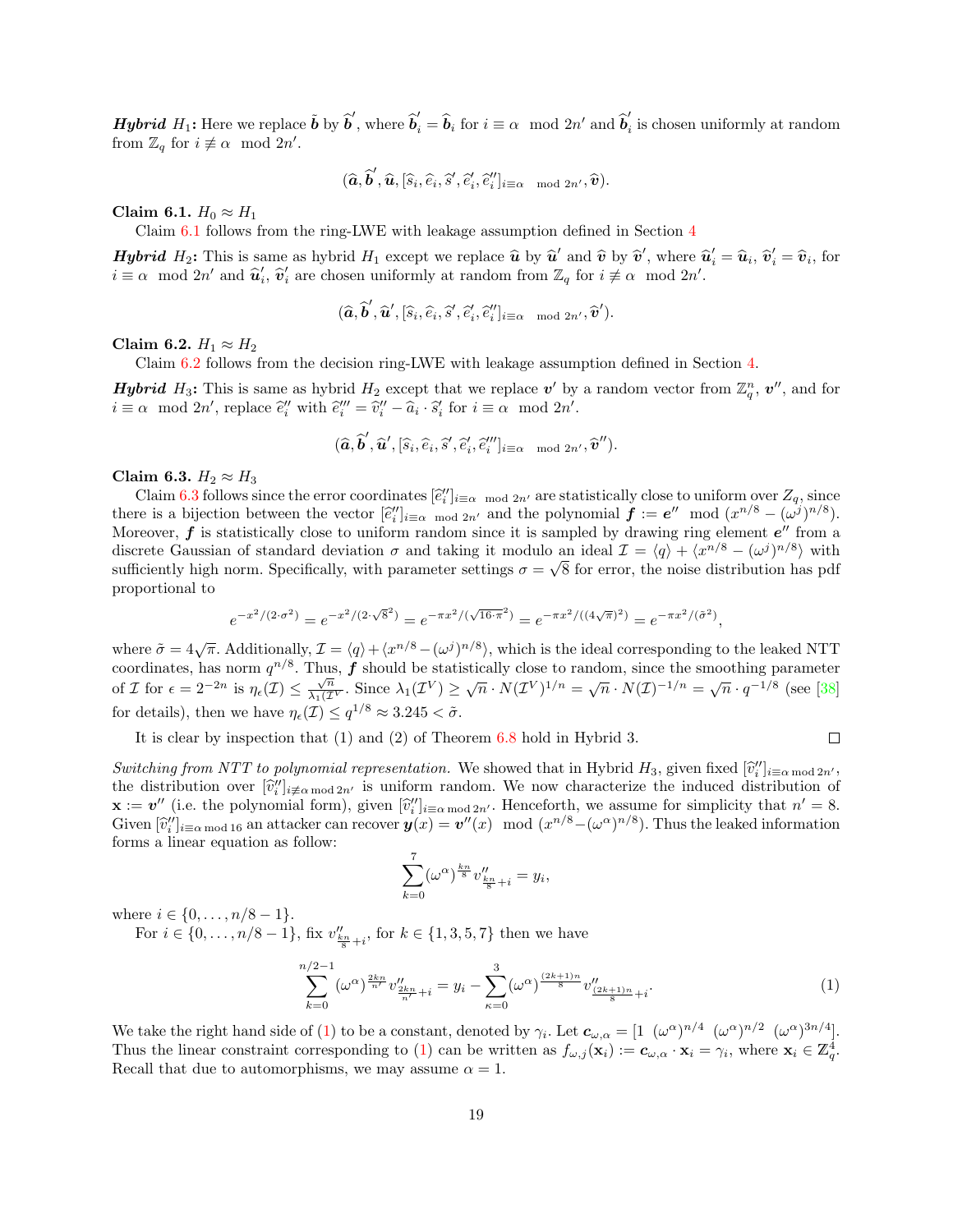**Hybrid**  $H_1$ : Here we replace  $\tilde{b}$  by  $\hat{b}'$ , where  $\hat{b}'_i = \hat{b}_i$  for  $i \equiv \alpha \mod 2n'$  and  $\hat{b}'_i$  $i_i$  is chosen uniformly at random from  $\mathbb{Z}_q$  for  $i \not\equiv \alpha \mod 2n'$ .

$$
(\widehat{\boldsymbol{a}}, \widehat{\boldsymbol{b}}', \widehat{\boldsymbol{u}}, [\widehat{s}_i, \widehat{e}_i, \widehat{s}', \widehat{e}'_i, \widehat{e}''_i]_{i \equiv \alpha \mod 2n'}, \widehat{\boldsymbol{v}}).
$$

<span id="page-18-0"></span>Claim 6.1.  $H_0 \approx H_1$ 

Claim [6.1](#page-18-0) follows from the ring-LWE with leakage assumption defined in Section [4](#page-12-1)

**Hybrid**  $H_2$ : This is same as hybrid  $H_1$  except we replace  $\hat{u}$  by  $\hat{u}'$  and  $\hat{v}$  by  $\hat{v}'$ , where  $\hat{u}'_i = \hat{u}_i$ ,  $\hat{v}'_i = \hat{v}_i$ , for  $i = \infty$ , mod  $2n'$  and  $\hat{u}'$ ,  $\hat{v}'$  are chosen uniformly at rando  $i \equiv \alpha \mod 2n'$  and  $\hat{u}'_i$ ,  $\hat{v}'_i$  are chosen uniformly at random from  $\mathbb{Z}_q$  for  $i \not\equiv \alpha \mod 2n'$ .

$$
(\widehat{\bm{a}}, \widehat{\bm{b}}', \widehat{\bm{u}}', [\widehat{s}_i, \widehat{e}_i, \widehat{s}', \widehat{e}_i', \widehat{e}_i'']_{i \equiv \alpha \mod 2n'}, \widehat{\bm{v}}').
$$

<span id="page-18-1"></span>Claim 6.2.  $H_1 \approx H_2$ 

Claim [6.2](#page-18-1) follows from the decision ring-LWE with leakage assumption defined in Section [4.](#page-12-1)

**Hybrid** H<sub>3</sub>: This is same as hybrid H<sub>2</sub> except that we replace  $v'$  by a random vector from  $\mathbb{Z}_q^n$ ,  $v''$ , and for  $i \equiv \alpha \mod 2n'$ , replace  $\hat{e}_i''$  with  $\hat{e}_i''' = \hat{v}_i'' - \hat{a}_i \cdot \hat{s}_i'$  for  $i \equiv \alpha \mod 2n'$ .

$$
(\widehat{\boldsymbol{a}}, \widehat{\boldsymbol{b}}', \widehat{\boldsymbol{u}}', [\widehat{s}_i, \widehat{e}_i, \widehat{s}', \widehat{e}'_i, \widehat{e}''_i]_{i \equiv \alpha \mod 2n'}, \widehat{\boldsymbol{v}}'').
$$

<span id="page-18-2"></span>Claim 6.3.  $H_2 \approx H_3$ 

Claim [6.3](#page-18-2) follows since the error coordinates  $[\tilde{e}_i'']_{i \equiv \alpha \mod 2n'}$  are statistically close to uniform over  $Z_q$ , since  $\tilde{e}_i$  is a bijection between the vector  $[\tilde{e}_i'']$ . there is a bijection between the vector  $[\hat{e}_i'']_{i \equiv \alpha \mod 2n'}$  and the polynomial  $f := e^{\gamma} \mod (x^{n/8} - (\omega^j)^{n/8})$ .<br>Moreover f is statistically close to uniform random since it is sampled by drawing ring element of from a Moreover,  $f$  is statistically close to uniform random since it is sampled by drawing ring element  $e''$  from a discrete Gaussian of standard deviation  $\sigma$  and taking it modulo an ideal  $\mathcal{I} = \langle q \rangle + \langle x^{n/8} - (\omega^j)^{n/8} \rangle$  with sufficiently high norm. Specifically, with parameter settings  $\sigma = \sqrt{8}$  for error, the noise distribution has pdf proportional to

$$
e^{-x^2/(2\cdot\sigma^2)} = e^{-x^2/(2\cdot\sqrt{8}^2)} = e^{-\pi x^2/(\sqrt{16\cdot\pi^2})} = e^{-\pi x^2/((4\sqrt{\pi})^2)} = e^{-\pi x^2/(\tilde{\sigma}^2)},
$$

where  $\tilde{\sigma} = 4\sqrt{\pi}$ . Additionally,  $\mathcal{I} = \langle q \rangle + \langle x^{n/8} - (\omega^j)^{n/8} \rangle$ , which is the ideal corresponding to the leaked NTT coordinates, has norm  $q^{n/8}$ . Thus, f should be statistically close to random, since the smoothing parameter coordinates, has notin q  $\cdots$  has  $\bm{J}$  should be statistically close to failure. Since the shooting parameters of *I* for  $\epsilon = 2^{-2n}$  is  $η_{\epsilon}(I) ≤ √_{\lambda_1(I)}^{\pi}$ . Since  $λ_1(I^V) ≥ √_n \cdot N(I^V)^{1/n} = √_n \cdot N(I)^{-1/n} = √_n \cdot q^{$ for details), then we have  $\eta_{\epsilon}(\mathcal{I}) \leq q^{1/8} \approx 3.245 < \tilde{\sigma}$ .

It is clear by inspection that (1) and (2) of Theorem [6.8](#page-17-1) hold in Hybrid 3.

<span id="page-18-3"></span> $\Box$ 

Switching from NTT to polynomial representation. We showed that in Hybrid  $H_3$ , given fixed  $[\hat{v}_i'']_{i\equiv\alpha \mod 2n'}$ ,<br>the distribution over  $[\hat{v}_i'']_{i\equiv\alpha \mod 2n'}$ , the distribution over  $[\hat{v}_i'']_{i \neq \alpha \mod 2n'}$  is uniform random. We now characterize the induced distribution of  $\mathbf{x} := \mathbf{a}''$  (i.e. the polynomial form) given  $[\hat{v}'']$ .  $\mathbf{x} := \mathbf{v}''$  (i.e. the polynomial form), given  $[\hat{v}_i'']_{i \equiv \alpha \mod 2n'}$ . Henceforth, we assume for simplicity that  $n' = 8$ .<br>Civen  $[\hat{v}_i'']$ , we are attacker can recover  $u(x) = u''(x) \mod (x^{n/8} - (\alpha^{\alpha})^{n/8})$ . Thus the leaked Given  $[\hat{v}_i'']_{i=\alpha \mod 16}$  an attacker can recover  $y(x) = v''(x) \mod (x^{n/8} - (\omega^{\alpha})^{n/8})$ . Thus the leaked information forms a linear countion as follow: forms a linear equation as follow:

$$
\sum_{k=0}^{7} (\omega^{\alpha})^{\frac{kn}{8}} v''_{\frac{kn}{8}+i} = y_i,
$$

where  $i \in \{0, \ldots, n/8 - 1\}.$ 

For  $i \in \{0, ..., n/8 - 1\}$ , fix  $v''_{\frac{k}{8}+i}$ , for  $k \in \{1, 3, 5, 7\}$  then we have

$$
\sum_{k=0}^{n/2-1} (\omega^{\alpha})^{\frac{2kn}{n'}} v''_{\frac{2kn}{n'+i}} = y_i - \sum_{\kappa=0}^{3} (\omega^{\alpha})^{\frac{(2k+1)n}{8}} v''_{\frac{(2k+1)n}{8}+i}.
$$
 (1)

We take the right hand side of [\(1\)](#page-18-3) to be a constant, denoted by  $\gamma_i$ . Let  $\mathbf{c}_{\omega,\alpha} = \begin{bmatrix} 1 & (\omega^{\alpha})^{n/4} & (\omega^{\alpha})^{n/2} & (\omega^{\alpha})^{3n/4} \end{bmatrix}$ . Thus the linear constraint corresponding to [\(1\)](#page-18-3) can be written as  $f_{\omega,j}(\mathbf{x}_i) := \mathbf{c}_{\omega,\alpha} \cdot \mathbf{x}_i = \gamma_i$ , where  $\mathbf{x}_i \in \mathbb{Z}_q^4$ . Recall that due to automorphisms, we may assume  $\alpha = 1$ .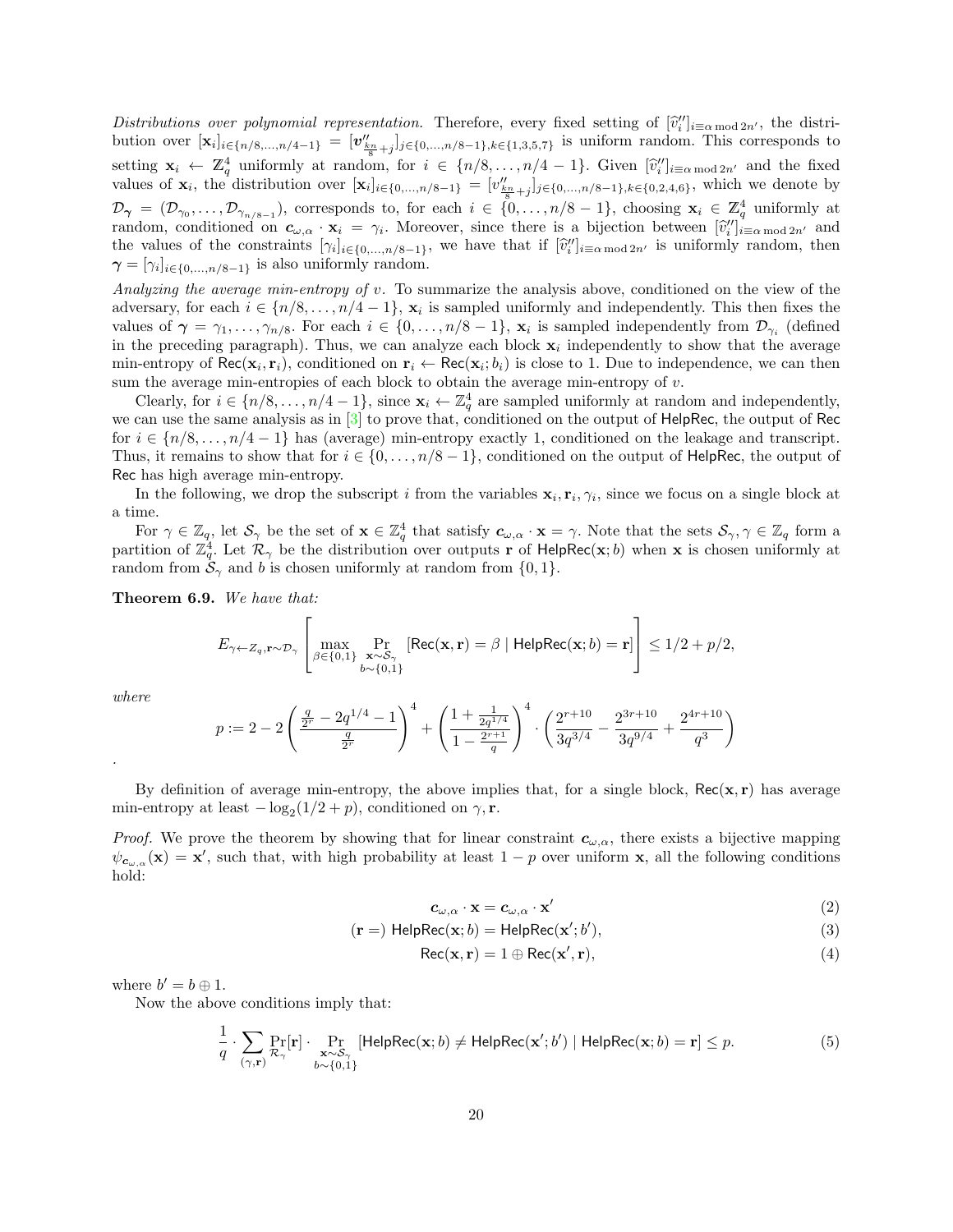Distributions over polynomial representation. Therefore, every fixed setting of  $[\hat{v}_i^{\prime\prime}]_{i\equiv\alpha \mod 2n'}$ , the distribution over  $[x]_{i\equiv\alpha \mod 2n'}$ bution over  $[\mathbf{x}_i]_{i \in \{n/8,\dots,n/4-1\}} = [\mathbf{v}_{k_{n+1}}'']_{j \in \{0,\dots,n/8-1\}, k \in \{1,3,5,7\}}$  is uniform random. This corresponds to Bation over  $\begin{array}{l} \text{Equation of } \mathbf{x}_i \leftarrow \mathbb{Z}_4^4 \text{ uniformly at random, for } i \in \{n/8, \ldots, n/4-1\}. \text{ Given } [\hat{v}_i']_{i \equiv \alpha \mod 2n'} \text{ and the fixed value of } \mathbf{x}_i \leftarrow \mathbb{Z}_4^4 \text{ uniformly at random, for } i \in \{n/8, \ldots, n/4-1\}. \text{ Given } [\hat{v}_i']_{i \equiv \alpha \mod 2n'} \text{ and the fixed value of } \mathbf{x}_i \leftarrow \mathbb{Z}_4^4 \text{ uniformly at random, for } i \in \{n/$ values of  $\mathbf{x}_i$ , the distribution over  $[\mathbf{x}_i]_{i \in \{0,\ldots,n/8-1\}} = [v''_{\frac{k_n}{8}+j}]_{j \in \{0,\ldots,n/8-1\}, k \in \{0,2,4,6\}}$ , which we denote by  $\mathcal{D}_{\gamma} = (\mathcal{D}_{\gamma_0}, \ldots, \mathcal{D}_{\gamma_{n/8-1}})$ , corresponds to, for each  $i \in \{0, \ldots, n/8-1\}$ , choosing  $\mathbf{x}_i \in \mathbb{Z}_q^4$  uniformly at random, conditioned on  $\mathbf{c}_{\omega,\alpha} \cdot \mathbf{x}_i = \gamma_i$ . Moreover, since there is a bijection between  $[\hat{v}_i^{\prime\prime}]_{i \equiv \alpha \mod 2n'}$  and the values of the constraints  $[\alpha_i]_{i \in \alpha}$  is under the values of the constraints  $[\alpha_i]_{i \in \alpha}$ the values of the constraints  $[\gamma_i]_{i \in \{0,\ldots,n/8-1\}}$ , we have that if  $[\hat{v}_i'']_{i \equiv \alpha \mod 2n'}$  is uniformly random, then  $\alpha = [\alpha_i]_{i \in \{0,\ldots,n/8-1\}}$  $\boldsymbol{\gamma} = [\gamma_i]_{i \in \{0, ..., n/8-1\}}$  is also uniformly random.

Analyzing the average min-entropy of v. To summarize the analysis above, conditioned on the view of the adversary, for each  $i \in \{n/8, \ldots, n/4-1\}$ ,  $\mathbf{x}_i$  is sampled uniformly and independently. This then fixes the values of  $\gamma = \gamma_1, \ldots, \gamma_{n/8}$ . For each  $i \in \{0, \ldots, n/8-1\}$ ,  $\mathbf{x}_i$  is sampled independently from  $\mathcal{D}_{\gamma_i}$  (defined in the preceding paragraph). Thus, we can analyze each block  $x_i$  independently to show that the average min-entropy of  $\text{Rec}(\mathbf{x}_i, \mathbf{r}_i)$ , conditioned on  $\mathbf{r}_i \leftarrow \text{Rec}(\mathbf{x}_i; b_i)$  is close to 1. Due to independence, we can then sum the average min-entropies of each block to obtain the average min-entropy of v.

Clearly, for  $i \in \{n/8, \ldots, n/4-1\}$ , since  $\mathbf{x}_i \leftarrow \mathbb{Z}_q^4$  are sampled uniformly at random and independently, we can use the same analysis as in [\[3\]](#page-25-2) to prove that, conditioned on the output of HelpRec, the output of Rec for  $i \in \{n/8, \ldots, n/4-1\}$  has (average) min-entropy exactly 1, conditioned on the leakage and transcript. Thus, it remains to show that for  $i \in \{0, \ldots, n/8 - 1\}$ , conditioned on the output of HelpRec, the output of Rec has high average min-entropy.

In the following, we drop the subscript i from the variables  $\mathbf{x}_i, \mathbf{r}_i, \gamma_i$ , since we focus on a single block at a time.

For  $\gamma \in \mathbb{Z}_q$ , let  $\mathcal{S}_{\gamma}$  be the set of  $\mathbf{x} \in \mathbb{Z}_q^4$  that satisfy  $c_{\omega,\alpha} \cdot \mathbf{x} = \gamma$ . Note that the sets  $\mathcal{S}_{\gamma}, \gamma \in \mathbb{Z}_q$  form a partition of  $\mathbb{Z}_q^4$ . Let  $\mathcal{R}_{\gamma}$  be the distribution over outputs r of HelpRec(x; b) when x is chosen uniformly at random from  $\mathcal{S}_{\gamma}$  and b is chosen uniformly at random from  $\{0, 1\}.$ 

<span id="page-19-0"></span>Theorem 6.9. We have that:

$$
E_{\gamma \leftarrow Z_q, \mathbf{r} \sim \mathcal{D}_{\gamma}} \left[ \max_{\substack{\beta \in \{0,1\} \\ b \sim \{0,1\}}} \Pr_{\substack{\mathbf{x} \sim \mathcal{S}_{\gamma} \\ b \sim \{0,1\}}} \left[ \text{Rec}(\mathbf{x}, \mathbf{r}) = \beta \mid \text{HelpRec}(\mathbf{x}; b) = \mathbf{r} \right] \right] \le 1/2 + p/2,
$$

where

.

$$
p := 2 - 2\left(\frac{\frac{q}{2^r} - 2q^{1/4} - 1}{\frac{q}{2^r}}\right)^4 + \left(\frac{1 + \frac{1}{2q^{1/4}}}{1 - \frac{2^{r+1}}{q}}\right)^4 \cdot \left(\frac{2^{r+10}}{3q^{3/4}} - \frac{2^{3r+10}}{3q^{9/4}} + \frac{2^{4r+10}}{q^3}\right)
$$

By definition of average min-entropy, the above implies that, for a single block,  $Rec(x, r)$  has average min-entropy at least  $-\log_2(1/2+p)$ , conditioned on  $\gamma$ , r.

*Proof.* We prove the theorem by showing that for linear constraint  $c_{\omega,\alpha}$ , there exists a bijective mapping  $\psi_{c_{\omega,\alpha}}(\mathbf{x}) = \mathbf{x}'$ , such that, with high probability at least  $1-p$  over uniform x, all the following conditions hold:

<span id="page-19-4"></span><span id="page-19-3"></span><span id="page-19-2"></span><span id="page-19-1"></span>
$$
c_{\omega,\alpha} \cdot \mathbf{x} = c_{\omega,\alpha} \cdot \mathbf{x}' \tag{2}
$$

$$
(\mathbf{r} = \mathbf{H} \mathsf{elpRec}(\mathbf{x}; b) = \mathsf{HelpRec}(\mathbf{x}'; b'),\tag{3}
$$

$$
Rec(\mathbf{x}, \mathbf{r}) = 1 \oplus Rec(\mathbf{x}', \mathbf{r}),
$$
\n(4)

where  $b'=b\oplus 1$ .

Now the above conditions imply that:

$$
\frac{1}{q} \cdot \sum_{(\gamma, \mathbf{r})} \Pr_{\mathcal{R}_{\gamma}}[\mathbf{r}] \cdot \Pr_{\substack{\mathbf{x} \sim \mathcal{S}_{\gamma} \\ b \sim \{0, 1\}}} [\mathsf{HelpRec}(\mathbf{x}; b) \neq \mathsf{HelpRec}(\mathbf{x}'; b') \mid \mathsf{HelpRec}(\mathbf{x}; b) = \mathbf{r}] \leq p. \tag{5}
$$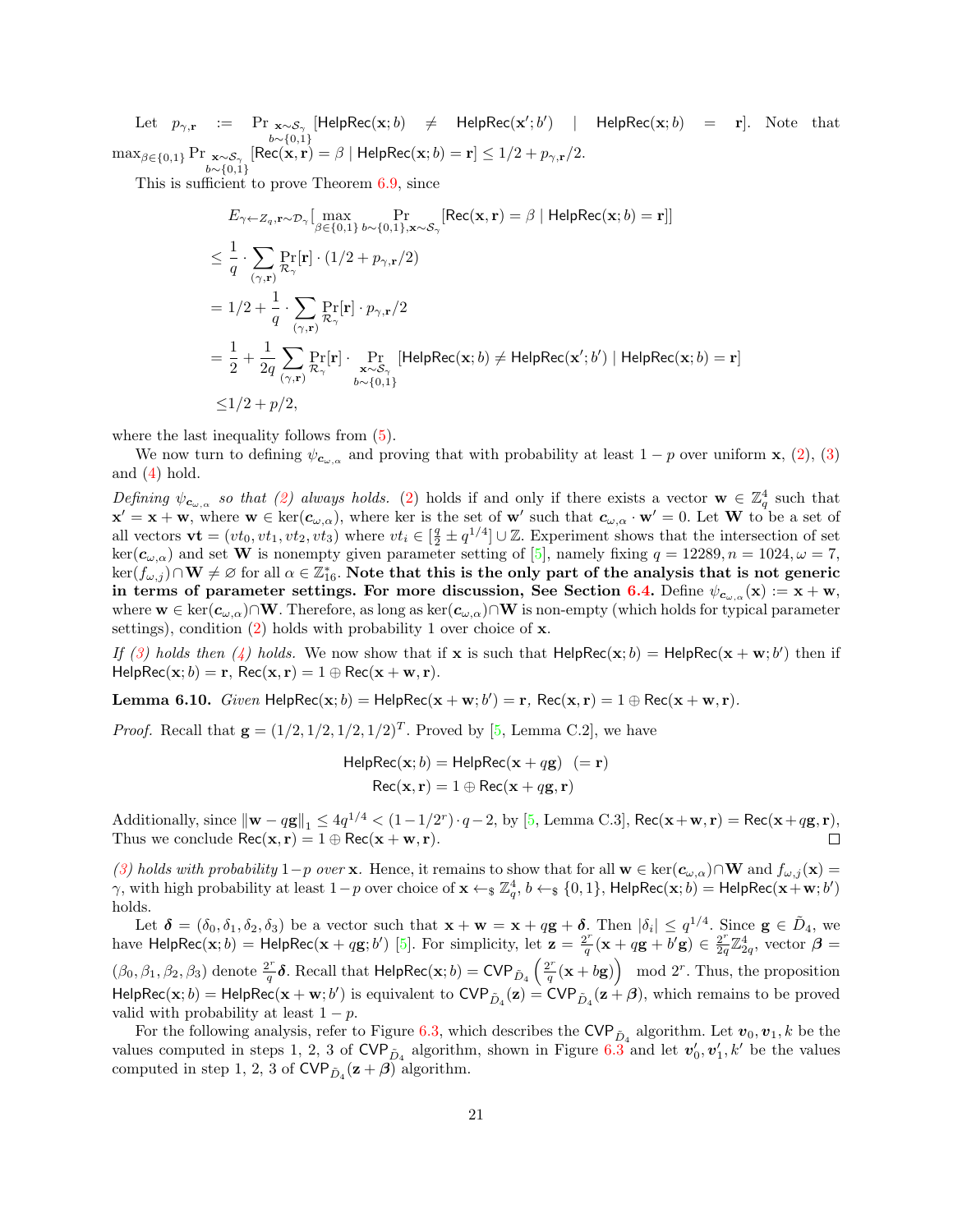Let  $p_{\gamma,\mathbf{r}}$  := Pr  $\underset{b \sim \{0,1\}}{\text{ex}}$  $[Hei pRec(\mathbf{x}; b) \neq Hei pRec(\mathbf{x}'; b')$  | HelpRec $(\mathbf{x}; b)$  = r]. Note that  $\max_{\beta \in \{0,1\}} \Pr{\substack{\mathbf{x} \sim \mathcal{S}_{\gamma} \\ b \sim \{0,1\}}}$  $[\mathsf{Rec}(\mathbf{x}, \mathbf{r}) = \beta \mid \mathsf{HelpRec}(\mathbf{x}; b) = \mathbf{r}] \le 1/2 + p_{\gamma, \mathbf{r}}/2.$ 

This is sufficient to prove Theorem [6.9,](#page-19-0) since

$$
E_{\gamma \leftarrow Z_q, \mathbf{r} \sim \mathcal{D}_{\gamma}} \left[ \max_{\beta \in \{0, 1\}} \Pr_{b \sim \{0, 1\}, \mathbf{x} \sim \mathcal{S}_{\gamma}} \left[ \text{Rec}(\mathbf{x}, \mathbf{r}) = \beta \mid \text{HelpRec}(\mathbf{x}; b) = \mathbf{r} \right] \right]
$$
\n
$$
\leq \frac{1}{q} \cdot \sum_{(\gamma, \mathbf{r})} \Pr_{\mathcal{R}_{\gamma}}[\mathbf{r}] \cdot (1/2 + p_{\gamma, \mathbf{r}}/2)
$$
\n
$$
= 1/2 + \frac{1}{q} \cdot \sum_{(\gamma, \mathbf{r})} \Pr_{\mathcal{R}_{\gamma}}[\mathbf{r}] \cdot p_{\gamma, \mathbf{r}}/2
$$
\n
$$
= \frac{1}{2} + \frac{1}{2q} \sum_{(\gamma, \mathbf{r})} \Pr_{\mathcal{R}_{\gamma}}[\mathbf{r}] \cdot \Pr_{\mathbf{x} \sim \mathcal{S}_{\gamma}}[\text{HelpRec}(\mathbf{x}; b) \neq \text{HelpRec}(\mathbf{x}'; b') \mid \text{HelpRec}(\mathbf{x}; b) = \mathbf{r}]
$$
\n
$$
\leq 1/2 + p/2,
$$

where the last inequality follows from  $(5)$ .

We now turn to defining  $\psi_{c_{\omega,\alpha}}$  and proving that with probability at least  $1-p$  over uniform **x**, [\(2\)](#page-19-2), [\(3\)](#page-19-3) and  $(4)$  hold.

Defining  $\psi_{c_{\omega,\alpha}}$  so that [\(2\)](#page-19-2) always holds. (2) holds if and only if there exists a vector  $\mathbf{w} \in \mathbb{Z}_q^4$  such that  ${\bf x}'={\bf x}+{\bf w}$ , where  ${\bf w}\in\ker({\bf c}_{\omega,\alpha})$ , where ker is the set of  ${\bf w}'$  such that  ${\bf c}_{\omega,\alpha}\cdot{\bf w}'=0$ . Let  ${\bf W}$  to be a set of all vectors  $\mathbf{vt} = (vt_0, vt_1, vt_2, vt_3)$  where  $vt_i \in [\frac{q}{2} \pm q^{1/4}] \cup \mathbb{Z}$ . Experiment shows that the intersection of set  $\ker(c_{\omega,\alpha})$  and set **W** is nonempty given parameter setting of [\[5\]](#page-25-6), namely fixing  $q = 12289, n = 1024, \omega = 7$ ,  $\ker(f_{\omega,j})\cap\mathbf{W}\neq\varnothing$  for all  $\alpha\in\mathbb{Z}_{16}^*.$  Note that this is the only part of the analysis that is not generic in terms of parameter settings. For more discussion, See Section [6.4.](#page-25-1) Define  $\psi_{c_{\omega,\alpha}}(\mathbf{x}) := \mathbf{x} + \mathbf{w}$ , where  $w \in \text{ker}(c_{\omega,\alpha}) \cap W$ . Therefore, as long as  $\text{ker}(c_{\omega,\alpha}) \cap W$  is non-empty (which holds for typical parameter settings), condition  $(2)$  holds with probability 1 over choice of x.

If [\(3\)](#page-19-3) holds then [\(4\)](#page-19-4) holds. We now show that if x is such that  $\text{HelpRec}(x; b) = \text{HelpRec}(x + w; b')$  then if  $\text{HelpRec}(\mathbf{x}; b) = \mathbf{r}, \text{Rec}(\mathbf{x}, \mathbf{r}) = 1 \oplus \text{Rec}(\mathbf{x} + \mathbf{w}, \mathbf{r}).$ 

**Lemma 6.10.** Given  $\text{HelpRec}(\mathbf{x}; b) = \text{HelpRec}(\mathbf{x} + \mathbf{w}; b') = \mathbf{r}$ ,  $\text{Rec}(\mathbf{x}, \mathbf{r}) = 1 \oplus \text{Rec}(\mathbf{x} + \mathbf{w}; \mathbf{r})$ .

*Proof.* Recall that  $g = (1/2, 1/2, 1/2, 1/2)^T$ . Proved by [\[5,](#page-25-6) Lemma C.2], we have

$$
HelpRec(x; b) = HelpRec(x + qg) (= r)
$$

$$
Rec(x, r) = 1 \oplus Rec(x + qg, r)
$$

Additionally, since  $\|\mathbf{w} - q\mathbf{g}\|_1 \le 4q^{1/4} < (1 - 1/2^r) \cdot q - 2$ , by [\[5,](#page-25-6) Lemma C.3], Rec( $\mathbf{x} + \mathbf{w}, \mathbf{r}$ ) = Rec( $\mathbf{x} + q\mathbf{g}, \mathbf{r}$ ), Thus we conclude  $\text{Rec}(\mathbf{x}, \mathbf{r}) = 1 \oplus \text{Rec}(\mathbf{x} + \mathbf{w}, \mathbf{r}).$ 

[\(3\)](#page-19-3) holds with probability 1−p over x. Hence, it remains to show that for all  $w \in \text{ker}(c_{\omega,\alpha}) \cap W$  and  $f_{\omega,j}(x) =$  $γ$ , with high probability at least 1 – p over choice of  $\mathbf{x} \leftarrow_{\$} \mathbb{Z}_q^4$ ,  $b \leftarrow_{\$} \{0,1\}$ , HelpRec( $\mathbf{x}$ ; b) = HelpRec( $\mathbf{x} + \mathbf{w}$ ; b') holds.

Let  $\boldsymbol{\delta} = (\delta_0, \delta_1, \delta_2, \delta_3)$  be a vector such that  $\mathbf{x} + \mathbf{w} = \mathbf{x} + q\mathbf{g} + \boldsymbol{\delta}$ . Then  $|\delta_i| \leq q^{1/4}$ . Since  $\mathbf{g} \in \tilde{D}_4$ , we have HelpRec $(\mathbf{x}; b) =$ HelpRec $(\mathbf{x} + q\mathbf{g}; b')$  [\[5\]](#page-25-6). For simplicity, let  $\mathbf{z} = \frac{2^r}{a}$  $\frac{2^r}{q}(\mathbf{x}+q\mathbf{g}+b'\mathbf{g}) \in \frac{2^r}{2q}$  $\frac{2^r}{2q}\mathbb{Z}_{2q}^4$ , vector  $\boldsymbol{\beta} =$  $(\beta_0, \beta_1, \beta_2, \beta_3)$  denote  $\frac{2^r}{a}$  $\frac{2^r}{q}$ δ. Recall that  $\mathsf{HelpRec}(\mathbf{x}; b) = \mathsf{CVP}_{\tilde{D}_4}\left(\frac{2^r}{q}\right)$  $\left(\frac{2^r}{q}(\mathbf{x} + b\mathbf{g})\right) \mod 2^r$ . Thus, the proposition  $\mathsf{HelpRec}(\mathbf{x}; b) = \mathsf{HelpRec}(\mathbf{x} + \mathbf{w}; b')$  is equivalent to  $\mathsf{CVP}_{\tilde{D}_4}(\mathbf{z}) = \mathsf{CVP}_{\tilde{D}_4}(\mathbf{z} + \boldsymbol{\beta}),$  which remains to be proved valid with probability at least  $1 - p$ .

For the following analysis, refer to Figure [6.3,](#page-16-2) which describes the  $\text{CVP}_{\tilde{D}_4}$  algorithm. Let  $v_0, v_1, k$  be the values computed in steps 1, 2, 3 of CVP<sub> $\tilde{D}_4$ </sub> algorithm, shown in Figure [6.3](#page-16-2) and let  $v'_0, v'_1, k'$  be the values computed in step 1, 2, 3 of  $\text{CVP}_{\tilde{D}_4}(\mathbf{z}+\boldsymbol{\beta})$  algorithm.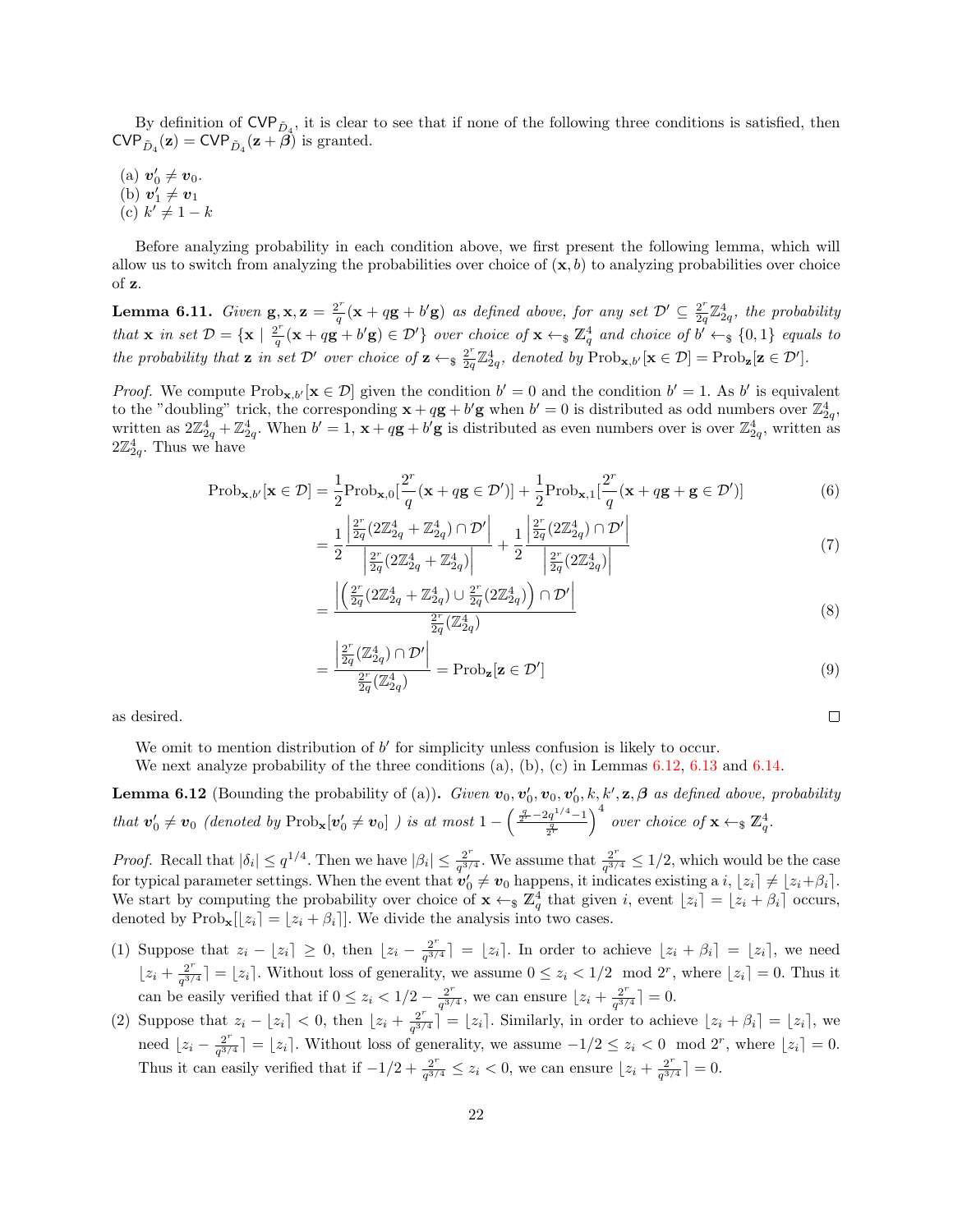By definition of  $\text{CVP}_{\tilde{D}_4}$ , it is clear to see that if none of the following three conditions is satisfied, then  $\text{CVP}_{\tilde{D}_4}(\mathbf{z}) = \text{CVP}_{\tilde{D}_4}(\mathbf{z} + \beta)$  is granted.

- (a)  $v'_0 \neq v_0$ .
- (b)  $v'_1 \neq v_1$
- (c)  $k' \neq 1 k$

Before analyzing probability in each condition above, we first present the following lemma, which will allow us to switch from analyzing the probabilities over choice of  $(x, b)$  to analyzing probabilities over choice of z.

<span id="page-21-1"></span>**Lemma 6.11.** Given  $\mathbf{g}, \mathbf{x}, \mathbf{z} = \frac{2^r}{a}$  $\frac{2^r}{q}(\mathbf{x} + q\mathbf{g} + b'\mathbf{g})$  as defined above, for any set  $\mathcal{D}' \subseteq \frac{2^r}{2q}$  $\frac{2^r}{2q} \mathbb{Z}_{2q}^4$ , the probability that **x** in set  $\mathcal{D} = {\mathbf{x} \mid \frac{2^r}{a}}$  $\mathbb{Z}_q^{\underline{r}}(\mathbf{x}+q\mathbf{g}+b'\mathbf{g})\in \mathcal{D}'$  over choice of  $\mathbf{x}\leftarrow \mathbf{s}$   $\mathbb{Z}_q^4$  and choice of  $b'\leftarrow \mathbf{s}$   $\{0,1\}$  equals to the probability that **z** in set  $\mathcal{D}'$  over choice of  $\mathbf{z} \leftarrow_s \frac{2^r}{2g}$  $\frac{2^r}{2q}\mathbb{Z}_{2q}^4$ , denoted by  $\text{Prob}_{\mathbf{x},b'}[\mathbf{x} \in \mathcal{D}] = \text{Prob}_{\mathbf{z}}[\mathbf{z} \in \mathcal{D}']$ .

*Proof.* We compute  $\text{Prob}_{\mathbf{x},b'}[\mathbf{x} \in \mathcal{D}]$  given the condition  $b' = 0$  and the condition  $b' = 1$ . As b' is equivalent to the "doubling" trick, the corresponding  $\mathbf{x} + q\mathbf{g} + b'\mathbf{g}$  when  $b' = 0$  is distributed as odd numbers over  $\mathbb{Z}_{2a}^4$ , written as  $2\mathbb{Z}_{2q}^4 + \mathbb{Z}_{2q}^4$ . When  $b' = 1$ ,  $\mathbf{x} + q\mathbf{g} + b'\mathbf{g}$  is distributed as even numbers over is over  $\mathbb{Z}_{2q}^4$ , written as  $2\mathbb{Z}_{2q}^4 + \mathbb{Z}_{2q}^4$ .  $2\mathbb{Z}_{2q}^4$ . Thus we have

$$
Prob_{\mathbf{x},b'}[\mathbf{x} \in \mathcal{D}] = \frac{1}{2} Prob_{\mathbf{x},0}[\frac{2^r}{q}(\mathbf{x} + q\mathbf{g} \in \mathcal{D}')] + \frac{1}{2} Prob_{\mathbf{x},1}[\frac{2^r}{q}(\mathbf{x} + q\mathbf{g} + \mathbf{g} \in \mathcal{D}')] \tag{6}
$$

$$
= \frac{1}{2} \frac{\left| \frac{2^r}{2q} (2\mathbb{Z}_{2q}^4 + \mathbb{Z}_{2q}^4) \cap \mathcal{D}' \right|}{\left| \frac{2^r}{2q} (2\mathbb{Z}_{2q}^4 + \mathbb{Z}_{2q}^4) \right|} + \frac{1}{2} \frac{\left| \frac{2^r}{2q} (2\mathbb{Z}_{2q}^4) \cap \mathcal{D}' \right|}{\left| \frac{2^r}{2q} (2\mathbb{Z}_{2q}^4) \right|} \tag{7}
$$

$$
=\frac{\left|\left(\frac{2^r}{2q}(2\mathbb{Z}_{2q}^4+\mathbb{Z}_{2q}^4)\cup\frac{2^r}{2q}(2\mathbb{Z}_{2q}^4)\right)\cap\mathcal{D}'\right|}{\frac{2^r}{2q}(\mathbb{Z}_{2q}^4)}\tag{8}
$$

$$
\frac{\left|\frac{2^r}{2q}(\mathbb{Z}_{2q}^4)\cap \mathcal{D}'\right|}{\frac{2^r}{2q}(\mathbb{Z}_{2q}^4)} = \text{Prob}_{\mathbf{z}}[\mathbf{z} \in \mathcal{D}']\tag{9}
$$

 $\Box$ 

as desired.

We omit to mention distribution of  $b'$  for simplicity unless confusion is likely to occur.

=

We next analyze probability of the three conditions  $(a)$ ,  $(b)$ ,  $(c)$  in Lemmas [6.12,](#page-21-0) [6.13](#page-22-0) and [6.14.](#page-22-1)

<span id="page-21-0"></span>**Lemma 6.12** (Bounding the probability of (a)). Given  $v_0, v'_0, v_0, v'_0, k, k', \mathbf{z}, \boldsymbol{\beta}$  as defined above, probability that  $v'_0 \neq v_0$  (denoted by  $\text{Prob}_x[v'_0 \neq v_0]$ ) is at most  $1 - \left(\frac{\frac{q}{2^r} - 2q^{1/4} - 1}{\frac{q}{2^r}}\right)$  $\int^4$  over choice of  $\mathbf{x} \leftarrow \mathbf{s} \mathbb{Z}_q^4$ .

*Proof.* Recall that  $|\delta_i| \leq q^{1/4}$ . Then we have  $|\beta_i| \leq \frac{2^r}{q^{3/4}}$  $\frac{2^r}{q^{3/4}}$ . We assume that  $\frac{2^r}{q^{3/4}}$  $\frac{2^r}{q^{3/4}} \leq 1/2$ , which would be the case for typical parameter settings. When the event that  $\mathbf{v}'_0 \neq \mathbf{v}_0$  happens, it indicates existing a  $i, |z_i| \neq |z_i + \beta_i|$ . We start by computing the probability over choice of  $\mathbf{x} \leftarrow \mathcal{Z}_q^4$  that given i, event  $[z_i] = [z_i + \beta_i]$  occurs, denoted by  $\text{Prob}_{\mathbf{x}}[z_i] = [z_i + \beta_i]$ . We divide the analysis into two cases.

- (1) Suppose that  $z_i \lfloor z_i \rfloor \geq 0$ , then  $\lfloor z_i \frac{2^r}{a^{3r}} \rfloor$  $\left[\frac{2^i}{q^{3/4}}\right] = [z_i]$ . In order to achieve  $[z_i + \beta_i] = [z_i]$ , we need  $\left[ z_i + \frac{2^r}{a^3} \right]$  $\frac{2^r}{q^{3/4}}$  =  $\lfloor z_i \rfloor$ . Without loss of generality, we assume  $0 \leq z_i < 1/2 \mod 2^r$ , where  $\lfloor z_i \rfloor = 0$ . Thus it can be easily verified that if  $0 \leq z_i < 1/2 - \frac{2^r}{a^{3/2}}$  $\frac{2^r}{q^{3/4}}$ , we can ensure  $\left\lfloor z_i + \frac{2^r}{q^{3/4}} \right\rfloor$  $\frac{2^r}{q^{3/4}}$  = 0.
- (2) Suppose that  $z_i \lfloor z_i \rfloor < 0$ , then  $\lfloor z_i + \frac{2^r}{a^{3r}} \rfloor$  $\left[\frac{2^i}{q^{3/4}}\right] = [z_i]$ . Similarly, in order to achieve  $[z_i + \beta_i] = [z_i]$ , we need  $\left[ z_i - \frac{2^r}{a^{3/2}} \right]$  $\frac{2^r}{q^{3/4}}$  =  $\lfloor z_i \rfloor$ . Without loss of generality, we assume  $-1/2 \leq z_i < 0 \mod 2^r$ , where  $\lfloor z_i \rfloor = 0$ . Thus it can easily verified that if  $-1/2 + \frac{2^r}{a^3}$  $\frac{2^r}{q^{3/4}} \leq z_i < 0$ , we can ensure  $\lfloor z_i + \frac{2^r}{q^{3/4}} \rfloor$  $\frac{2^r}{q^{3/4}}$  = 0.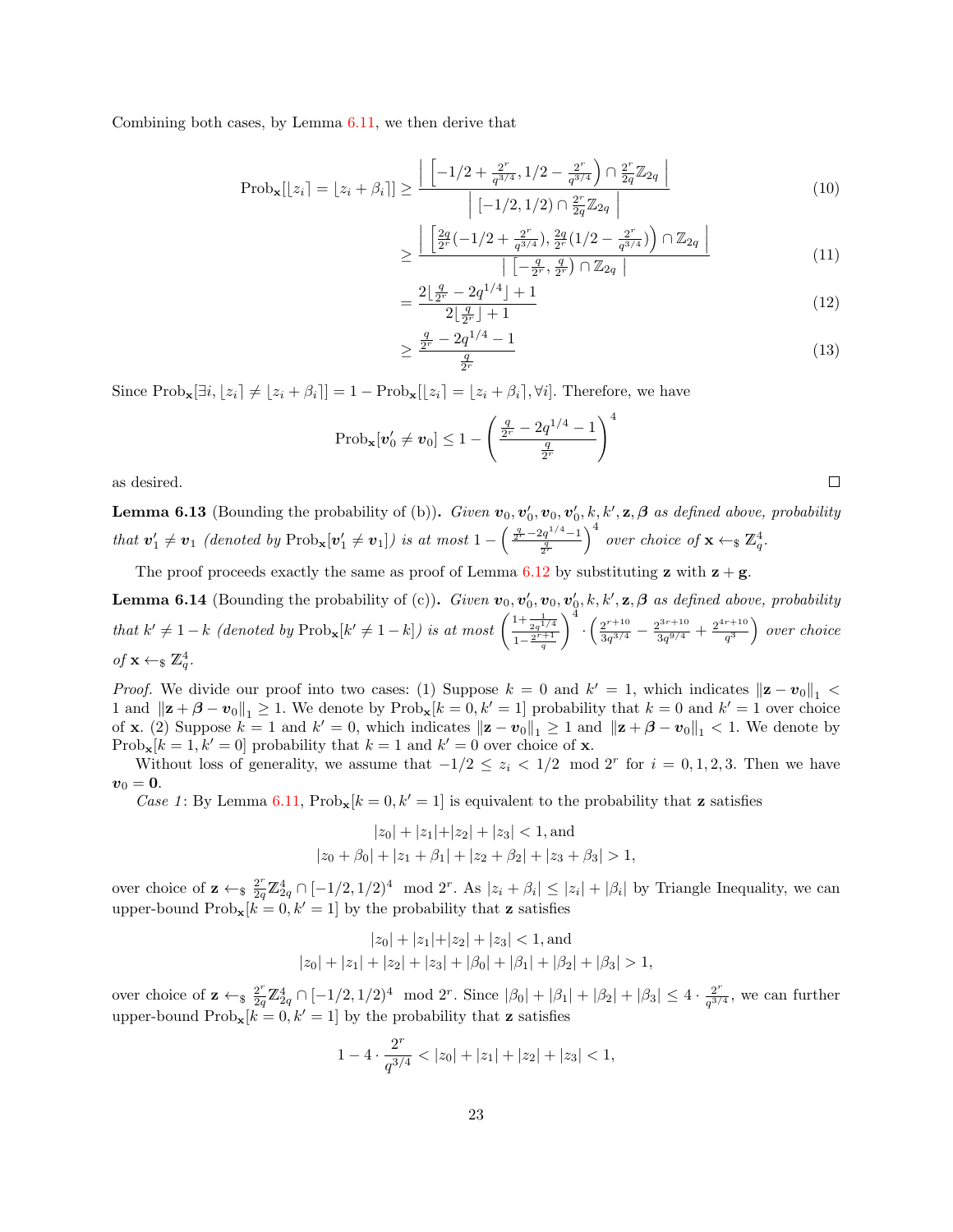Combining both cases, by Lemma [6.11,](#page-21-1) we then derive that

$$
Prob_{\mathbf{x}}[z_i] = [z_i + \beta_i]] \ge \frac{\left| \left[ -1/2 + \frac{2^r}{q^{3/4}}, 1/2 - \frac{2^r}{q^{3/4}} \right) \cap \frac{2^r}{2q} \mathbb{Z}_{2q} \right|}{\left| [-1/2, 1/2) \cap \frac{2^r}{2q} \mathbb{Z}_{2q} \right|}
$$
(10)

$$
\geq \frac{\left| \left[ \frac{2q}{2^r} (-1/2 + \frac{2^r}{q^{3/4}}), \frac{2q}{2^r} (1/2 - \frac{2^r}{q^{3/4}}) \right) \cap \mathbb{Z}_{2q} \right|}{\left| \left[ -\frac{q}{2^r}, \frac{q}{2^r} \right) \cap \mathbb{Z}_{2q} \right|} \tag{11}
$$

$$
=\frac{2\lfloor \frac{q}{2^r} - 2q^{1/4} \rfloor + 1}{2\lfloor \frac{q}{2^r} \rfloor + 1} \tag{12}
$$

$$
\geq \frac{\frac{q}{2^r} - 2q^{1/4} - 1}{\frac{q}{2^r}}\tag{13}
$$

 $\Box$ 

Since  $\text{Prob}_{\mathbf{x}}[\exists i, \lfloor z_i \rfloor \neq \lfloor z_i + \beta_i \rfloor] = 1 - \text{Prob}_{\mathbf{x}}[\lfloor z_i \rfloor = \lfloor z_i + \beta_i \rfloor, \forall i].$  Therefore, we have

$$
Prob_{\mathbf{x}}[\mathbf{v}'_0 \neq \mathbf{v}_0] \leq 1 - \left(\frac{\frac{q}{2^r} - 2q^{1/4} - 1}{\frac{q}{2^r}}\right)^4
$$

as desired.

<span id="page-22-0"></span>**Lemma 6.13** (Bounding the probability of (b)). Given  $v_0, v'_0, v_0, v'_0, k, k', \mathbf{z}, \boldsymbol{\beta}$  as defined above, probability that  $v'_1 \neq v_1$  (denoted by  $\text{Prob}_x[v'_1 \neq v_1]$ ) is at most  $1 - \left(\frac{\frac{q}{2^r} - 2q^{1/4} - 1}{\frac{q}{2^r}}\right)$  $\int^4$  over choice of  $\mathbf{x} \leftarrow \mathbf{g} \mathbb{Z}_q^4$ .

The proof proceeds exactly the same as proof of Lemma [6.12](#page-21-0) by substituting z with  $z + g$ .

<span id="page-22-1"></span>**Lemma 6.14** (Bounding the probability of (c)). Given  $v_0, v'_0, v_0, v'_0, k, k', \mathbf{z}, \boldsymbol{\beta}$  as defined above, probability that  $k' \neq 1 - k$  (denoted by  $\text{Prob}_{\mathbf{x}}[k' \neq 1 - k]$ ) is at most  $\left( \frac{1 + \frac{1}{2q^{1/4}}}{1 - \frac{2^{r+1}}{q}} \right)$  $\bigg\}^{\frac{1}{4}} \cdot \bigg( \frac{2^{r+10}}{3g^{3/4}} \bigg)$  $rac{2^{r+10}}{3q^{3/4}}-\frac{2^{3r+10}}{3q^{9/4}}$  $\frac{2^{3r+10}}{3q^{9/4}}+\frac{2^{4r+10}}{q^3}$  $\left(\frac{r+10}{q^3}\right)$  over choice of  $\mathbf{x} \leftarrow \S \mathbb{Z}_q^4$ .

*Proof.* We divide our proof into two cases: (1) Suppose  $k = 0$  and  $k' = 1$ , which indicates  $\|\mathbf{z} - \mathbf{v}_0\|_1$ 1 and  $\|\mathbf{z} + \boldsymbol{\beta} - \mathbf{v}_0\|_1 \ge 1$ . We denote by  $\text{Prob}_{\mathbf{x}}[k=0, k'=1]$  probability that  $k=0$  and  $k'=1$  over choice of **x**. (2) Suppose  $k = 1$  and  $k' = 0$ , which indicates  $\|\mathbf{z} - \mathbf{v}_0\|_1 \ge 1$  and  $\|\mathbf{z} + \boldsymbol{\beta} - \mathbf{v}_0\|_1 < 1$ . We denote by  $\text{Prob}_{\mathbf{x}}[k=1, k'=0]$  probability that  $k=1$  and  $k'=0$  over choice of **x**.

Without loss of generality, we assume that  $-1/2 \le z_i < 1/2 \mod 2^r$  for  $i = 0, 1, 2, 3$ . Then we have  $\boldsymbol{v}_0 = \boldsymbol{0}$ .

Case 1: By Lemma [6.11,](#page-21-1)  $Prob_{\mathbf{x}}[k=0, k'=1]$  is equivalent to the probability that **z** satisfies

$$
|z_0| + |z_1| + |z_2| + |z_3| < 1, \text{and}
$$
  

$$
|z_0 + \beta_0| + |z_1 + \beta_1| + |z_2 + \beta_2| + |z_3 + \beta_3| > 1,
$$

over choice of  $\mathbf{z} \leftarrow_{\$} \frac{2^r}{2q} \mathbb{Z}_{2q}^4 \cap [-1/2, 1/2)^4 \mod 2^r$ . As  $|z_i + \beta_i| \leq |z_i| + |\beta_i|$  by Triangle Inequality, we can upper-bound  $\text{Prob}_{\mathbf{x}}[k=0, k'=1]$  by the probability that **z** satisfies

$$
|z_0| + |z_1| + |z_2| + |z_3| < 1, \text{and}
$$
  

$$
|z_0| + |z_1| + |z_2| + |z_3| + |\beta_0| + |\beta_1| + |\beta_2| + |\beta_3| > 1,
$$

over choice of  $\mathbf{z} \leftarrow_{\$} \frac{2^r}{2q} \mathbb{Z}_{2q}^4 \cap [-1/2, 1/2)^4 \mod 2^r$ . Since  $|\beta_0| + |\beta_1| + |\beta_2| + |\beta_3| \leq 4 \cdot \frac{2^r}{q^{3/2}}$  $\frac{2^r}{q^{3/4}}$ , we can further upper-bound  $\text{Prob}_{\mathbf{x}}[k=0, k'=1]$  by the probability that **z** satisfies

$$
1 - 4 \cdot \frac{2^r}{q^{3/4}} < |z_0| + |z_1| + |z_2| + |z_3| < 1,
$$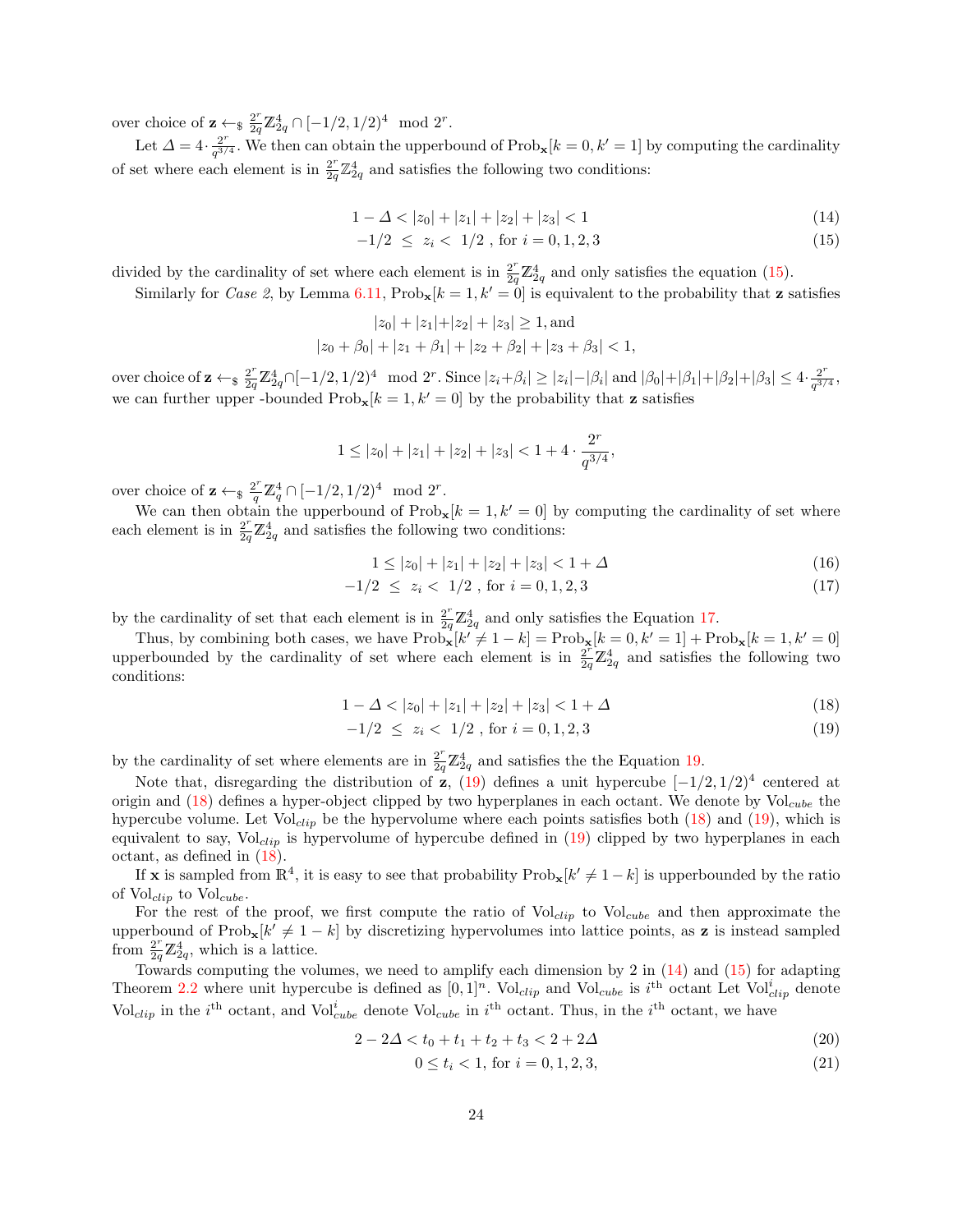over choice of  $\mathbf{z} \leftarrow_{\$} \frac{2^r}{2q} \mathbb{Z}_{2q}^4 \cap [-1/2, 1/2)^4 \mod 2^r$ .

Let  $\Delta = 4 \cdot \frac{2^r}{a^{3r}}$  $\frac{2^r}{q^{3/4}}$ . We then can obtain the upperbound of Prob<sub>x</sub> $[k = 0, k' = 1]$  by computing the cardinality of set where each element is in  $\frac{2^r}{2a}$  $\frac{2^r}{2q}\mathbb{Z}_{2q}^4$  and satisfies the following two conditions:

$$
1 - \Delta < |z_0| + |z_1| + |z_2| + |z_3| < 1 \tag{14}
$$

<span id="page-23-4"></span><span id="page-23-0"></span>
$$
-1/2 \le z_i < 1/2 \text{, for } i = 0, 1, 2, 3 \tag{15}
$$

divided by the cardinality of set where each element is in  $\frac{2^r}{2q} \mathbb{Z}_{2q}^4$  and only satisfies the equation [\(15\)](#page-23-0).

Similarly for Case 2, by Lemma [6.11,](#page-21-1)  $\text{Prob}_{\mathbf{x}}[k=1, k'=0]$  is equivalent to the probability that **z** satisfies

$$
|z_0| + |z_1| + |z_2| + |z_3| \ge 1
$$
, and  
 $|z_0 + \beta_0| + |z_1 + \beta_1| + |z_2 + \beta_2| + |z_3 + \beta_3| < 1$ ,

over choice of  $\mathbf{z} \leftarrow_{\$} \frac{2^r}{2q} \mathbb{Z}_{2q}^4 \cap [-1/2, 1/2)^4 \mod 2^r$ . Since  $|z_i + \beta_i| \geq |z_i| - |\beta_i|$  and  $|\beta_0| + |\beta_1| + |\beta_2| + |\beta_3| \leq 4 \cdot \frac{2^r}{q^{3/2}}$  $\frac{2^r}{q^{3/4}},$ we can further upper -bounded  $\text{Prob}_{\mathbf{x}}[k=1, k'=0]$  by the probability that **z** satisfies

$$
1 \le |z_0| + |z_1| + |z_2| + |z_3| < 1 + 4 \cdot \frac{2^r}{q^{3/4}},
$$

over choice of  $\mathbf{z} \leftarrow_{\$} \frac{2^r}{q} \mathbb{Z}_q^4 \cap [-1/2, 1/2)^4 \mod 2^r$ .

We can then obtain the upperbound of  $\text{Prob}_{\mathbf{x}}[k=1, k'=0]$  by computing the cardinality of set where each element is in  $\frac{2^r}{2q}\mathbb{Z}_{2q}^4$  and satisfies the following two conditions:

<span id="page-23-1"></span>
$$
1 \le |z_0| + |z_1| + |z_2| + |z_3| < 1 + \Delta \tag{16}
$$

$$
-1/2 \le z_i < 1/2 \text{, for } i = 0, 1, 2, 3 \tag{17}
$$

by the cardinality of set that each element is in  $\frac{2^r}{2q} \mathbb{Z}_{2q}^4$  and only satisfies the Equation [17.](#page-23-1)

Thus, by combining both cases, we have  $\text{Prob}_{\mathbf{x}}[k' \neq 1 - k] = \text{Prob}_{\mathbf{x}}[k = 0, k' = 1] + \text{Prob}_{\mathbf{x}}[k = 1, k' = 0]$ upperbounded by the cardinality of set where each element is in  $\frac{2^r}{2q}\mathbb{Z}_{2q}^4$  and satisfies the following two conditions:

$$
1 - \Delta < |z_0| + |z_1| + |z_2| + |z_3| < 1 + \Delta \tag{18}
$$

<span id="page-23-3"></span><span id="page-23-2"></span>
$$
-1/2 \le z_i < 1/2 \text{, for } i = 0, 1, 2, 3 \tag{19}
$$

by the cardinality of set where elements are in  $\frac{2^r}{2q}\mathbb{Z}_{2q}^4$  and satisfies the the Equation [19.](#page-23-2)

Note that, disregarding the distribution of z,  $(19)$  defines a unit hypercube  $[-1/2, 1/2)^4$  centered at origin and  $(18)$  defines a hyper-object clipped by two hyperplanes in each octant. We denote by Vol<sub>cube</sub> the hypercube volume. Let  $Vol_{clip}$  be the hypervolume where each points satisfies both [\(18\)](#page-23-3) and [\(19\)](#page-23-2), which is equivalent to say,  $Vol_{clip}$  is hypervolume of hypercube defined in [\(19\)](#page-23-2) clipped by two hyperplanes in each octant, as defined in [\(18\)](#page-23-3).

If **x** is sampled from  $\mathbb{R}^4$ , it is easy to see that probability  $\text{Prob}_{\mathbf{x}}[k' \neq 1-k]$  is upperbounded by the ratio of  $\text{Vol}_{clip}$  to  $\text{Vol}_{cube}$ .

For the rest of the proof, we first compute the ratio of  $\text{Vol}_{clip}$  to  $\text{Vol}_{cube}$  and then approximate the upperbound of  $\text{Prob}_{\mathbf{x}}[k' \neq 1-k]$  by discretizing hypervolumes into lattice points, as **z** is instead sampled from  $\frac{2^r}{2q}\mathbb{Z}_{2q}^4$ , which is a lattice.

Towards computing the volumes, we need to amplify each dimension by 2 in  $(14)$  and  $(15)$  for adapting Theorem [2.2](#page-7-0) where unit hypercube is defined as  $[0,1]^n$ . Vol<sub>clip</sub> and Vol<sub>cube</sub> is i<sup>th</sup> octant Let Vol<sup>i</sup><sub>clip</sub> denote Vol<sub>clip</sub> in the i<sup>th</sup> octant, and Vol<sup>i</sup><sub>cube</sub> denote Vol<sub>cube</sub> in i<sup>th</sup> octant. Thus, in the i<sup>th</sup> octant, we have

$$
2 - 2\Delta < t_0 + t_1 + t_2 + t_3 < 2 + 2\Delta
$$
\n<sup>(20)</sup>

$$
0 \le t_i < 1 \text{, for } i = 0, 1, 2, 3,\tag{21}
$$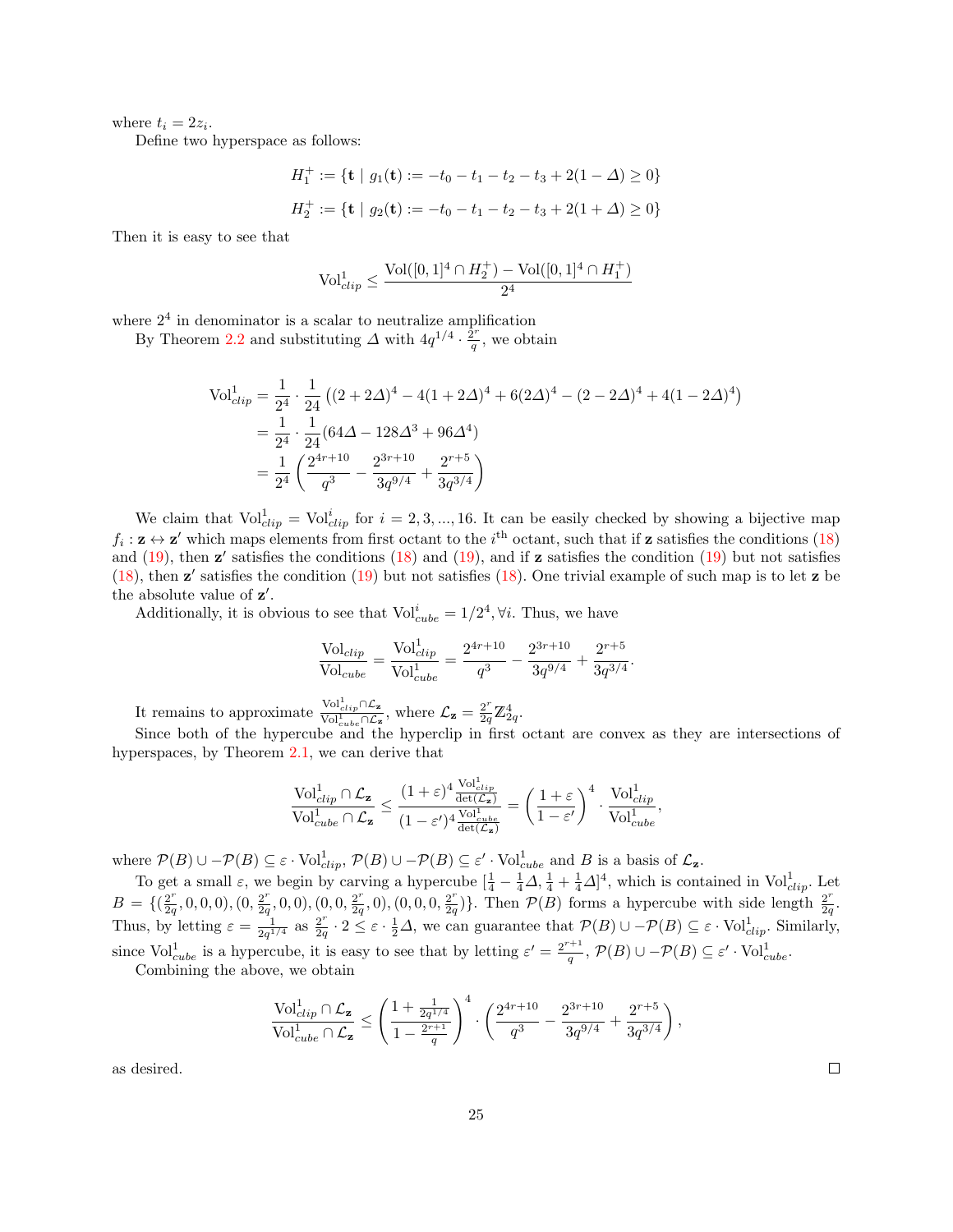where  $t_i = 2z_i$ .

Define two hyperspace as follows:

$$
H_1^+ := \{ \mathbf{t} \mid g_1(\mathbf{t}) := -t_0 - t_1 - t_2 - t_3 + 2(1 - \Delta) \ge 0 \}
$$
  

$$
H_2^+ := \{ \mathbf{t} \mid g_2(\mathbf{t}) := -t_0 - t_1 - t_2 - t_3 + 2(1 + \Delta) \ge 0 \}
$$

Then it is easy to see that

$$
\text{Vol}_{clip}^1 \le \frac{\text{Vol}([0,1]^4 \cap H_2^+) - \text{Vol}([0,1]^4 \cap H_1^+)}{2^4}
$$

where  $2<sup>4</sup>$  in denominator is a scalar to neutralize amplification

By Theorem [2.2](#page-7-0) and substituting  $\Delta$  with  $4q^{1/4} \cdot \frac{\tilde{2}r}{q}$  $\frac{2^r}{q}$ , we obtain

$$
\begin{split} \text{Vol}_{clip}^{1} &= \frac{1}{2^{4}} \cdot \frac{1}{24} \left( (2 + 2\Delta)^{4} - 4(1 + 2\Delta)^{4} + 6(2\Delta)^{4} - (2 - 2\Delta)^{4} + 4(1 - 2\Delta)^{4} \right) \\ &= \frac{1}{2^{4}} \cdot \frac{1}{24} (64\Delta - 128\Delta^{3} + 96\Delta^{4}) \\ &= \frac{1}{2^{4}} \left( \frac{2^{4r+10}}{q^{3}} - \frac{2^{3r+10}}{3q^{9/4}} + \frac{2^{r+5}}{3q^{3/4}} \right) \end{split}
$$

We claim that  $Vol_{clip}^1 = Vol_{clip}^i$  for  $i = 2, 3, ..., 16$ . It can be easily checked by showing a bijective map  $f_i: \mathbf{z} \leftrightarrow \mathbf{z}'$  which maps elements from first octant to the  $i^{\text{th}}$  octant, such that if  $\mathbf{z}$  satisfies the conditions [\(18\)](#page-23-3) and  $(19)$ , then  $z'$  satisfies the conditions  $(18)$  and  $(19)$ , and if  $z$  satisfies the condition  $(19)$  but not satisfies  $(18)$ , then z' satisfies the condition  $(19)$  but not satisfies  $(18)$ . One trivial example of such map is to let z be the absolute value of  $z'$ .

Additionally, it is obvious to see that  $Vol_{cube}^i = 1/2^4$ ,  $\forall i$ . Thus, we have

$$
\frac{\text{Vol}_{clip}}{\text{Vol}_{cube}} = \frac{\text{Vol}_{clip}^1}{\text{Vol}_{cube}} = \frac{2^{4r+10}}{q^3} - \frac{2^{3r+10}}{3q^{9/4}} + \frac{2^{r+5}}{3q^{3/4}}.
$$

It remains to approximate  $\frac{\text{Vol}_{clip}^1 \cap \mathcal{L}_z}{\text{Vol}_{z}^1 \cap \mathcal{L}_z}$  $\frac{\text{Vol}_{clip}^1 \cap \mathcal{L}_z}{\text{Vol}_{cube}^1 \cap \mathcal{L}_z}$ , where  $\mathcal{L}_z = \frac{2^r}{2q} \mathbb{Z}_{2q}^4$ .

Since both of the hypercube and the hyperclip in first octant are convex as they are intersections of hyperspaces, by Theorem [2.1,](#page-6-1) we can derive that

$$
\frac{\mathrm{Vol}^1_{clip}\cap \mathcal{L}_{\mathbf{z}}}{\mathrm{Vol}^1_{cube}\cap \mathcal{L}_{\mathbf{z}}} \leq \frac{(1+\varepsilon)^4\frac{\mathrm{Vol}^1_{clip}}{\det(\mathcal{L}_{\mathbf{z}})}}{(1-\varepsilon')^4\frac{\mathrm{Vol}^1_{cube}}{\det(\mathcal{L}_{\mathbf{z}})}} = \left(\frac{1+\varepsilon}{1-\varepsilon'}\right)^4\cdot\frac{\mathrm{Vol}^1_{clip}}{\mathrm{Vol}^1_{cube}},
$$

where  $\mathcal{P}(B) \cup -\mathcal{P}(B) \subseteq \varepsilon \cdot \text{Vol}_{clip}^1$ ,  $\mathcal{P}(B) \cup -\mathcal{P}(B) \subseteq \varepsilon' \cdot \text{Vol}_{cube}^1$  and B is a basis of  $\mathcal{L}_z$ .

To get a small  $\varepsilon$ , we begin by carving a hypercube  $[\frac{1}{4} - \frac{1}{4}\Delta, \frac{1}{4} + \frac{1}{4}\Delta]^4$ , which is contained in Vol $_{clip}^1$ . Let  $B = \{(\frac{2^r}{2g})\}$  $\frac{2^r}{2q}, 0, 0, 0), (0, \frac{2^r}{2q})$  $\frac{2^r}{2q},0,0)$ ,  $(0,0,\frac{2^r}{2q})$  $\frac{2^r}{2q},0), (0,0,0,\frac{2^r}{2q})$  $\frac{2^r}{2q}$ ). Then  $\mathcal{P}(B)$  forms a hypercube with side length  $\frac{2^r}{2q}$  $\frac{2^r}{2q}.$ Thus, by letting  $\varepsilon = \frac{1}{2q^{1/4}}$  as  $\frac{2^r}{2q}$  $\frac{2^r}{2q} \cdot 2 \leq \varepsilon \cdot \frac{1}{2}\Delta$ , we can guarantee that  $\mathcal{P}(B) \cup -\mathcal{P}(B) \subseteq \varepsilon \cdot \text{Vol}^1_{clip}$ . Similarly, since  $\text{Vol}_{cube}^1$  is a hypercube, it is easy to see that by letting  $\varepsilon' = \frac{2^{r+1}}{q}$  $\frac{q^{n+1}}{q}, \mathcal{P}(B) \cup -\mathcal{P}(B) \subseteq \varepsilon' \cdot \operatorname{Vol}_{cube}^1.$ Combining the above, we obtain

$$
\frac{\mathrm{Vol}^1_{clip} \cap \mathcal{L}_{\mathbf{z}}}{\mathrm{Vol}^1_{cube} \cap \mathcal{L}_{\mathbf{z}}} \le \left(\frac{1 + \frac{1}{2q^{1/4}}}{1 - \frac{2^{r+1}}{q}}\right)^4 \cdot \left(\frac{2^{4r+10}}{q^3} - \frac{2^{3r+10}}{3q^{9/4}} + \frac{2^{r+5}}{3q^{3/4}}\right),
$$

as desired.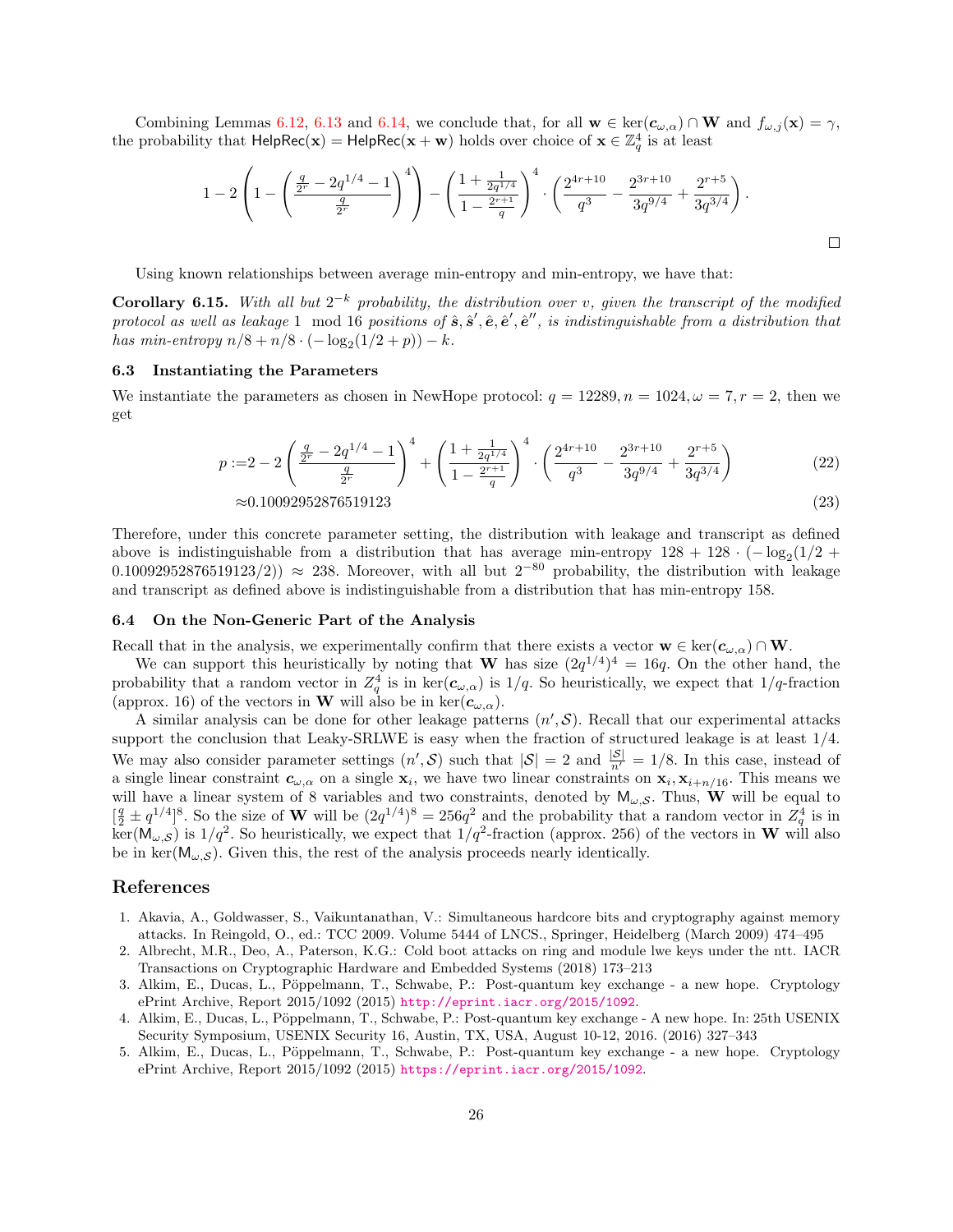Combining Lemmas [6.12,](#page-21-0) [6.13](#page-22-0) and [6.14,](#page-22-1) we conclude that, for all  $\mathbf{w} \in \text{ker}(\mathbf{c}_{\omega,\alpha}) \cap \mathbf{W}$  and  $f_{\omega,j}(\mathbf{x}) = \gamma$ , the probability that  $\text{HelpRec}(x) = \text{HelpRec}(x + w)$  holds over choice of  $x \in \mathbb{Z}_q^4$  is at least

$$
1 - 2\left(1 - \left(\frac{\frac{q}{2^r} - 2q^{1/4} - 1}{\frac{q}{2^r}}\right)^4\right) - \left(\frac{1 + \frac{1}{2q^{1/4}}}{1 - \frac{2^{r+1}}{q}}\right)^4 \cdot \left(\frac{2^{4r+10}}{q^3} - \frac{2^{3r+10}}{3q^{9/4}} + \frac{2^{r+5}}{3q^{3/4}}\right).
$$

Using known relationships between average min-entropy and min-entropy, we have that:

<span id="page-25-5"></span>**Corollary 6.15.** With all but  $2^{-k}$  probability, the distribution over v, given the transcript of the modified protocol as well as leakage 1 mod 16 positions of  $\hat{s}, \hat{s}', \hat{e}, \hat{e}', \hat{e}''$ , is indistinguishable from a distribution that has min-entropy  $n/8 + n/8 \cdot (-\log_2(1/2 + p)) - k$ .

## 6.3 Instantiating the Parameters

We instantiate the parameters as chosen in NewHope protocol:  $q = 12289$ ,  $n = 1024$ ,  $\omega = 7$ ,  $r = 2$ , then we get

$$
p := 2 - 2\left(\frac{\frac{q}{2^r} - 2q^{1/4} - 1}{\frac{q}{2^r}}\right)^4 + \left(\frac{1 + \frac{1}{2q^{1/4}}}{1 - \frac{2^{r+1}}{q}}\right)^4 \cdot \left(\frac{2^{4r+10}}{q^3} - \frac{2^{3r+10}}{3q^{9/4}} + \frac{2^{r+5}}{3q^{3/4}}\right)
$$
(22)

$$
\approx 0.10092952876519123\tag{23}
$$

Therefore, under this concrete parameter setting, the distribution with leakage and transcript as defined above is indistinguishable from a distribution that has average min-entropy  $128 + 128 \cdot (-\log_2(1/2 +$ 0.10092952876519123/2)) ≈ 238. Moreover, with all but  $2^{-80}$  probability, the distribution with leakage and transcript as defined above is indistinguishable from a distribution that has min-entropy 158.

## <span id="page-25-1"></span>6.4 On the Non-Generic Part of the Analysis

Recall that in the analysis, we experimentally confirm that there exists a vector  $\mathbf{w} \in \text{ker}(\mathbf{c}_{\omega,\alpha}) \cap \mathbf{W}$ .

We can support this heuristically by noting that W has size  $(2q^{1/4})^4 = 16q$ . On the other hand, the probability that a random vector in  $Z_q^4$  is in  $\ker(\mathbf{c}_{\omega,\alpha})$  is  $1/q$ . So heuristically, we expect that  $1/q$ -fraction (approx. 16) of the vectors in **W** will also be in ker $(c_{\omega,\alpha})$ .

A similar analysis can be done for other leakage patterns  $(n',\mathcal{S})$ . Recall that our experimental attacks support the conclusion that Leaky-SRLWE is easy when the fraction of structured leakage is at least 1/4. We may also consider parameter settings  $(n',\mathcal{S})$  such that  $|\mathcal{S}|=2$  and  $\frac{|\mathcal{S}|}{n'}=1/8$ . In this case, instead of a single linear constraint  $c_{\omega,\alpha}$  on a single  $x_i$ , we have two linear constraints on  $x_i, x_{i+n/16}$ . This means we will have a linear system of 8 variables and two constraints, denoted by  $M_{\omega, S}$ . Thus, W will be equal to  $\left[\frac{q}{2} \pm q^{1/4}\right]^8$ . So the size of W will be  $(2q^{1/4})^8 = 256q^2$  and the probability that a random vector in  $Z_q^4$  is in  $\ker(M_{\omega,S})$  is  $1/q^2$ . So heuristically, we expect that  $1/q^2$ -fraction (approx. 256) of the vectors in W will also be in ker( $M_{\omega,\mathcal{S}}$ ). Given this, the rest of the analysis proceeds nearly identically.

## References

- <span id="page-25-3"></span>1. Akavia, A., Goldwasser, S., Vaikuntanathan, V.: Simultaneous hardcore bits and cryptography against memory attacks. In Reingold, O., ed.: TCC 2009. Volume 5444 of LNCS., Springer, Heidelberg (March 2009) 474–495
- <span id="page-25-4"></span>2. Albrecht, M.R., Deo, A., Paterson, K.G.: Cold boot attacks on ring and module lwe keys under the ntt. IACR Transactions on Cryptographic Hardware and Embedded Systems (2018) 173–213
- <span id="page-25-2"></span>3. Alkim, E., Ducas, L., Pöppelmann, T., Schwabe, P.: Post-quantum key exchange - a new hope. Cryptology ePrint Archive, Report 2015/1092 (2015) <http://eprint.iacr.org/2015/1092>.
- <span id="page-25-0"></span>4. Alkim, E., Ducas, L., Pöppelmann, T., Schwabe, P.: Post-quantum key exchange - A new hope. In: 25th USENIX Security Symposium, USENIX Security 16, Austin, TX, USA, August 10-12, 2016. (2016) 327–343
- <span id="page-25-6"></span>5. Alkim, E., Ducas, L., Pöppelmann, T., Schwabe, P.: Post-quantum key exchange - a new hope. Cryptology ePrint Archive, Report 2015/1092 (2015) <https://eprint.iacr.org/2015/1092>.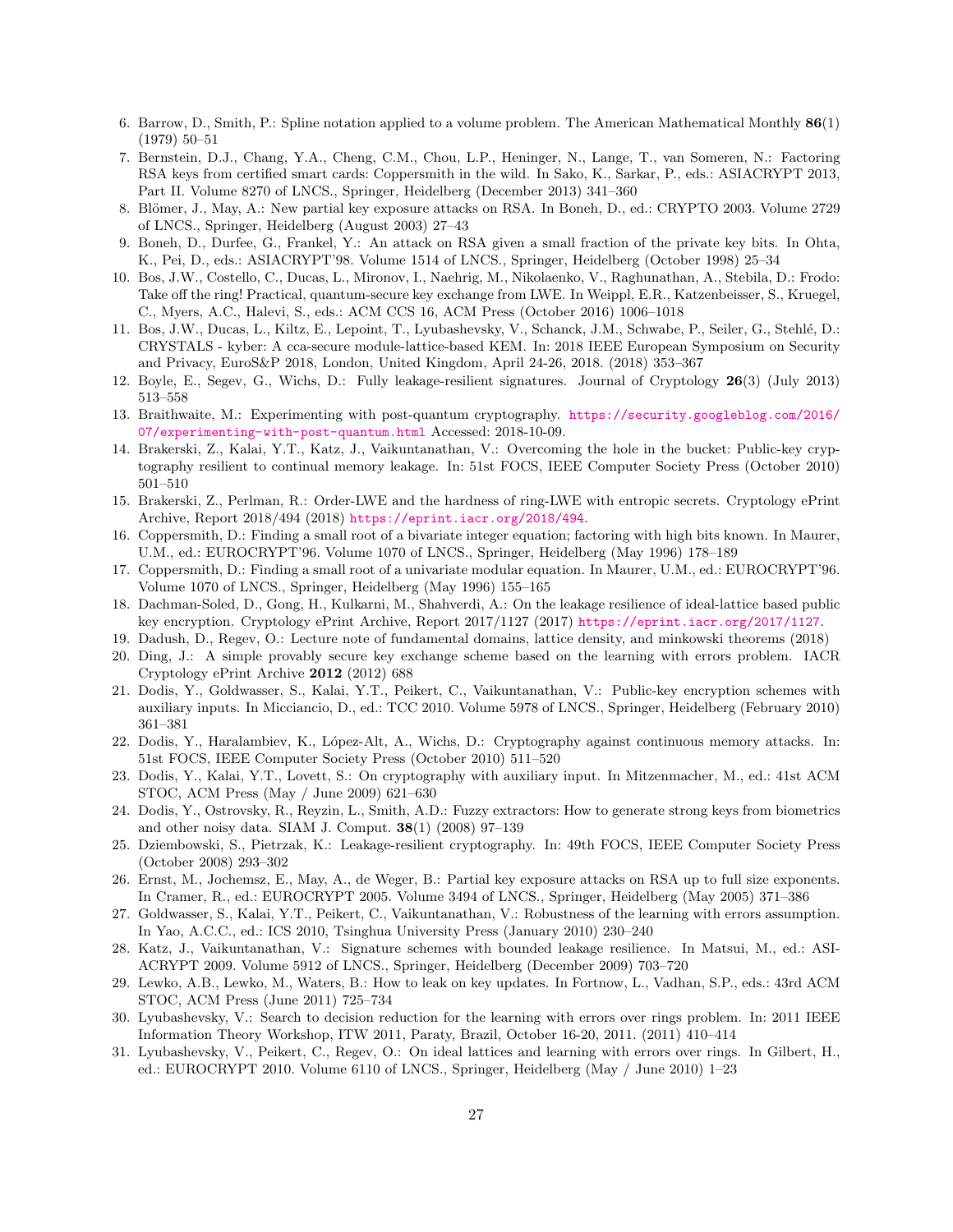- <span id="page-26-22"></span>6. Barrow, D., Smith, P.: Spline notation applied to a volume problem. The American Mathematical Monthly 86(1) (1979) 50–51
- <span id="page-26-5"></span>7. Bernstein, D.J., Chang, Y.A., Cheng, C.M., Chou, L.P., Heninger, N., Lange, T., van Someren, N.: Factoring RSA keys from certified smart cards: Coppersmith in the wild. In Sako, K., Sarkar, P., eds.: ASIACRYPT 2013, Part II. Volume 8270 of LNCS., Springer, Heidelberg (December 2013) 341–360
- <span id="page-26-3"></span>8. Blömer, J., May, A.: New partial key exposure attacks on RSA. In Boneh, D., ed.: CRYPTO 2003. Volume 2729 of LNCS., Springer, Heidelberg (August 2003) 27–43
- <span id="page-26-2"></span>9. Boneh, D., Durfee, G., Frankel, Y.: An attack on RSA given a small fraction of the private key bits. In Ohta, K., Pei, D., eds.: ASIACRYPT'98. Volume 1514 of LNCS., Springer, Heidelberg (October 1998) 25–34
- <span id="page-26-19"></span>10. Bos, J.W., Costello, C., Ducas, L., Mironov, I., Naehrig, M., Nikolaenko, V., Raghunathan, A., Stebila, D.: Frodo: Take off the ring! Practical, quantum-secure key exchange from LWE. In Weippl, E.R., Katzenbeisser, S., Kruegel, C., Myers, A.C., Halevi, S., eds.: ACM CCS 16, ACM Press (October 2016) 1006–1018
- <span id="page-26-20"></span>11. Bos, J.W., Ducas, L., Kiltz, E., Lepoint, T., Lyubashevsky, V., Schanck, J.M., Schwabe, P., Seiler, G., Stehl´e, D.: CRYSTALS - kyber: A cca-secure module-lattice-based KEM. In: 2018 IEEE European Symposium on Security and Privacy, EuroS&P 2018, London, United Kingdom, April 24-26, 2018. (2018) 353–367
- <span id="page-26-12"></span>12. Boyle, E., Segev, G., Wichs, D.: Fully leakage-resilient signatures. Journal of Cryptology 26(3) (July 2013) 513–558
- <span id="page-26-6"></span>13. Braithwaite, M.: Experimenting with post-quantum cryptography. [https://security.googleblog.com/2016/](https://security.googleblog.com/2016/07/experimenting-with-post-quantum.html) [07/experimenting-with-post-quantum.html](https://security.googleblog.com/2016/07/experimenting-with-post-quantum.html) Accessed: 2018-10-09.
- <span id="page-26-8"></span>14. Brakerski, Z., Kalai, Y.T., Katz, J., Vaikuntanathan, V.: Overcoming the hole in the bucket: Public-key cryptography resilient to continual memory leakage. In: 51st FOCS, IEEE Computer Society Press (October 2010) 501–510
- <span id="page-26-17"></span>15. Brakerski, Z., Perlman, R.: Order-LWE and the hardness of ring-LWE with entropic secrets. Cryptology ePrint Archive, Report 2018/494 (2018) <https://eprint.iacr.org/2018/494>.
- <span id="page-26-1"></span>16. Coppersmith, D.: Finding a small root of a bivariate integer equation; factoring with high bits known. In Maurer, U.M., ed.: EUROCRYPT'96. Volume 1070 of LNCS., Springer, Heidelberg (May 1996) 178–189
- <span id="page-26-0"></span>17. Coppersmith, D.: Finding a small root of a univariate modular equation. In Maurer, U.M., ed.: EUROCRYPT'96. Volume 1070 of LNCS., Springer, Heidelberg (May 1996) 155–165
- <span id="page-26-16"></span>18. Dachman-Soled, D., Gong, H., Kulkarni, M., Shahverdi, A.: On the leakage resilience of ideal-lattice based public key encryption. Cryptology ePrint Archive, Report 2017/1127 (2017) <https://eprint.iacr.org/2017/1127>.
- <span id="page-26-21"></span>19. Dadush, D., Regev, O.: Lecture note of fundamental domains, lattice density, and minkowski theorems (2018)
- <span id="page-26-18"></span>20. Ding, J.: A simple provably secure key exchange scheme based on the learning with errors problem. IACR Cryptology ePrint Archive 2012 (2012) 688
- <span id="page-26-15"></span>21. Dodis, Y., Goldwasser, S., Kalai, Y.T., Peikert, C., Vaikuntanathan, V.: Public-key encryption schemes with auxiliary inputs. In Micciancio, D., ed.: TCC 2010. Volume 5978 of LNCS., Springer, Heidelberg (February 2010) 361–381
- <span id="page-26-9"></span>22. Dodis, Y., Haralambiev, K., L´opez-Alt, A., Wichs, D.: Cryptography against continuous memory attacks. In: 51st FOCS, IEEE Computer Society Press (October 2010) 511–520
- <span id="page-26-14"></span>23. Dodis, Y., Kalai, Y.T., Lovett, S.: On cryptography with auxiliary input. In Mitzenmacher, M., ed.: 41st ACM STOC, ACM Press (May / June 2009) 621–630
- <span id="page-26-23"></span>24. Dodis, Y., Ostrovsky, R., Reyzin, L., Smith, A.D.: Fuzzy extractors: How to generate strong keys from biometrics and other noisy data. SIAM J. Comput. 38(1) (2008) 97–139
- <span id="page-26-7"></span>25. Dziembowski, S., Pietrzak, K.: Leakage-resilient cryptography. In: 49th FOCS, IEEE Computer Society Press (October 2008) 293–302
- <span id="page-26-4"></span>26. Ernst, M., Jochemsz, E., May, A., de Weger, B.: Partial key exposure attacks on RSA up to full size exponents. In Cramer, R., ed.: EUROCRYPT 2005. Volume 3494 of LNCS., Springer, Heidelberg (May 2005) 371–386
- <span id="page-26-13"></span>27. Goldwasser, S., Kalai, Y.T., Peikert, C., Vaikuntanathan, V.: Robustness of the learning with errors assumption. In Yao, A.C.C., ed.: ICS 2010, Tsinghua University Press (January 2010) 230–240
- <span id="page-26-11"></span>28. Katz, J., Vaikuntanathan, V.: Signature schemes with bounded leakage resilience. In Matsui, M., ed.: ASI-ACRYPT 2009. Volume 5912 of LNCS., Springer, Heidelberg (December 2009) 703–720
- <span id="page-26-10"></span>29. Lewko, A.B., Lewko, M., Waters, B.: How to leak on key updates. In Fortnow, L., Vadhan, S.P., eds.: 43rd ACM STOC, ACM Press (June 2011) 725–734
- <span id="page-26-25"></span>30. Lyubashevsky, V.: Search to decision reduction for the learning with errors over rings problem. In: 2011 IEEE Information Theory Workshop, ITW 2011, Paraty, Brazil, October 16-20, 2011. (2011) 410–414
- <span id="page-26-24"></span>31. Lyubashevsky, V., Peikert, C., Regev, O.: On ideal lattices and learning with errors over rings. In Gilbert, H., ed.: EUROCRYPT 2010. Volume 6110 of LNCS., Springer, Heidelberg (May / June 2010) 1–23